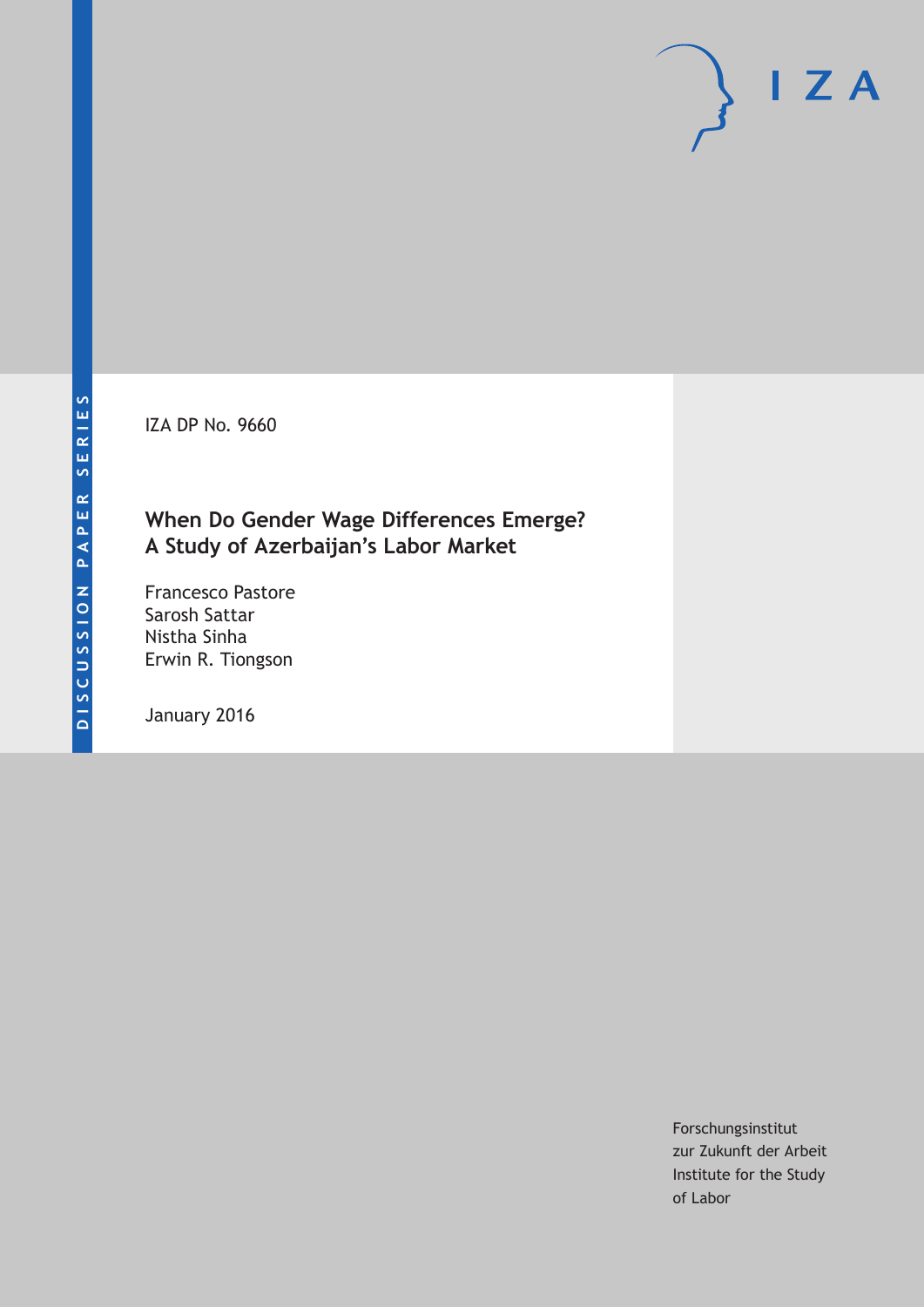IZA DP No. 9660

# **When Do Gender Wage Differences Emerge? A Study of Azerbaijan's Labor Market**

Francesco Pastore Sarosh Sattar Nistha Sinha Erwin R. Tiongson

January 2016

Forschungsinstitut zur Zukunft der Arbeit Institute for the Study of Labor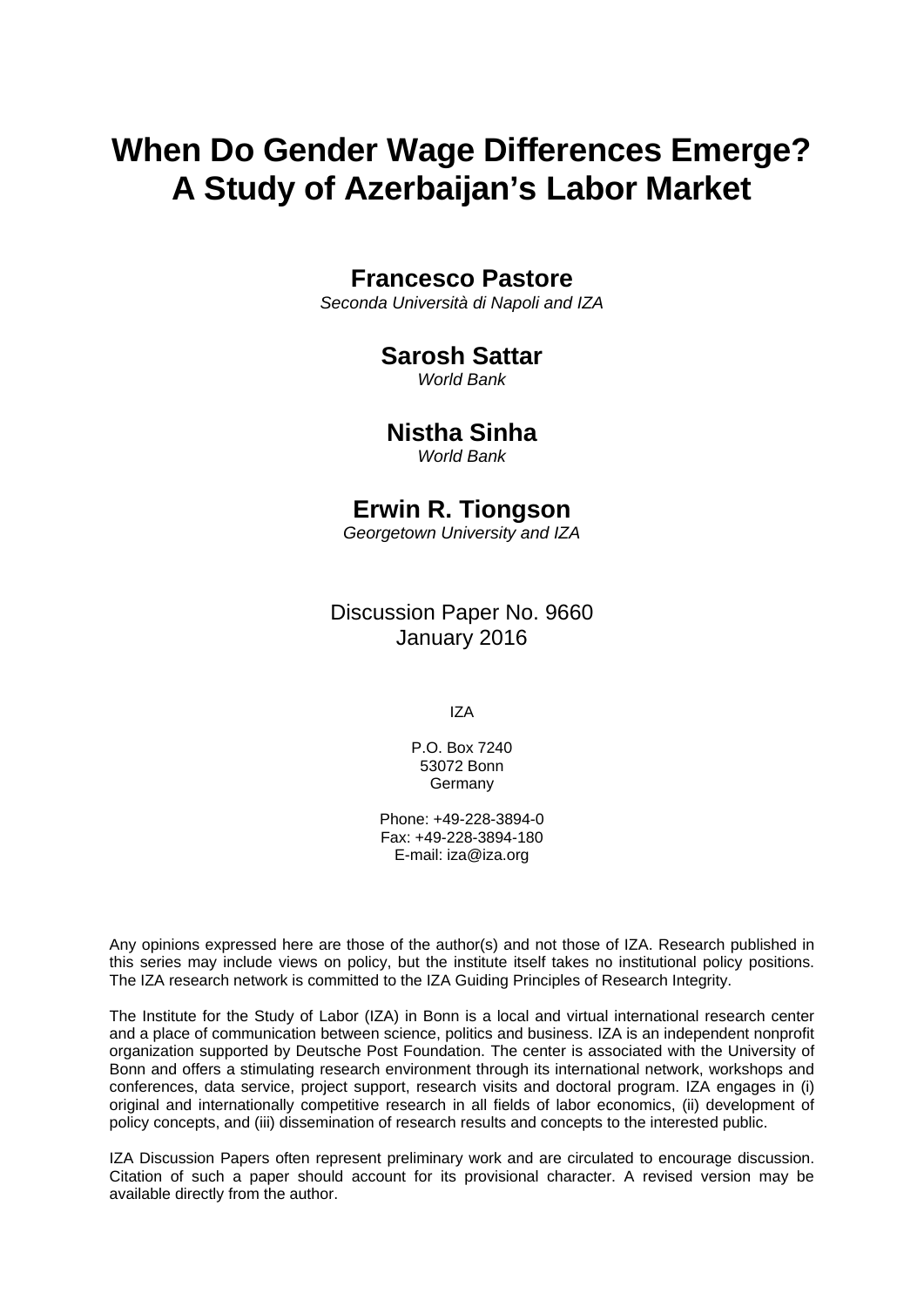# **When Do Gender Wage Differences Emerge? A Study of Azerbaijan's Labor Market**

# **Francesco Pastore**

*Seconda Università di Napoli and IZA* 

# **Sarosh Sattar**

*World Bank* 

# **Nistha Sinha**

*World Bank*

# **Erwin R. Tiongson**

*Georgetown University and IZA* 

# Discussion Paper No. 9660 January 2016

IZA

P.O. Box 7240 53072 Bonn Germany

Phone: +49-228-3894-0 Fax: +49-228-3894-180 E-mail: iza@iza.org

Any opinions expressed here are those of the author(s) and not those of IZA. Research published in this series may include views on policy, but the institute itself takes no institutional policy positions. The IZA research network is committed to the IZA Guiding Principles of Research Integrity.

The Institute for the Study of Labor (IZA) in Bonn is a local and virtual international research center and a place of communication between science, politics and business. IZA is an independent nonprofit organization supported by Deutsche Post Foundation. The center is associated with the University of Bonn and offers a stimulating research environment through its international network, workshops and conferences, data service, project support, research visits and doctoral program. IZA engages in (i) original and internationally competitive research in all fields of labor economics, (ii) development of policy concepts, and (iii) dissemination of research results and concepts to the interested public.

IZA Discussion Papers often represent preliminary work and are circulated to encourage discussion. Citation of such a paper should account for its provisional character. A revised version may be available directly from the author.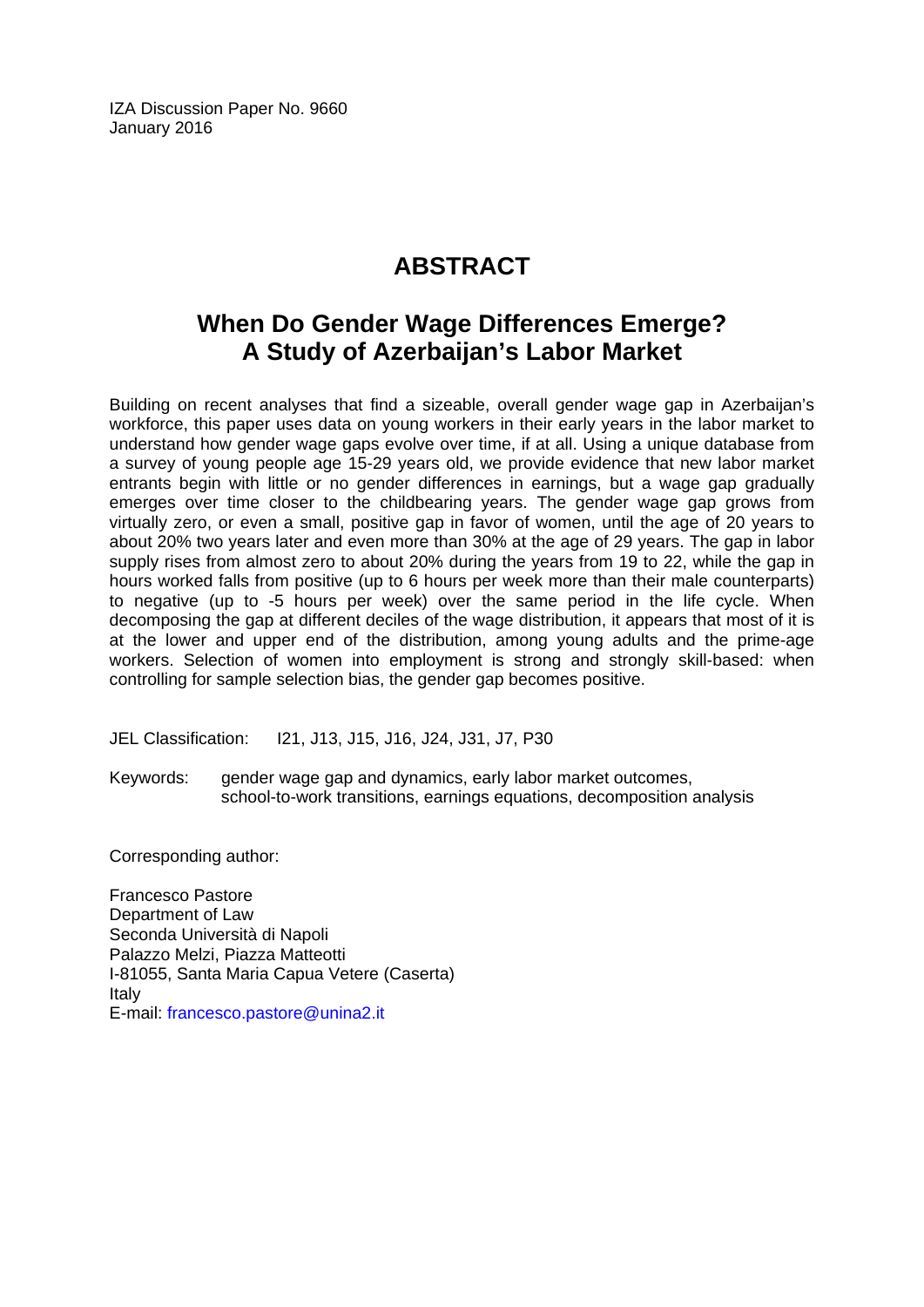IZA Discussion Paper No. 9660 January 2016

# **ABSTRACT**

# **When Do Gender Wage Differences Emerge? A Study of Azerbaijan's Labor Market**

Building on recent analyses that find a sizeable, overall gender wage gap in Azerbaijan's workforce, this paper uses data on young workers in their early years in the labor market to understand how gender wage gaps evolve over time, if at all. Using a unique database from a survey of young people age 15-29 years old, we provide evidence that new labor market entrants begin with little or no gender differences in earnings, but a wage gap gradually emerges over time closer to the childbearing years. The gender wage gap grows from virtually zero, or even a small, positive gap in favor of women, until the age of 20 years to about 20% two years later and even more than 30% at the age of 29 years. The gap in labor supply rises from almost zero to about 20% during the years from 19 to 22, while the gap in hours worked falls from positive (up to 6 hours per week more than their male counterparts) to negative (up to -5 hours per week) over the same period in the life cycle. When decomposing the gap at different deciles of the wage distribution, it appears that most of it is at the lower and upper end of the distribution, among young adults and the prime-age workers. Selection of women into employment is strong and strongly skill-based: when controlling for sample selection bias, the gender gap becomes positive.

JEL Classification: I21, J13, J15, J16, J24, J31, J7, P30

Keywords: gender wage gap and dynamics, early labor market outcomes, school-to-work transitions, earnings equations, decomposition analysis

Corresponding author:

Francesco Pastore Department of Law Seconda Università di Napoli Palazzo Melzi, Piazza Matteotti I-81055, Santa Maria Capua Vetere (Caserta) Italy E-mail: francesco.pastore@unina2.it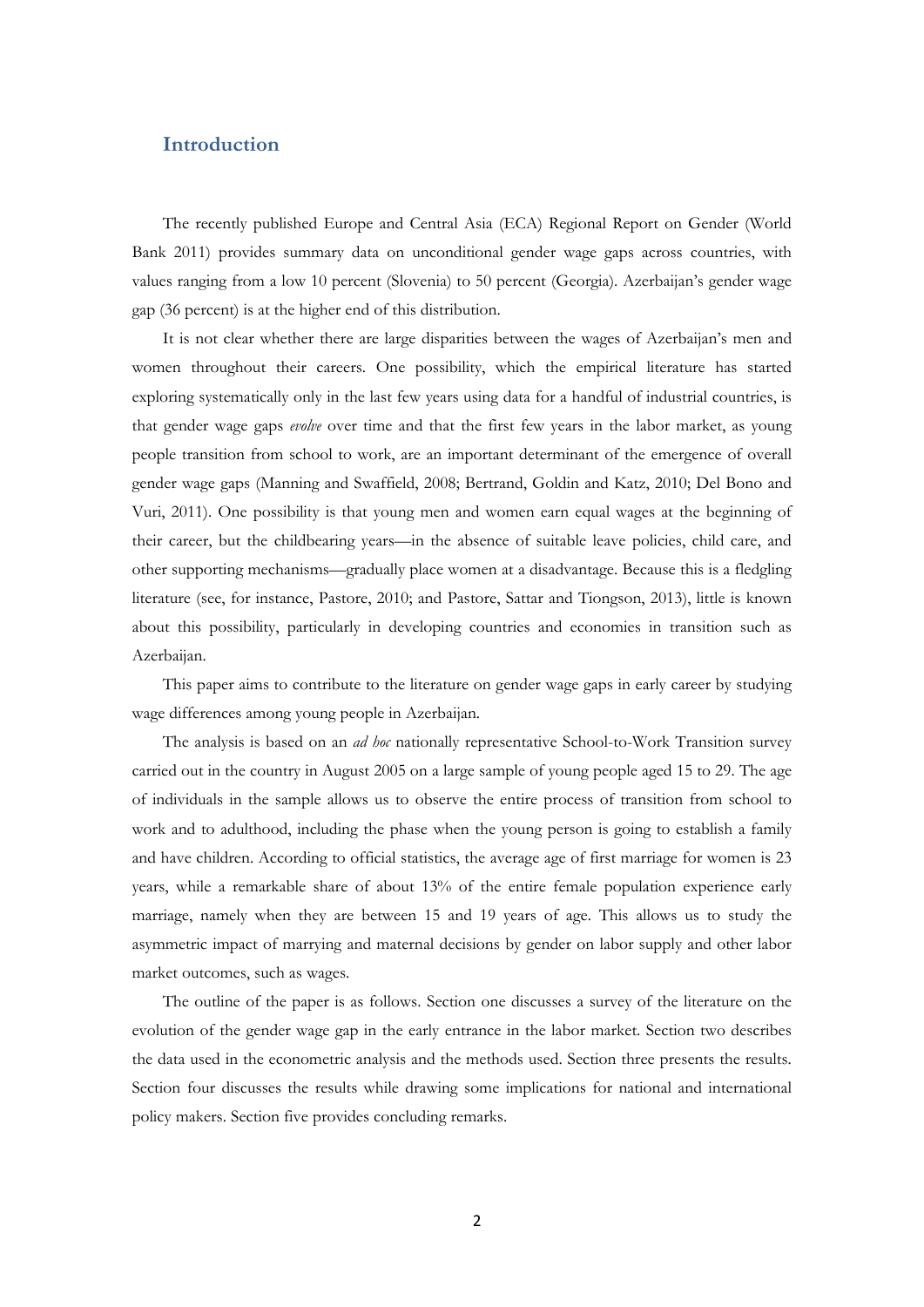# **Introduction**

The recently published Europe and Central Asia (ECA) Regional Report on Gender (World Bank 2011) provides summary data on unconditional gender wage gaps across countries, with values ranging from a low 10 percent (Slovenia) to 50 percent (Georgia). Azerbaijan's gender wage gap (36 percent) is at the higher end of this distribution.

It is not clear whether there are large disparities between the wages of Azerbaijan's men and women throughout their careers. One possibility, which the empirical literature has started exploring systematically only in the last few years using data for a handful of industrial countries, is that gender wage gaps *evolve* over time and that the first few years in the labor market, as young people transition from school to work, are an important determinant of the emergence of overall gender wage gaps (Manning and Swaffield, 2008; Bertrand, Goldin and Katz, 2010; Del Bono and Vuri, 2011). One possibility is that young men and women earn equal wages at the beginning of their career, but the childbearing years—in the absence of suitable leave policies, child care, and other supporting mechanisms—gradually place women at a disadvantage. Because this is a fledgling literature (see, for instance, Pastore, 2010; and Pastore, Sattar and Tiongson, 2013), little is known about this possibility, particularly in developing countries and economies in transition such as Azerbaijan.

This paper aims to contribute to the literature on gender wage gaps in early career by studying wage differences among young people in Azerbaijan.

The analysis is based on an *ad hoc* nationally representative School-to-Work Transition survey carried out in the country in August 2005 on a large sample of young people aged 15 to 29. The age of individuals in the sample allows us to observe the entire process of transition from school to work and to adulthood, including the phase when the young person is going to establish a family and have children. According to official statistics, the average age of first marriage for women is 23 years, while a remarkable share of about 13% of the entire female population experience early marriage, namely when they are between 15 and 19 years of age. This allows us to study the asymmetric impact of marrying and maternal decisions by gender on labor supply and other labor market outcomes, such as wages.

The outline of the paper is as follows. Section one discusses a survey of the literature on the evolution of the gender wage gap in the early entrance in the labor market. Section two describes the data used in the econometric analysis and the methods used. Section three presents the results. Section four discusses the results while drawing some implications for national and international policy makers. Section five provides concluding remarks.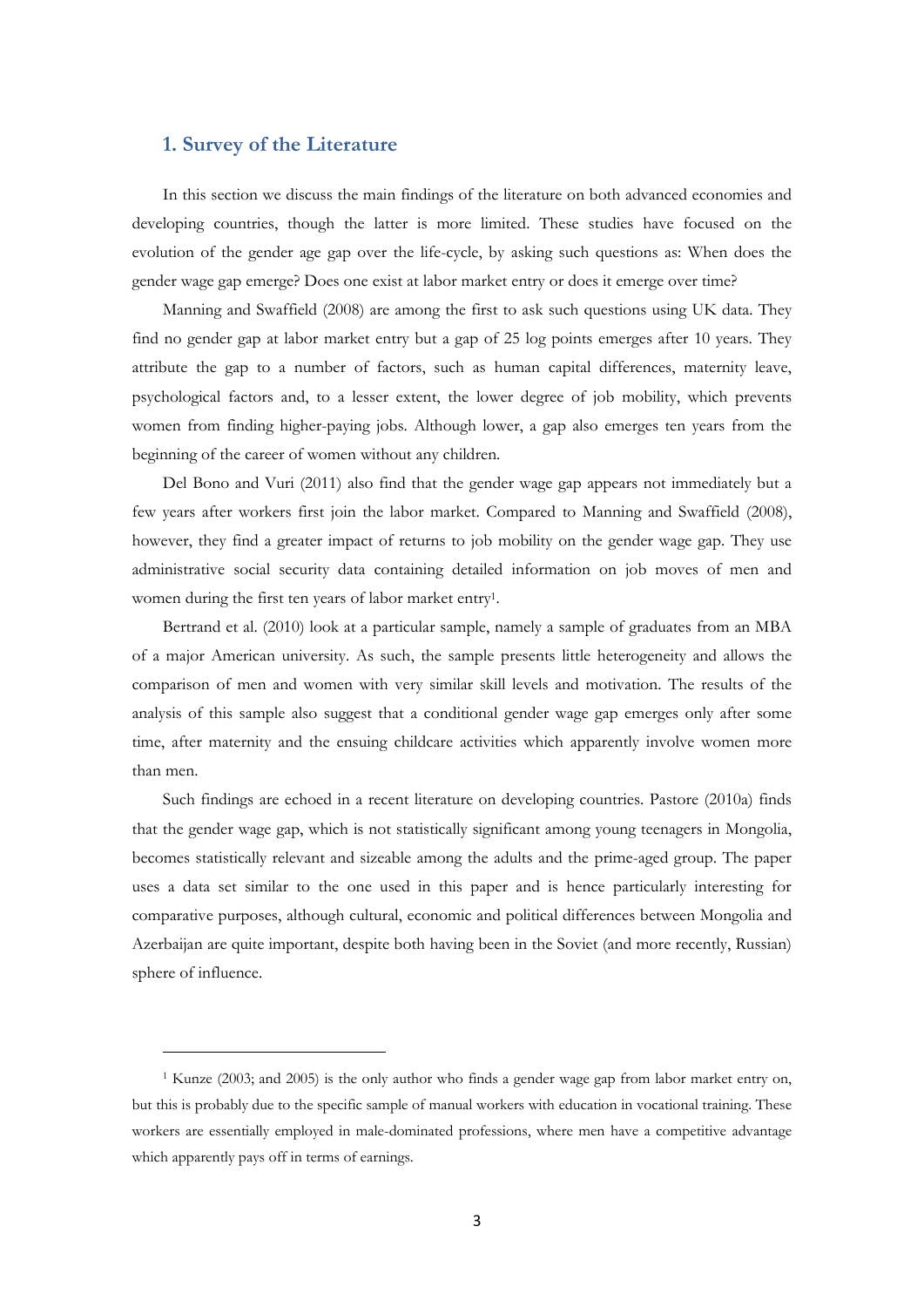### **1. Survey of the Literature**

In this section we discuss the main findings of the literature on both advanced economies and developing countries, though the latter is more limited. These studies have focused on the evolution of the gender age gap over the life-cycle, by asking such questions as: When does the gender wage gap emerge? Does one exist at labor market entry or does it emerge over time?

Manning and Swaffield (2008) are among the first to ask such questions using UK data. They find no gender gap at labor market entry but a gap of 25 log points emerges after 10 years. They attribute the gap to a number of factors, such as human capital differences, maternity leave, psychological factors and, to a lesser extent, the lower degree of job mobility, which prevents women from finding higher-paying jobs. Although lower, a gap also emerges ten years from the beginning of the career of women without any children.

Del Bono and Vuri (2011) also find that the gender wage gap appears not immediately but a few years after workers first join the labor market. Compared to Manning and Swaffield (2008), however, they find a greater impact of returns to job mobility on the gender wage gap. They use administrative social security data containing detailed information on job moves of men and women during the first ten years of labor market entry1.

Bertrand et al. (2010) look at a particular sample, namely a sample of graduates from an MBA of a major American university. As such, the sample presents little heterogeneity and allows the comparison of men and women with very similar skill levels and motivation. The results of the analysis of this sample also suggest that a conditional gender wage gap emerges only after some time, after maternity and the ensuing childcare activities which apparently involve women more than men.

Such findings are echoed in a recent literature on developing countries. Pastore (2010a) finds that the gender wage gap, which is not statistically significant among young teenagers in Mongolia, becomes statistically relevant and sizeable among the adults and the prime-aged group. The paper uses a data set similar to the one used in this paper and is hence particularly interesting for comparative purposes, although cultural, economic and political differences between Mongolia and Azerbaijan are quite important, despite both having been in the Soviet (and more recently, Russian) sphere of influence.

<sup>1</sup> Kunze (2003; and 2005) is the only author who finds a gender wage gap from labor market entry on, but this is probably due to the specific sample of manual workers with education in vocational training. These workers are essentially employed in male-dominated professions, where men have a competitive advantage which apparently pays off in terms of earnings.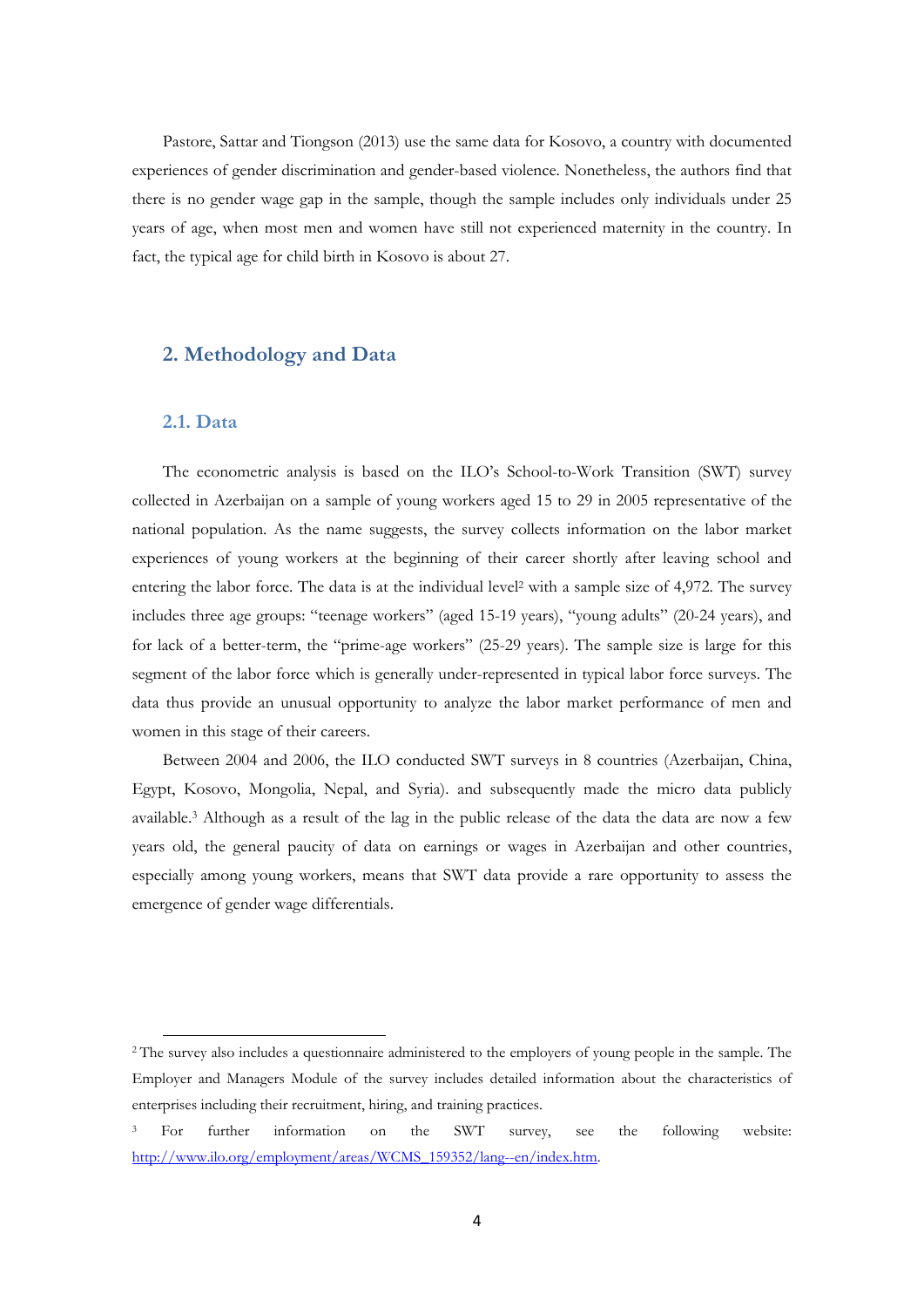Pastore, Sattar and Tiongson (2013) use the same data for Kosovo, a country with documented experiences of gender discrimination and gender-based violence. Nonetheless, the authors find that there is no gender wage gap in the sample, though the sample includes only individuals under 25 years of age, when most men and women have still not experienced maternity in the country. In fact, the typical age for child birth in Kosovo is about 27.

## **2. Methodology and Data**

#### **2.1. Data**

The econometric analysis is based on the ILO's School-to-Work Transition (SWT) survey collected in Azerbaijan on a sample of young workers aged 15 to 29 in 2005 representative of the national population. As the name suggests, the survey collects information on the labor market experiences of young workers at the beginning of their career shortly after leaving school and entering the labor force. The data is at the individual level<sup>2</sup> with a sample size of  $4,972$ . The survey includes three age groups: "teenage workers" (aged 15-19 years), "young adults" (20-24 years), and for lack of a better-term, the "prime-age workers" (25-29 years). The sample size is large for this segment of the labor force which is generally under-represented in typical labor force surveys. The data thus provide an unusual opportunity to analyze the labor market performance of men and women in this stage of their careers.

Between 2004 and 2006, the ILO conducted SWT surveys in 8 countries (Azerbaijan, China, Egypt, Kosovo, Mongolia, Nepal, and Syria). and subsequently made the micro data publicly available.3 Although as a result of the lag in the public release of the data the data are now a few years old, the general paucity of data on earnings or wages in Azerbaijan and other countries, especially among young workers, means that SWT data provide a rare opportunity to assess the emergence of gender wage differentials.

<sup>2</sup> The survey also includes a questionnaire administered to the employers of young people in the sample. The Employer and Managers Module of the survey includes detailed information about the characteristics of enterprises including their recruitment, hiring, and training practices.

<sup>&</sup>lt;sup>3</sup> For further information on the SWT survey, see the following website: http://www.ilo.org/employment/areas/WCMS\_159352/lang--en/index.htm.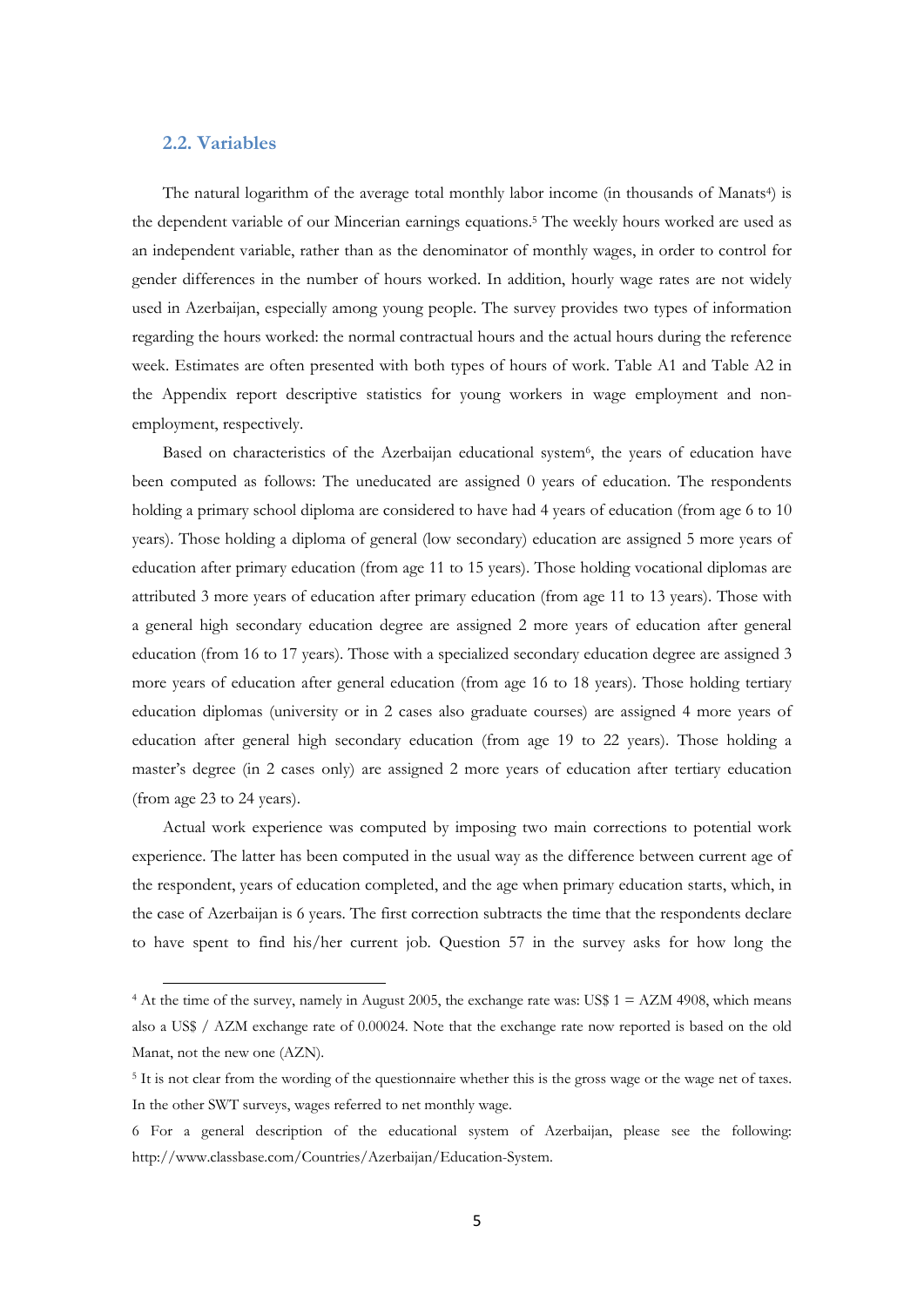#### **2.2. Variables**

The natural logarithm of the average total monthly labor income (in thousands of Manats<sup>4</sup>) is the dependent variable of our Mincerian earnings equations.5 The weekly hours worked are used as an independent variable, rather than as the denominator of monthly wages, in order to control for gender differences in the number of hours worked. In addition, hourly wage rates are not widely used in Azerbaijan, especially among young people. The survey provides two types of information regarding the hours worked: the normal contractual hours and the actual hours during the reference week. Estimates are often presented with both types of hours of work. Table A1 and Table A2 in the Appendix report descriptive statistics for young workers in wage employment and nonemployment, respectively.

Based on characteristics of the Azerbaijan educational system<sup>6</sup>, the years of education have been computed as follows: The uneducated are assigned 0 years of education. The respondents holding a primary school diploma are considered to have had 4 years of education (from age 6 to 10 years). Those holding a diploma of general (low secondary) education are assigned 5 more years of education after primary education (from age 11 to 15 years). Those holding vocational diplomas are attributed 3 more years of education after primary education (from age 11 to 13 years). Those with a general high secondary education degree are assigned 2 more years of education after general education (from 16 to 17 years). Those with a specialized secondary education degree are assigned 3 more years of education after general education (from age 16 to 18 years). Those holding tertiary education diplomas (university or in 2 cases also graduate courses) are assigned 4 more years of education after general high secondary education (from age 19 to 22 years). Those holding a master's degree (in 2 cases only) are assigned 2 more years of education after tertiary education (from age 23 to 24 years).

Actual work experience was computed by imposing two main corrections to potential work experience. The latter has been computed in the usual way as the difference between current age of the respondent, years of education completed, and the age when primary education starts, which, in the case of Azerbaijan is 6 years. The first correction subtracts the time that the respondents declare to have spent to find his/her current job. Question 57 in the survey asks for how long the

<sup>4</sup> At the time of the survey, namely in August 2005, the exchange rate was: US\$ 1 = AZM 4908, which means also a US\$ / AZM exchange rate of 0.00024. Note that the exchange rate now reported is based on the old Manat, not the new one (AZN).

<sup>&</sup>lt;sup>5</sup> It is not clear from the wording of the questionnaire whether this is the gross wage or the wage net of taxes. In the other SWT surveys, wages referred to net monthly wage.

<sup>6</sup> For a general description of the educational system of Azerbaijan, please see the following: http://www.classbase.com/Countries/Azerbaijan/Education-System.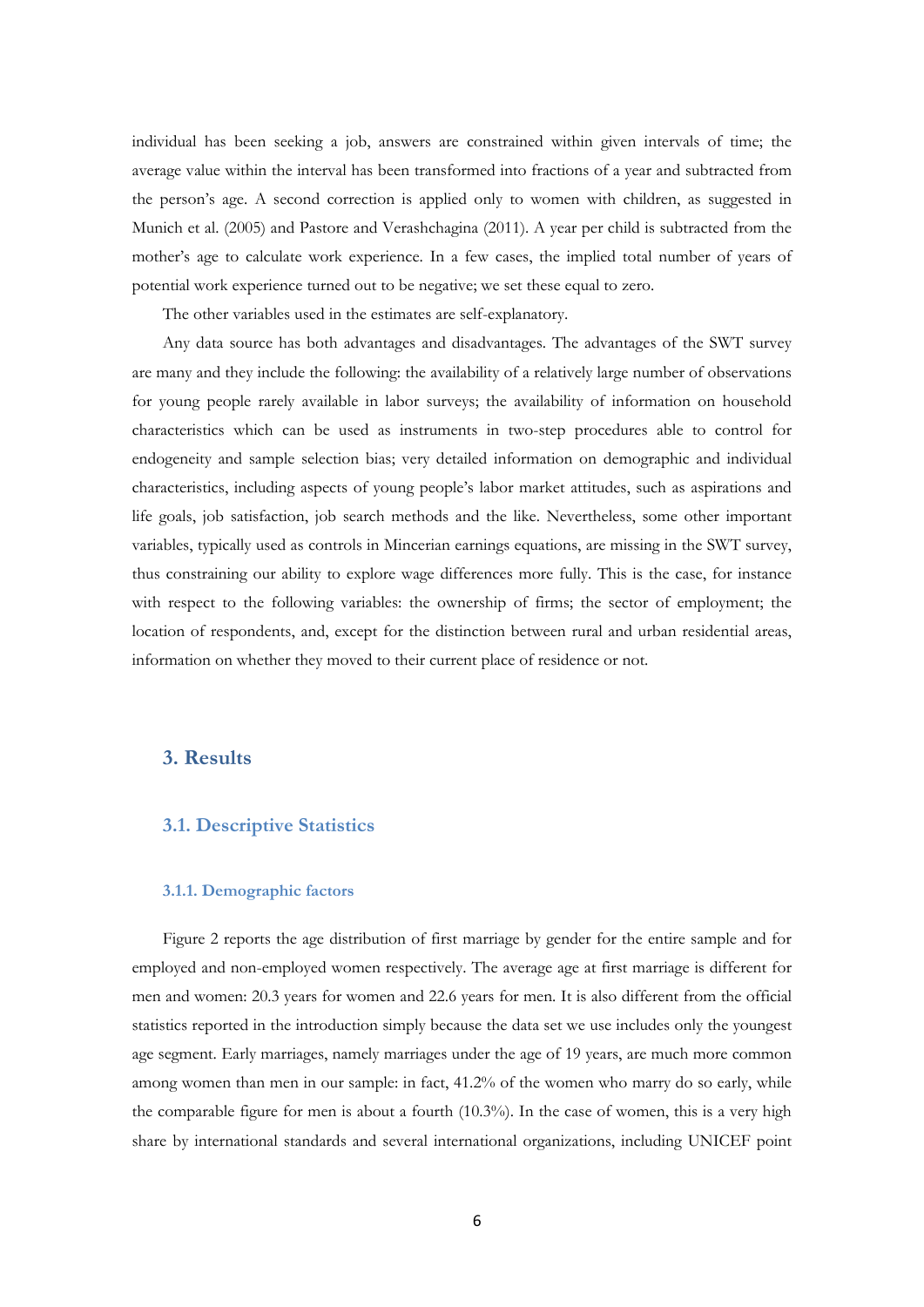individual has been seeking a job, answers are constrained within given intervals of time; the average value within the interval has been transformed into fractions of a year and subtracted from the person's age. A second correction is applied only to women with children, as suggested in Munich et al. (2005) and Pastore and Verashchagina (2011). A year per child is subtracted from the mother's age to calculate work experience. In a few cases, the implied total number of years of potential work experience turned out to be negative; we set these equal to zero.

The other variables used in the estimates are self-explanatory.

Any data source has both advantages and disadvantages. The advantages of the SWT survey are many and they include the following: the availability of a relatively large number of observations for young people rarely available in labor surveys; the availability of information on household characteristics which can be used as instruments in two-step procedures able to control for endogeneity and sample selection bias; very detailed information on demographic and individual characteristics, including aspects of young people's labor market attitudes, such as aspirations and life goals, job satisfaction, job search methods and the like. Nevertheless, some other important variables, typically used as controls in Mincerian earnings equations, are missing in the SWT survey, thus constraining our ability to explore wage differences more fully. This is the case, for instance with respect to the following variables: the ownership of firms; the sector of employment; the location of respondents, and, except for the distinction between rural and urban residential areas, information on whether they moved to their current place of residence or not.

# **3. Results**

## **3.1. Descriptive Statistics**

#### **3.1.1. Demographic factors**

Figure 2 reports the age distribution of first marriage by gender for the entire sample and for employed and non-employed women respectively. The average age at first marriage is different for men and women: 20.3 years for women and 22.6 years for men. It is also different from the official statistics reported in the introduction simply because the data set we use includes only the youngest age segment. Early marriages, namely marriages under the age of 19 years, are much more common among women than men in our sample: in fact, 41.2% of the women who marry do so early, while the comparable figure for men is about a fourth (10.3%). In the case of women, this is a very high share by international standards and several international organizations, including UNICEF point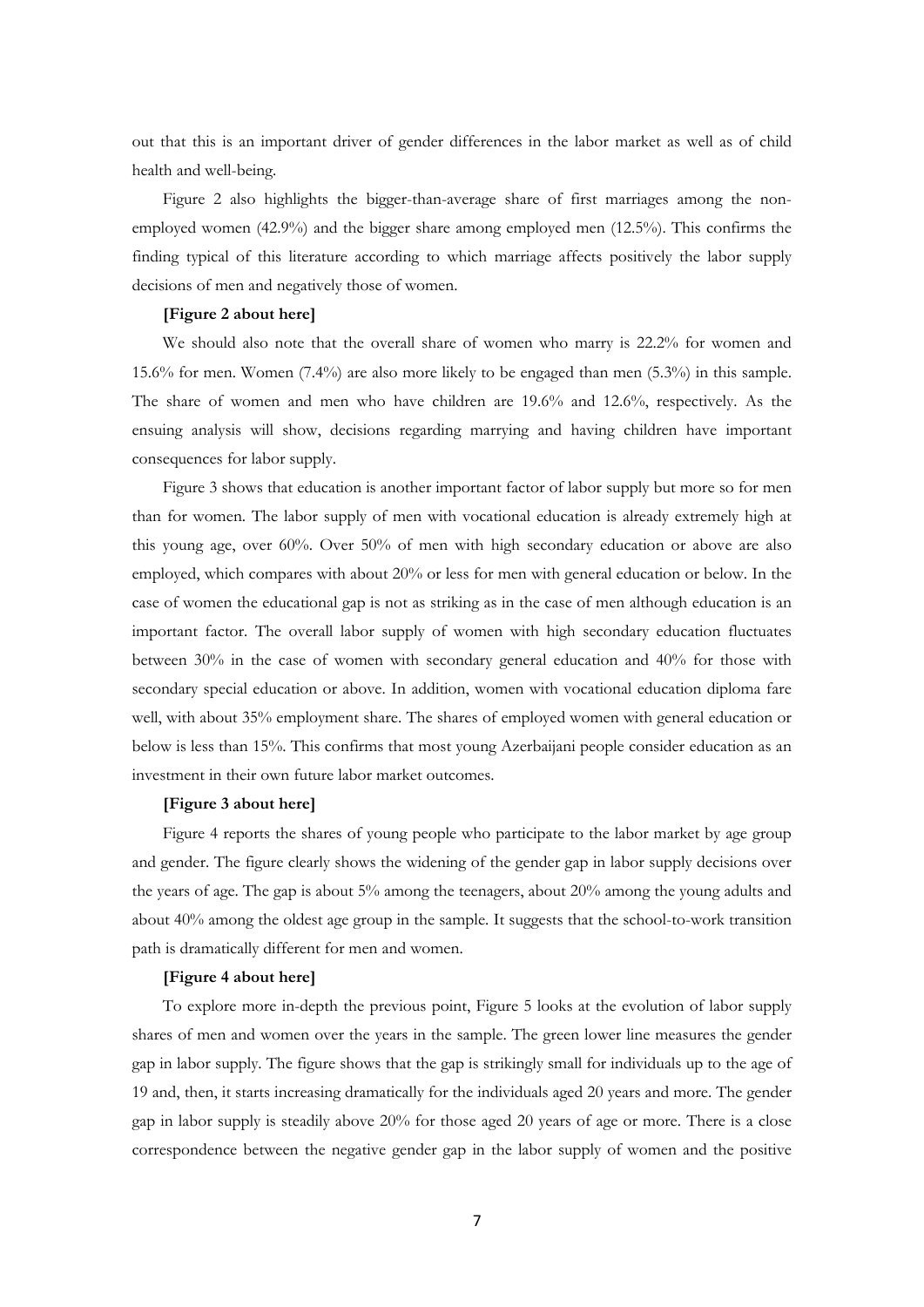out that this is an important driver of gender differences in the labor market as well as of child health and well-being.

Figure 2 also highlights the bigger-than-average share of first marriages among the nonemployed women (42.9%) and the bigger share among employed men (12.5%). This confirms the finding typical of this literature according to which marriage affects positively the labor supply decisions of men and negatively those of women.

#### **[Figure 2 about here]**

We should also note that the overall share of women who marry is 22.2% for women and 15.6% for men. Women (7.4%) are also more likely to be engaged than men (5.3%) in this sample. The share of women and men who have children are 19.6% and 12.6%, respectively. As the ensuing analysis will show, decisions regarding marrying and having children have important consequences for labor supply.

Figure 3 shows that education is another important factor of labor supply but more so for men than for women. The labor supply of men with vocational education is already extremely high at this young age, over 60%. Over 50% of men with high secondary education or above are also employed, which compares with about 20% or less for men with general education or below. In the case of women the educational gap is not as striking as in the case of men although education is an important factor. The overall labor supply of women with high secondary education fluctuates between 30% in the case of women with secondary general education and 40% for those with secondary special education or above. In addition, women with vocational education diploma fare well, with about 35% employment share. The shares of employed women with general education or below is less than 15%. This confirms that most young Azerbaijani people consider education as an investment in their own future labor market outcomes.

#### **[Figure 3 about here]**

Figure 4 reports the shares of young people who participate to the labor market by age group and gender. The figure clearly shows the widening of the gender gap in labor supply decisions over the years of age. The gap is about 5% among the teenagers, about 20% among the young adults and about 40% among the oldest age group in the sample. It suggests that the school-to-work transition path is dramatically different for men and women.

#### **[Figure 4 about here]**

To explore more in-depth the previous point, Figure 5 looks at the evolution of labor supply shares of men and women over the years in the sample. The green lower line measures the gender gap in labor supply. The figure shows that the gap is strikingly small for individuals up to the age of 19 and, then, it starts increasing dramatically for the individuals aged 20 years and more. The gender gap in labor supply is steadily above 20% for those aged 20 years of age or more. There is a close correspondence between the negative gender gap in the labor supply of women and the positive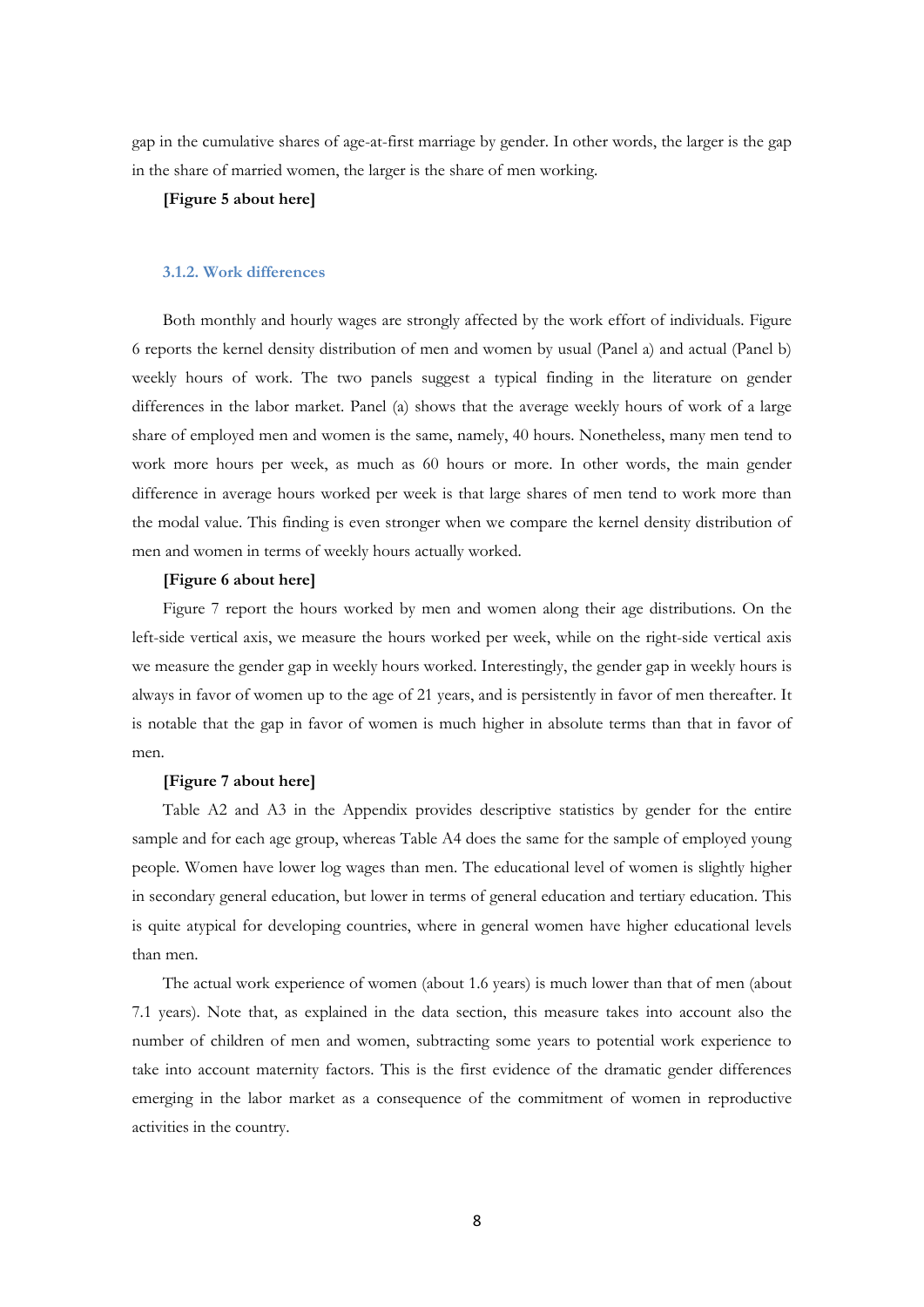gap in the cumulative shares of age-at-first marriage by gender. In other words, the larger is the gap in the share of married women, the larger is the share of men working.

## **[Figure 5 about here]**

#### **3.1.2. Work differences**

Both monthly and hourly wages are strongly affected by the work effort of individuals. Figure 6 reports the kernel density distribution of men and women by usual (Panel a) and actual (Panel b) weekly hours of work. The two panels suggest a typical finding in the literature on gender differences in the labor market. Panel (a) shows that the average weekly hours of work of a large share of employed men and women is the same, namely, 40 hours. Nonetheless, many men tend to work more hours per week, as much as 60 hours or more. In other words, the main gender difference in average hours worked per week is that large shares of men tend to work more than the modal value. This finding is even stronger when we compare the kernel density distribution of men and women in terms of weekly hours actually worked.

#### **[Figure 6 about here]**

Figure 7 report the hours worked by men and women along their age distributions. On the left-side vertical axis, we measure the hours worked per week, while on the right-side vertical axis we measure the gender gap in weekly hours worked. Interestingly, the gender gap in weekly hours is always in favor of women up to the age of 21 years, and is persistently in favor of men thereafter. It is notable that the gap in favor of women is much higher in absolute terms than that in favor of men.

#### **[Figure 7 about here]**

Table A2 and A3 in the Appendix provides descriptive statistics by gender for the entire sample and for each age group, whereas Table A4 does the same for the sample of employed young people. Women have lower log wages than men. The educational level of women is slightly higher in secondary general education, but lower in terms of general education and tertiary education. This is quite atypical for developing countries, where in general women have higher educational levels than men.

The actual work experience of women (about 1.6 years) is much lower than that of men (about 7.1 years). Note that, as explained in the data section, this measure takes into account also the number of children of men and women, subtracting some years to potential work experience to take into account maternity factors. This is the first evidence of the dramatic gender differences emerging in the labor market as a consequence of the commitment of women in reproductive activities in the country.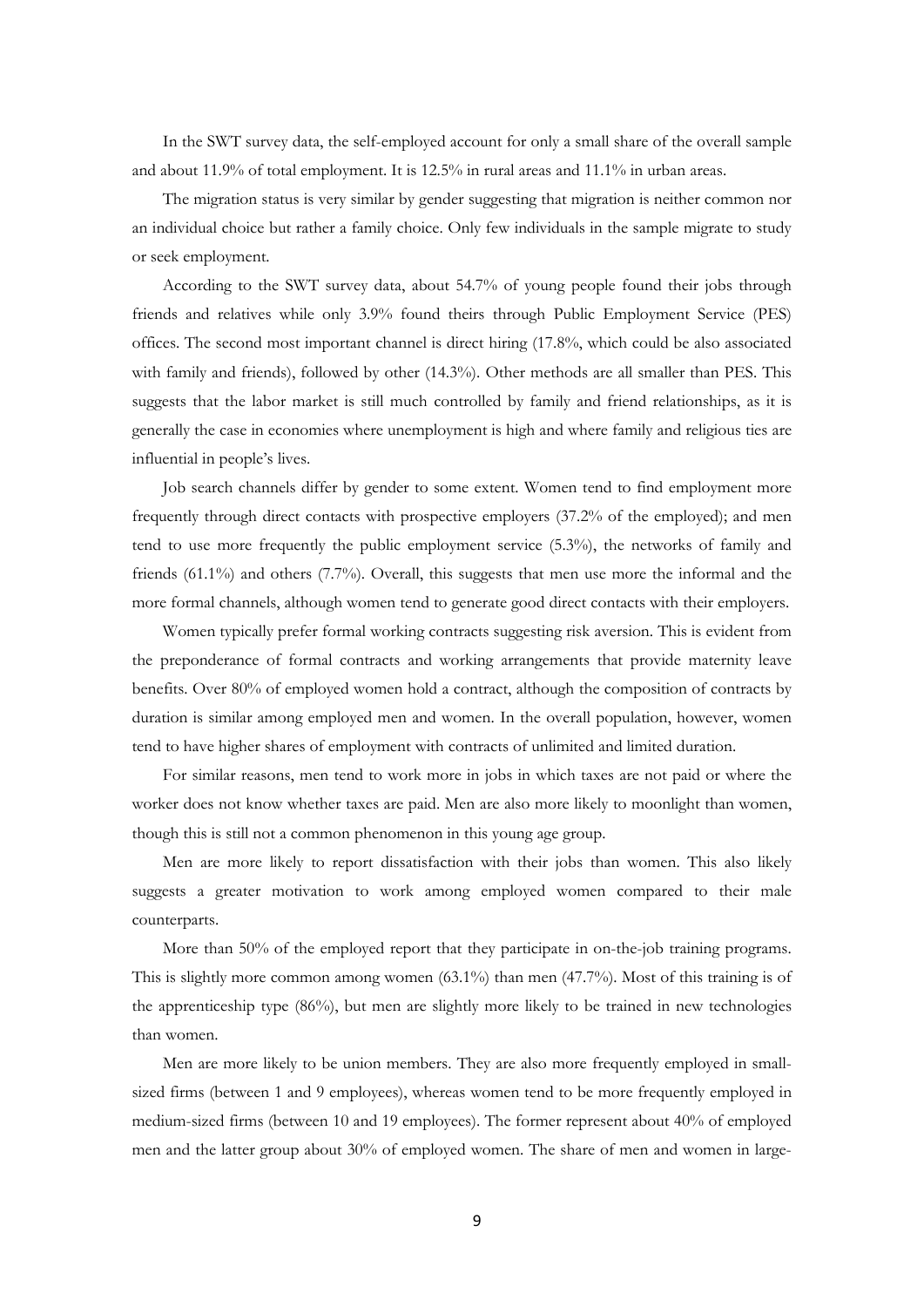In the SWT survey data, the self-employed account for only a small share of the overall sample and about 11.9% of total employment. It is 12.5% in rural areas and 11.1% in urban areas.

The migration status is very similar by gender suggesting that migration is neither common nor an individual choice but rather a family choice. Only few individuals in the sample migrate to study or seek employment.

According to the SWT survey data, about 54.7% of young people found their jobs through friends and relatives while only 3.9% found theirs through Public Employment Service (PES) offices. The second most important channel is direct hiring (17.8%, which could be also associated with family and friends), followed by other (14.3%). Other methods are all smaller than PES. This suggests that the labor market is still much controlled by family and friend relationships, as it is generally the case in economies where unemployment is high and where family and religious ties are influential in people's lives.

Job search channels differ by gender to some extent. Women tend to find employment more frequently through direct contacts with prospective employers (37.2% of the employed); and men tend to use more frequently the public employment service (5.3%), the networks of family and friends (61.1%) and others (7.7%). Overall, this suggests that men use more the informal and the more formal channels, although women tend to generate good direct contacts with their employers.

Women typically prefer formal working contracts suggesting risk aversion. This is evident from the preponderance of formal contracts and working arrangements that provide maternity leave benefits. Over 80% of employed women hold a contract, although the composition of contracts by duration is similar among employed men and women. In the overall population, however, women tend to have higher shares of employment with contracts of unlimited and limited duration.

For similar reasons, men tend to work more in jobs in which taxes are not paid or where the worker does not know whether taxes are paid. Men are also more likely to moonlight than women, though this is still not a common phenomenon in this young age group.

Men are more likely to report dissatisfaction with their jobs than women. This also likely suggests a greater motivation to work among employed women compared to their male counterparts.

More than 50% of the employed report that they participate in on-the-job training programs. This is slightly more common among women (63.1%) than men (47.7%). Most of this training is of the apprenticeship type (86%), but men are slightly more likely to be trained in new technologies than women.

Men are more likely to be union members. They are also more frequently employed in smallsized firms (between 1 and 9 employees), whereas women tend to be more frequently employed in medium-sized firms (between 10 and 19 employees). The former represent about 40% of employed men and the latter group about 30% of employed women. The share of men and women in large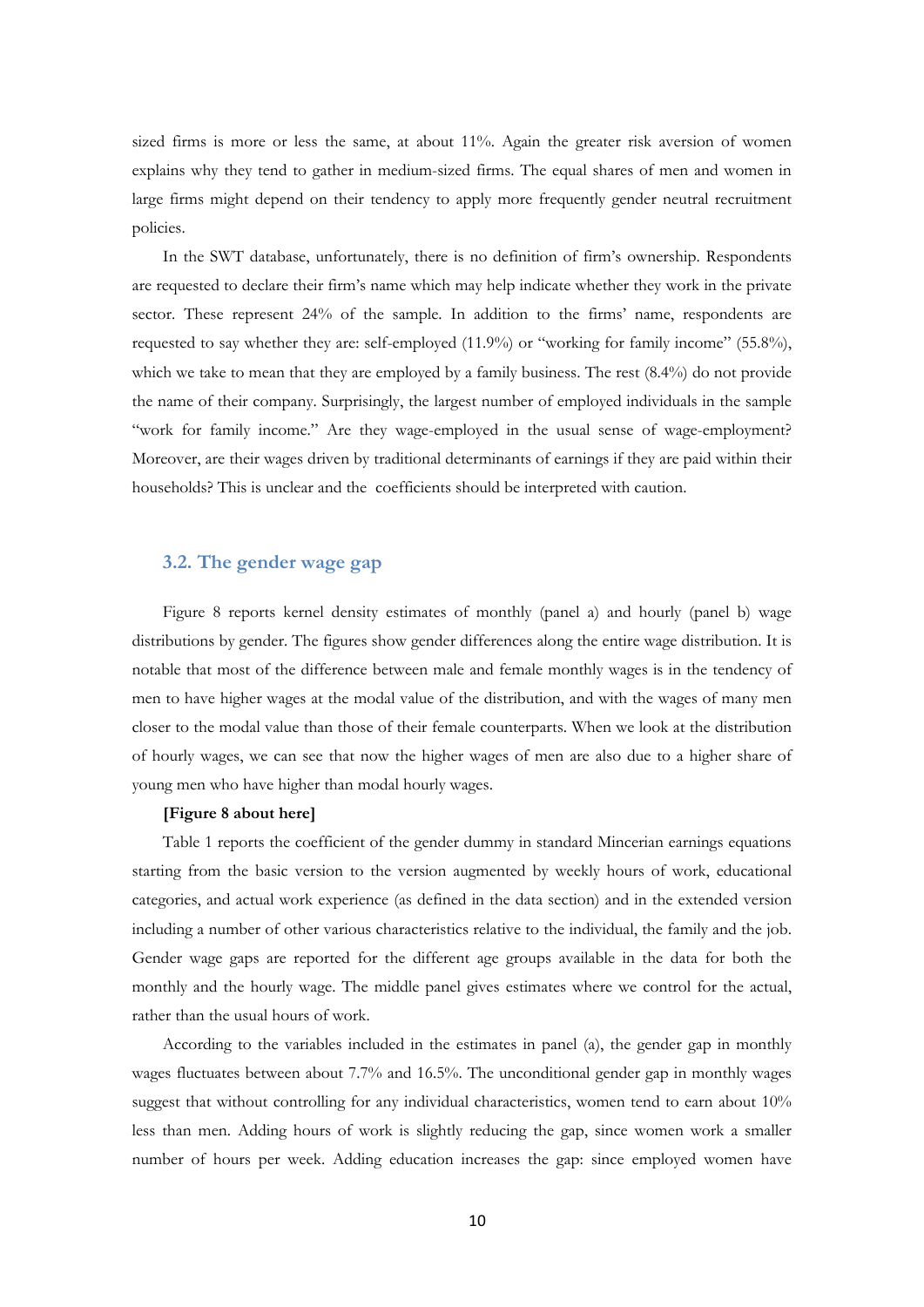sized firms is more or less the same, at about 11%. Again the greater risk aversion of women explains why they tend to gather in medium-sized firms. The equal shares of men and women in large firms might depend on their tendency to apply more frequently gender neutral recruitment policies.

In the SWT database, unfortunately, there is no definition of firm's ownership. Respondents are requested to declare their firm's name which may help indicate whether they work in the private sector. These represent 24% of the sample. In addition to the firms' name, respondents are requested to say whether they are: self-employed (11.9%) or "working for family income" (55.8%), which we take to mean that they are employed by a family business. The rest (8.4%) do not provide the name of their company. Surprisingly, the largest number of employed individuals in the sample "work for family income." Are they wage-employed in the usual sense of wage-employment? Moreover, are their wages driven by traditional determinants of earnings if they are paid within their households? This is unclear and the coefficients should be interpreted with caution.

### **3.2. The gender wage gap**

Figure 8 reports kernel density estimates of monthly (panel a) and hourly (panel b) wage distributions by gender. The figures show gender differences along the entire wage distribution. It is notable that most of the difference between male and female monthly wages is in the tendency of men to have higher wages at the modal value of the distribution, and with the wages of many men closer to the modal value than those of their female counterparts. When we look at the distribution of hourly wages, we can see that now the higher wages of men are also due to a higher share of young men who have higher than modal hourly wages.

#### **[Figure 8 about here]**

Table 1 reports the coefficient of the gender dummy in standard Mincerian earnings equations starting from the basic version to the version augmented by weekly hours of work, educational categories, and actual work experience (as defined in the data section) and in the extended version including a number of other various characteristics relative to the individual, the family and the job. Gender wage gaps are reported for the different age groups available in the data for both the monthly and the hourly wage. The middle panel gives estimates where we control for the actual, rather than the usual hours of work.

According to the variables included in the estimates in panel (a), the gender gap in monthly wages fluctuates between about 7.7% and 16.5%. The unconditional gender gap in monthly wages suggest that without controlling for any individual characteristics, women tend to earn about 10% less than men. Adding hours of work is slightly reducing the gap, since women work a smaller number of hours per week. Adding education increases the gap: since employed women have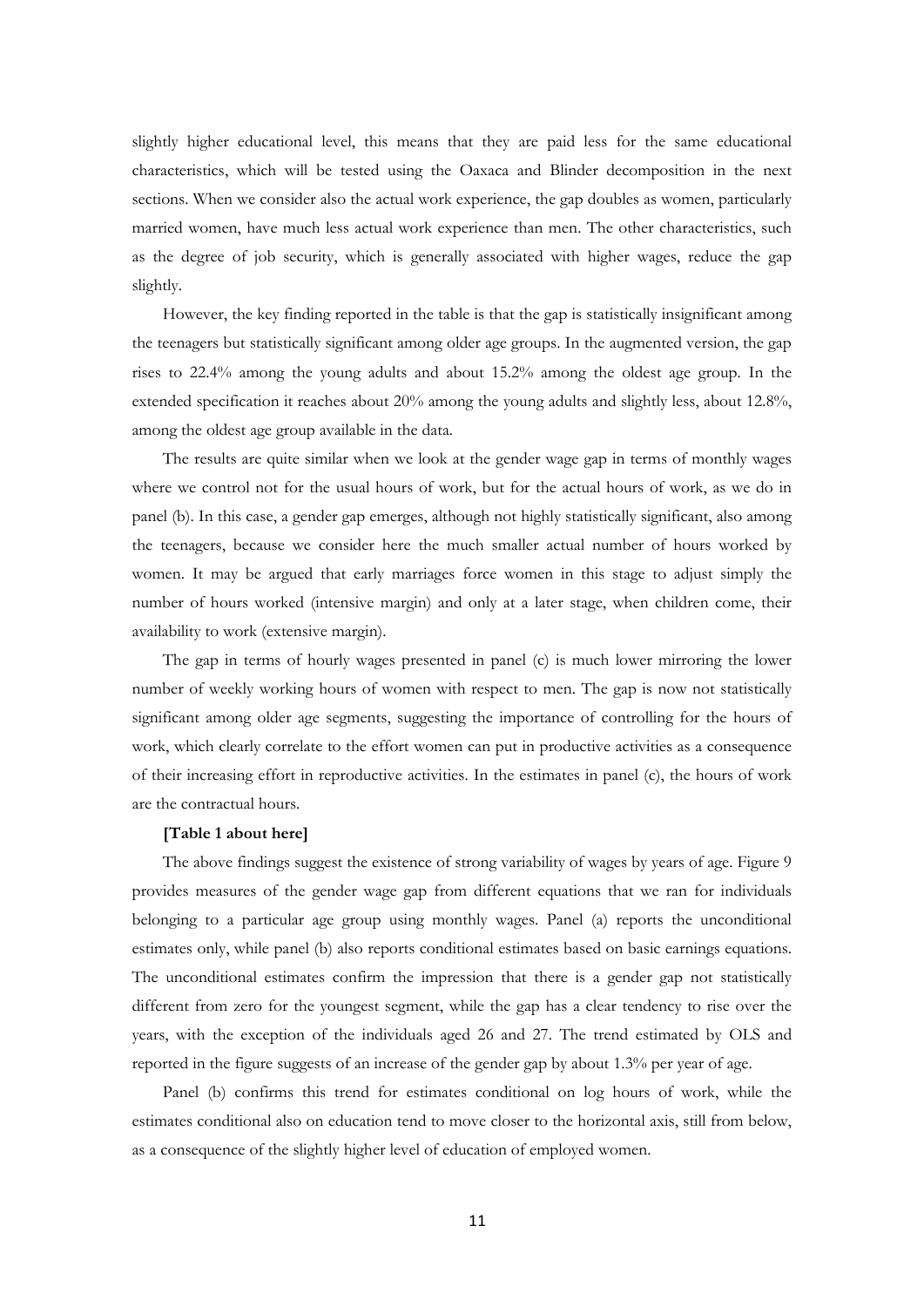slightly higher educational level, this means that they are paid less for the same educational characteristics, which will be tested using the Oaxaca and Blinder decomposition in the next sections. When we consider also the actual work experience, the gap doubles as women, particularly married women, have much less actual work experience than men. The other characteristics, such as the degree of job security, which is generally associated with higher wages, reduce the gap slightly.

However, the key finding reported in the table is that the gap is statistically insignificant among the teenagers but statistically significant among older age groups. In the augmented version, the gap rises to 22.4% among the young adults and about 15.2% among the oldest age group. In the extended specification it reaches about 20% among the young adults and slightly less, about 12.8%, among the oldest age group available in the data.

The results are quite similar when we look at the gender wage gap in terms of monthly wages where we control not for the usual hours of work, but for the actual hours of work, as we do in panel (b). In this case, a gender gap emerges, although not highly statistically significant, also among the teenagers, because we consider here the much smaller actual number of hours worked by women. It may be argued that early marriages force women in this stage to adjust simply the number of hours worked (intensive margin) and only at a later stage, when children come, their availability to work (extensive margin).

The gap in terms of hourly wages presented in panel (c) is much lower mirroring the lower number of weekly working hours of women with respect to men. The gap is now not statistically significant among older age segments, suggesting the importance of controlling for the hours of work, which clearly correlate to the effort women can put in productive activities as a consequence of their increasing effort in reproductive activities. In the estimates in panel (c), the hours of work are the contractual hours.

#### **[Table 1 about here]**

The above findings suggest the existence of strong variability of wages by years of age. Figure 9 provides measures of the gender wage gap from different equations that we ran for individuals belonging to a particular age group using monthly wages. Panel (a) reports the unconditional estimates only, while panel (b) also reports conditional estimates based on basic earnings equations. The unconditional estimates confirm the impression that there is a gender gap not statistically different from zero for the youngest segment, while the gap has a clear tendency to rise over the years, with the exception of the individuals aged 26 and 27. The trend estimated by OLS and reported in the figure suggests of an increase of the gender gap by about 1.3% per year of age.

Panel (b) confirms this trend for estimates conditional on log hours of work, while the estimates conditional also on education tend to move closer to the horizontal axis, still from below, as a consequence of the slightly higher level of education of employed women.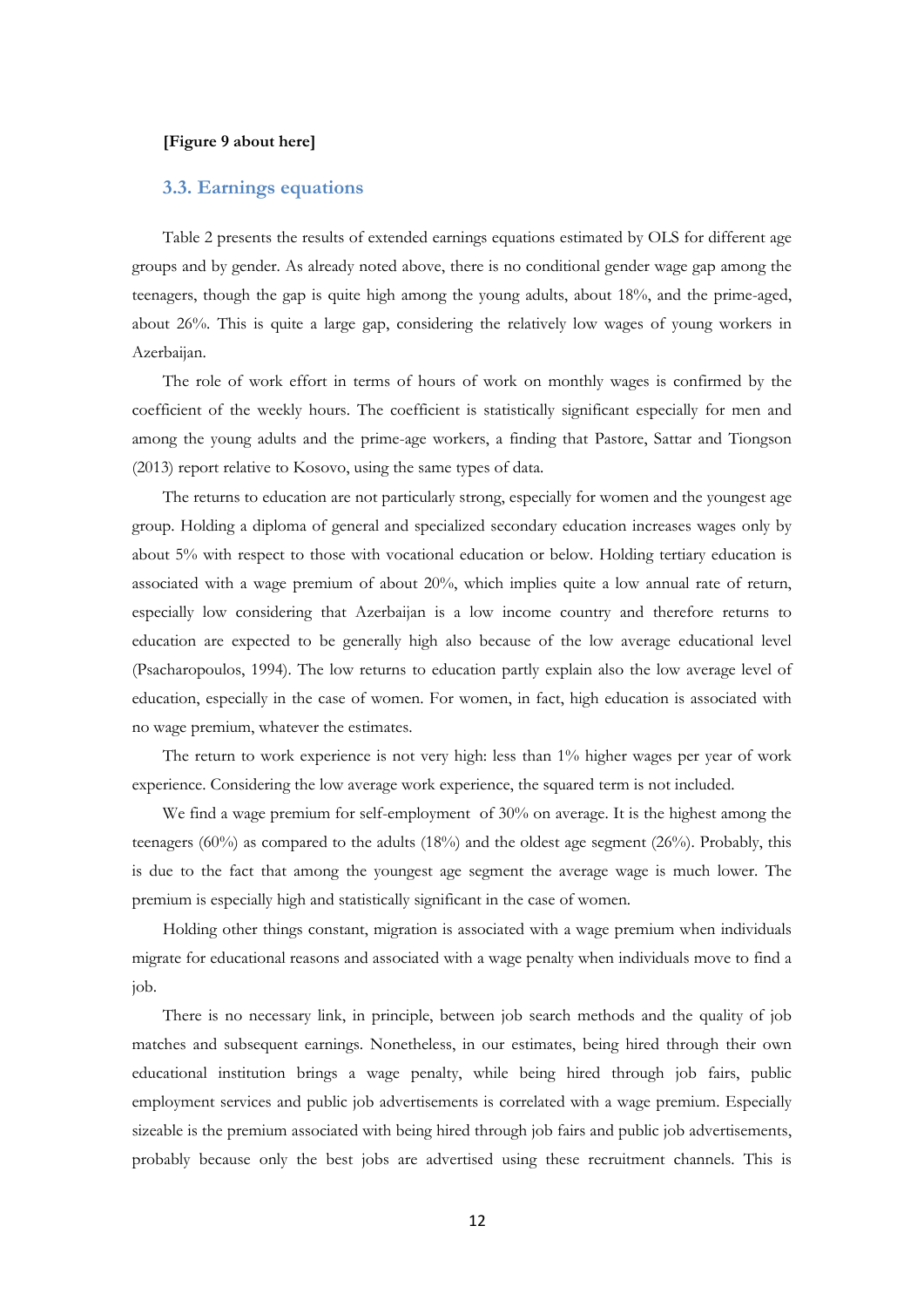#### **[Figure 9 about here]**

#### **3.3. Earnings equations**

Table 2 presents the results of extended earnings equations estimated by OLS for different age groups and by gender. As already noted above, there is no conditional gender wage gap among the teenagers, though the gap is quite high among the young adults, about 18%, and the prime-aged, about 26%. This is quite a large gap, considering the relatively low wages of young workers in Azerbaijan.

The role of work effort in terms of hours of work on monthly wages is confirmed by the coefficient of the weekly hours. The coefficient is statistically significant especially for men and among the young adults and the prime-age workers, a finding that Pastore, Sattar and Tiongson (2013) report relative to Kosovo, using the same types of data.

The returns to education are not particularly strong, especially for women and the youngest age group. Holding a diploma of general and specialized secondary education increases wages only by about 5% with respect to those with vocational education or below. Holding tertiary education is associated with a wage premium of about 20%, which implies quite a low annual rate of return, especially low considering that Azerbaijan is a low income country and therefore returns to education are expected to be generally high also because of the low average educational level (Psacharopoulos, 1994). The low returns to education partly explain also the low average level of education, especially in the case of women. For women, in fact, high education is associated with no wage premium, whatever the estimates.

The return to work experience is not very high: less than 1% higher wages per year of work experience. Considering the low average work experience, the squared term is not included.

We find a wage premium for self-employment of 30% on average. It is the highest among the teenagers (60%) as compared to the adults (18%) and the oldest age segment (26%). Probably, this is due to the fact that among the youngest age segment the average wage is much lower. The premium is especially high and statistically significant in the case of women.

Holding other things constant, migration is associated with a wage premium when individuals migrate for educational reasons and associated with a wage penalty when individuals move to find a job.

There is no necessary link, in principle, between job search methods and the quality of job matches and subsequent earnings. Nonetheless, in our estimates, being hired through their own educational institution brings a wage penalty, while being hired through job fairs, public employment services and public job advertisements is correlated with a wage premium. Especially sizeable is the premium associated with being hired through job fairs and public job advertisements, probably because only the best jobs are advertised using these recruitment channels. This is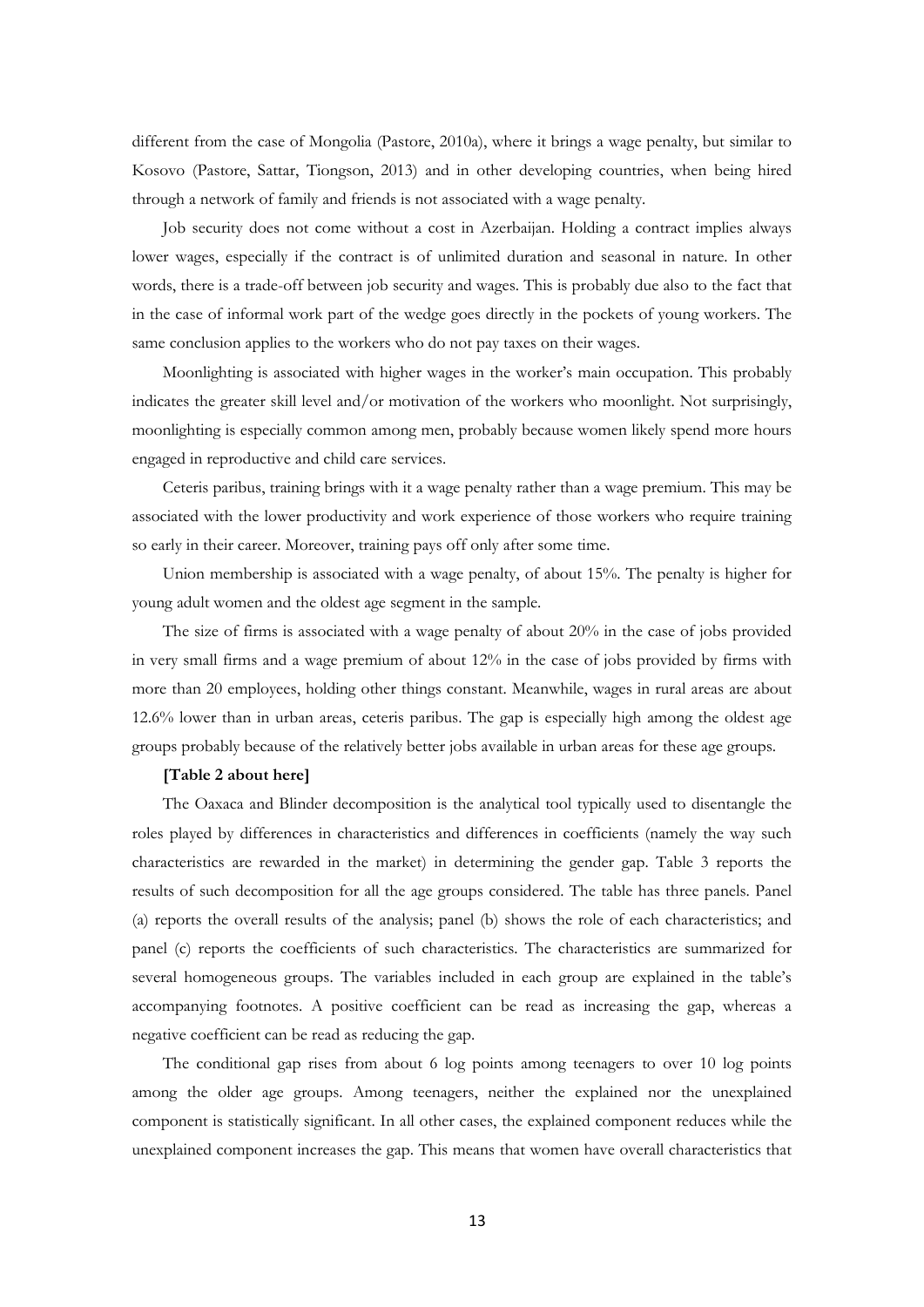different from the case of Mongolia (Pastore, 2010a), where it brings a wage penalty, but similar to Kosovo (Pastore, Sattar, Tiongson, 2013) and in other developing countries, when being hired through a network of family and friends is not associated with a wage penalty.

Job security does not come without a cost in Azerbaijan. Holding a contract implies always lower wages, especially if the contract is of unlimited duration and seasonal in nature. In other words, there is a trade-off between job security and wages. This is probably due also to the fact that in the case of informal work part of the wedge goes directly in the pockets of young workers. The same conclusion applies to the workers who do not pay taxes on their wages.

Moonlighting is associated with higher wages in the worker's main occupation. This probably indicates the greater skill level and/or motivation of the workers who moonlight. Not surprisingly, moonlighting is especially common among men, probably because women likely spend more hours engaged in reproductive and child care services.

Ceteris paribus, training brings with it a wage penalty rather than a wage premium. This may be associated with the lower productivity and work experience of those workers who require training so early in their career. Moreover, training pays off only after some time.

Union membership is associated with a wage penalty, of about 15%. The penalty is higher for young adult women and the oldest age segment in the sample.

The size of firms is associated with a wage penalty of about 20% in the case of jobs provided in very small firms and a wage premium of about 12% in the case of jobs provided by firms with more than 20 employees, holding other things constant. Meanwhile, wages in rural areas are about 12.6% lower than in urban areas, ceteris paribus. The gap is especially high among the oldest age groups probably because of the relatively better jobs available in urban areas for these age groups.

#### **[Table 2 about here]**

The Oaxaca and Blinder decomposition is the analytical tool typically used to disentangle the roles played by differences in characteristics and differences in coefficients (namely the way such characteristics are rewarded in the market) in determining the gender gap. Table 3 reports the results of such decomposition for all the age groups considered. The table has three panels. Panel (a) reports the overall results of the analysis; panel (b) shows the role of each characteristics; and panel (c) reports the coefficients of such characteristics. The characteristics are summarized for several homogeneous groups. The variables included in each group are explained in the table's accompanying footnotes. A positive coefficient can be read as increasing the gap, whereas a negative coefficient can be read as reducing the gap.

The conditional gap rises from about 6 log points among teenagers to over 10 log points among the older age groups. Among teenagers, neither the explained nor the unexplained component is statistically significant. In all other cases, the explained component reduces while the unexplained component increases the gap. This means that women have overall characteristics that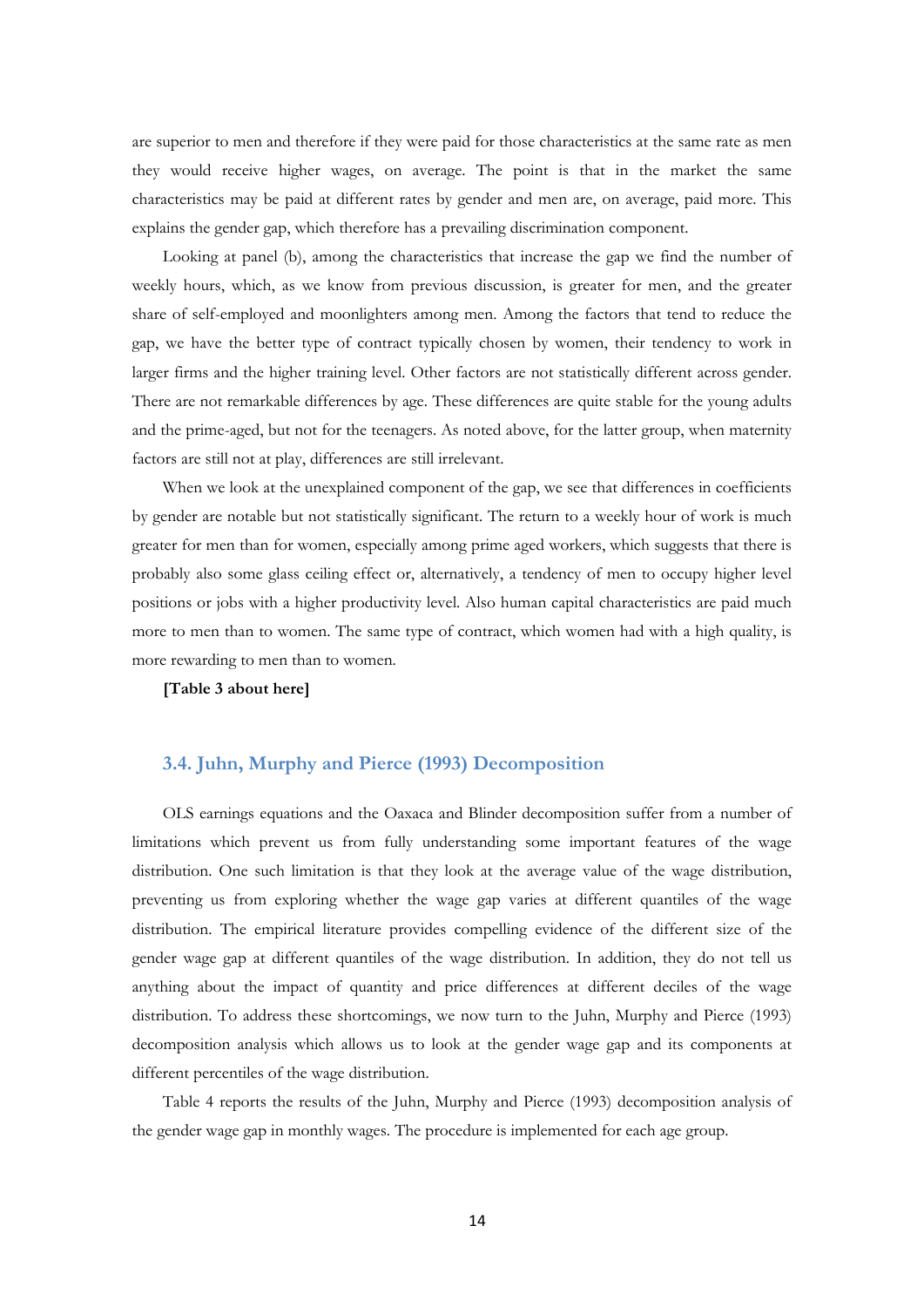are superior to men and therefore if they were paid for those characteristics at the same rate as men they would receive higher wages, on average. The point is that in the market the same characteristics may be paid at different rates by gender and men are, on average, paid more. This explains the gender gap, which therefore has a prevailing discrimination component.

Looking at panel (b), among the characteristics that increase the gap we find the number of weekly hours, which, as we know from previous discussion, is greater for men, and the greater share of self-employed and moonlighters among men. Among the factors that tend to reduce the gap, we have the better type of contract typically chosen by women, their tendency to work in larger firms and the higher training level. Other factors are not statistically different across gender. There are not remarkable differences by age. These differences are quite stable for the young adults and the prime-aged, but not for the teenagers. As noted above, for the latter group, when maternity factors are still not at play, differences are still irrelevant.

When we look at the unexplained component of the gap, we see that differences in coefficients by gender are notable but not statistically significant. The return to a weekly hour of work is much greater for men than for women, especially among prime aged workers, which suggests that there is probably also some glass ceiling effect or, alternatively, a tendency of men to occupy higher level positions or jobs with a higher productivity level. Also human capital characteristics are paid much more to men than to women. The same type of contract, which women had with a high quality, is more rewarding to men than to women.

**[Table 3 about here]** 

### **3.4. Juhn, Murphy and Pierce (1993) Decomposition**

OLS earnings equations and the Oaxaca and Blinder decomposition suffer from a number of limitations which prevent us from fully understanding some important features of the wage distribution. One such limitation is that they look at the average value of the wage distribution, preventing us from exploring whether the wage gap varies at different quantiles of the wage distribution. The empirical literature provides compelling evidence of the different size of the gender wage gap at different quantiles of the wage distribution. In addition, they do not tell us anything about the impact of quantity and price differences at different deciles of the wage distribution. To address these shortcomings, we now turn to the Juhn, Murphy and Pierce (1993) decomposition analysis which allows us to look at the gender wage gap and its components at different percentiles of the wage distribution.

Table 4 reports the results of the Juhn, Murphy and Pierce (1993) decomposition analysis of the gender wage gap in monthly wages. The procedure is implemented for each age group.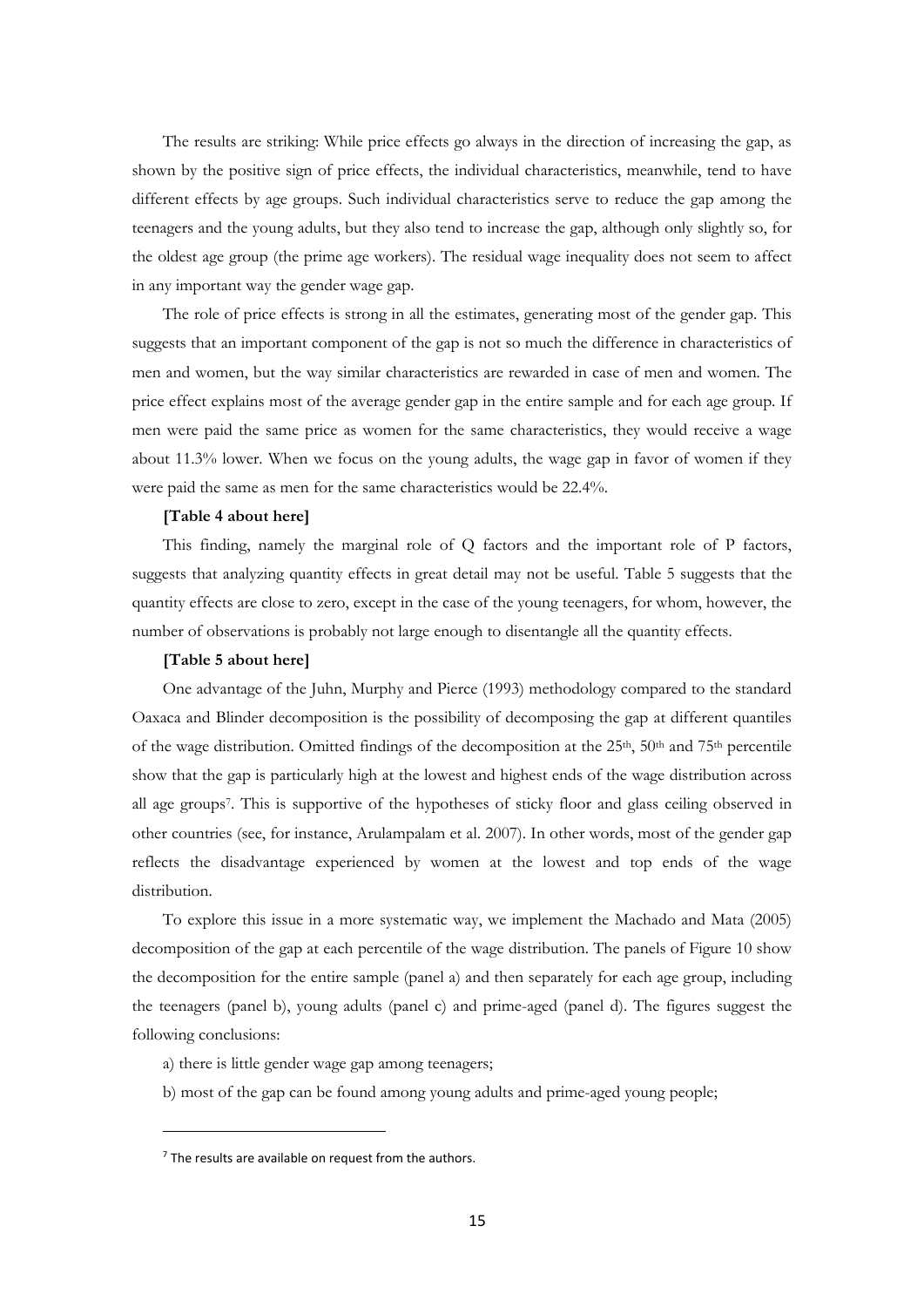The results are striking: While price effects go always in the direction of increasing the gap, as shown by the positive sign of price effects, the individual characteristics, meanwhile, tend to have different effects by age groups. Such individual characteristics serve to reduce the gap among the teenagers and the young adults, but they also tend to increase the gap, although only slightly so, for the oldest age group (the prime age workers). The residual wage inequality does not seem to affect in any important way the gender wage gap.

The role of price effects is strong in all the estimates, generating most of the gender gap. This suggests that an important component of the gap is not so much the difference in characteristics of men and women, but the way similar characteristics are rewarded in case of men and women. The price effect explains most of the average gender gap in the entire sample and for each age group. If men were paid the same price as women for the same characteristics, they would receive a wage about 11.3% lower. When we focus on the young adults, the wage gap in favor of women if they were paid the same as men for the same characteristics would be 22.4%.

#### **[Table 4 about here]**

This finding, namely the marginal role of Q factors and the important role of P factors, suggests that analyzing quantity effects in great detail may not be useful. Table 5 suggests that the quantity effects are close to zero, except in the case of the young teenagers, for whom, however, the number of observations is probably not large enough to disentangle all the quantity effects.

#### **[Table 5 about here]**

One advantage of the Juhn, Murphy and Pierce (1993) methodology compared to the standard Oaxaca and Blinder decomposition is the possibility of decomposing the gap at different quantiles of the wage distribution. Omitted findings of the decomposition at the  $25<sup>th</sup>$ ,  $50<sup>th</sup>$  and  $75<sup>th</sup>$  percentile show that the gap is particularly high at the lowest and highest ends of the wage distribution across all age groups7. This is supportive of the hypotheses of sticky floor and glass ceiling observed in other countries (see, for instance, Arulampalam et al. 2007). In other words, most of the gender gap reflects the disadvantage experienced by women at the lowest and top ends of the wage distribution.

To explore this issue in a more systematic way, we implement the Machado and Mata (2005) decomposition of the gap at each percentile of the wage distribution. The panels of Figure 10 show the decomposition for the entire sample (panel a) and then separately for each age group, including the teenagers (panel b), young adults (panel c) and prime-aged (panel d). The figures suggest the following conclusions:

- a) there is little gender wage gap among teenagers;
- b) most of the gap can be found among young adults and prime-aged young people;

 $<sup>7</sup>$  The results are available on request from the authors.</sup>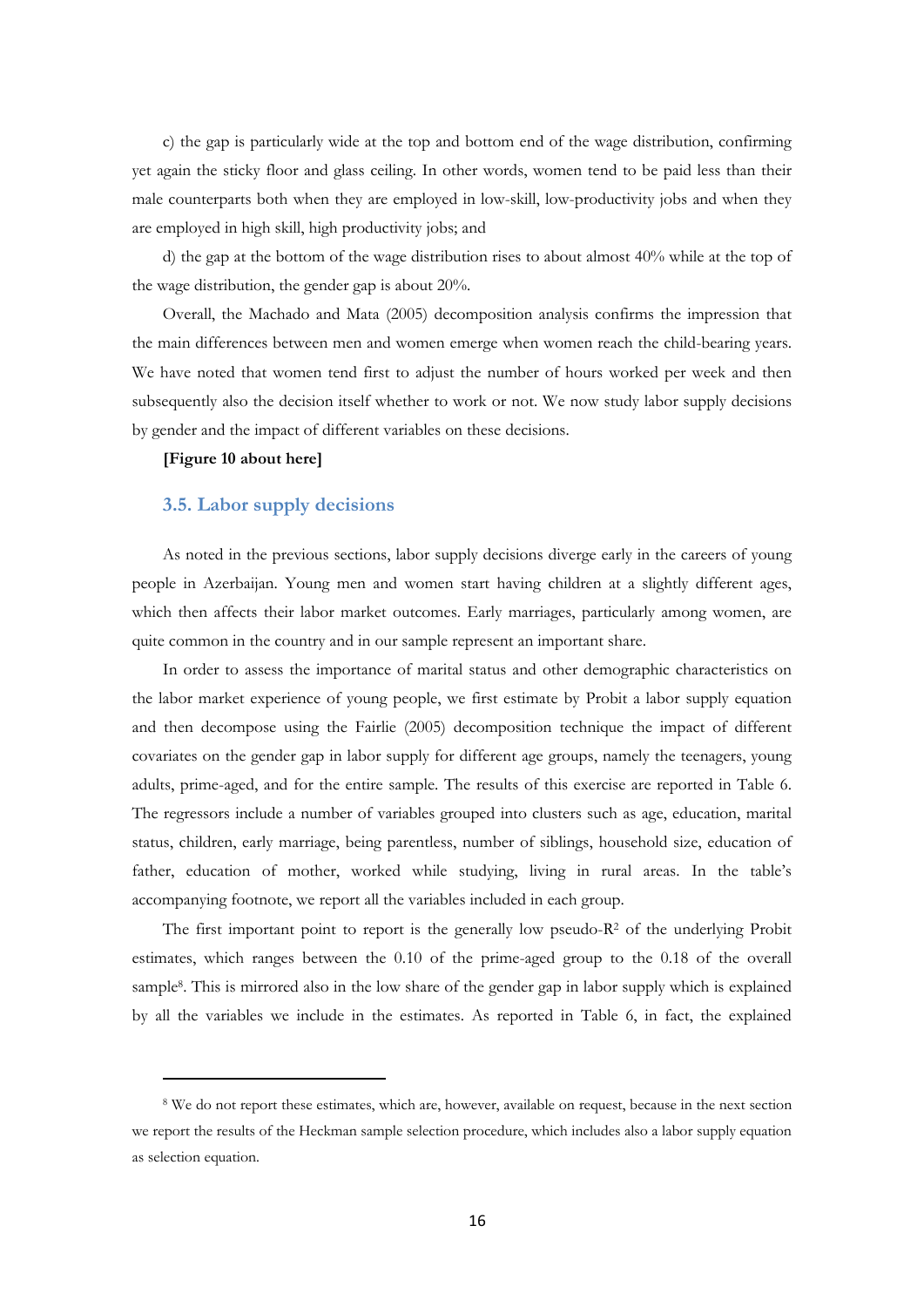c) the gap is particularly wide at the top and bottom end of the wage distribution, confirming yet again the sticky floor and glass ceiling. In other words, women tend to be paid less than their male counterparts both when they are employed in low-skill, low-productivity jobs and when they are employed in high skill, high productivity jobs; and

d) the gap at the bottom of the wage distribution rises to about almost 40% while at the top of the wage distribution, the gender gap is about 20%.

Overall, the Machado and Mata (2005) decomposition analysis confirms the impression that the main differences between men and women emerge when women reach the child-bearing years. We have noted that women tend first to adjust the number of hours worked per week and then subsequently also the decision itself whether to work or not. We now study labor supply decisions by gender and the impact of different variables on these decisions.

#### **[Figure 10 about here]**

#### **3.5. Labor supply decisions**

As noted in the previous sections, labor supply decisions diverge early in the careers of young people in Azerbaijan. Young men and women start having children at a slightly different ages, which then affects their labor market outcomes. Early marriages, particularly among women, are quite common in the country and in our sample represent an important share.

In order to assess the importance of marital status and other demographic characteristics on the labor market experience of young people, we first estimate by Probit a labor supply equation and then decompose using the Fairlie (2005) decomposition technique the impact of different covariates on the gender gap in labor supply for different age groups, namely the teenagers, young adults, prime-aged, and for the entire sample. The results of this exercise are reported in Table 6. The regressors include a number of variables grouped into clusters such as age, education, marital status, children, early marriage, being parentless, number of siblings, household size, education of father, education of mother, worked while studying, living in rural areas. In the table's accompanying footnote, we report all the variables included in each group.

The first important point to report is the generally low pseudo-R2 of the underlying Probit estimates, which ranges between the 0.10 of the prime-aged group to the 0.18 of the overall sample8. This is mirrored also in the low share of the gender gap in labor supply which is explained by all the variables we include in the estimates. As reported in Table 6, in fact, the explained

<sup>8</sup> We do not report these estimates, which are, however, available on request, because in the next section we report the results of the Heckman sample selection procedure, which includes also a labor supply equation as selection equation.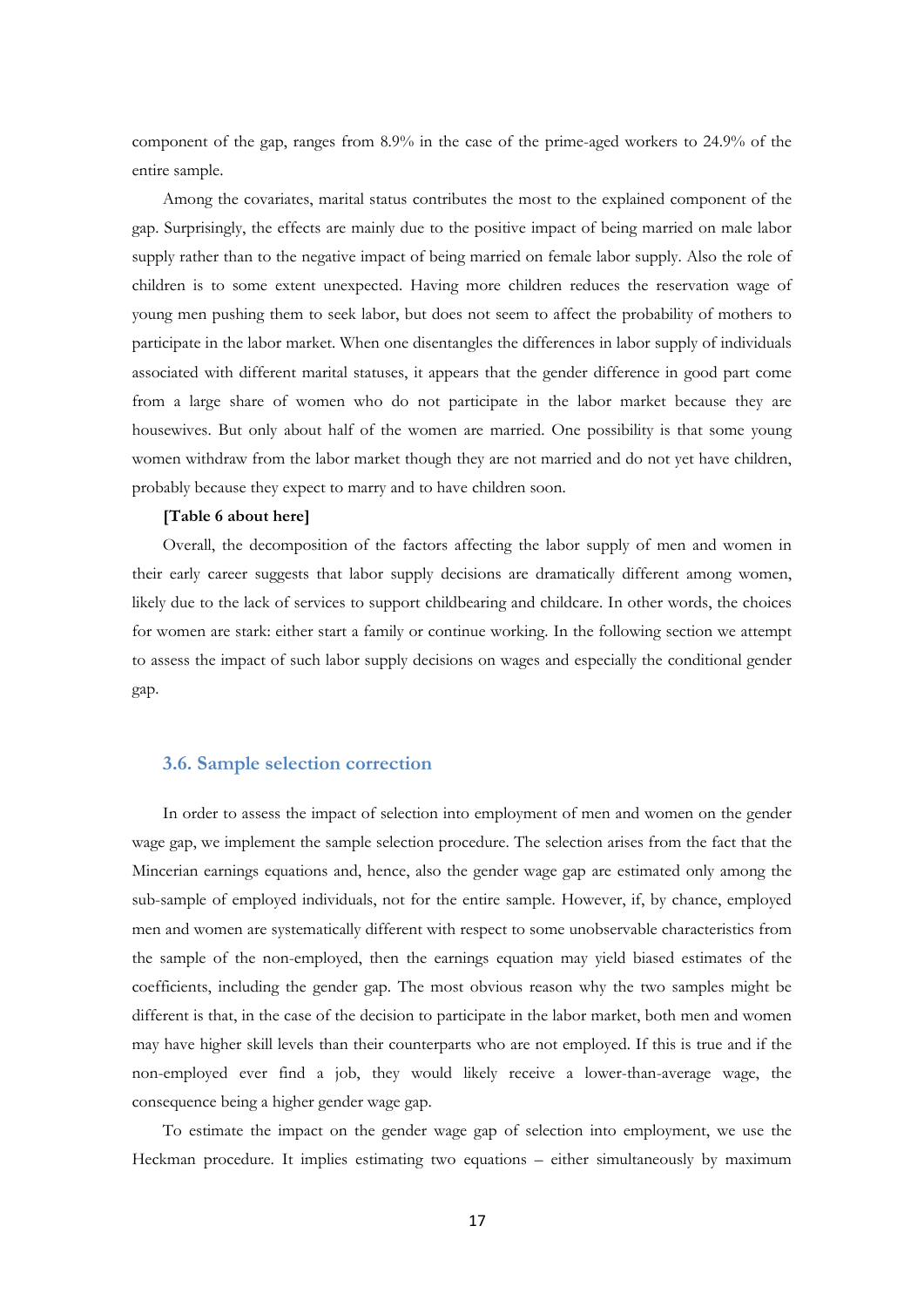component of the gap, ranges from 8.9% in the case of the prime-aged workers to 24.9% of the entire sample.

Among the covariates, marital status contributes the most to the explained component of the gap. Surprisingly, the effects are mainly due to the positive impact of being married on male labor supply rather than to the negative impact of being married on female labor supply. Also the role of children is to some extent unexpected. Having more children reduces the reservation wage of young men pushing them to seek labor, but does not seem to affect the probability of mothers to participate in the labor market. When one disentangles the differences in labor supply of individuals associated with different marital statuses, it appears that the gender difference in good part come from a large share of women who do not participate in the labor market because they are housewives. But only about half of the women are married. One possibility is that some young women withdraw from the labor market though they are not married and do not yet have children, probably because they expect to marry and to have children soon.

#### **[Table 6 about here]**

Overall, the decomposition of the factors affecting the labor supply of men and women in their early career suggests that labor supply decisions are dramatically different among women, likely due to the lack of services to support childbearing and childcare. In other words, the choices for women are stark: either start a family or continue working. In the following section we attempt to assess the impact of such labor supply decisions on wages and especially the conditional gender gap.

#### **3.6. Sample selection correction**

In order to assess the impact of selection into employment of men and women on the gender wage gap, we implement the sample selection procedure. The selection arises from the fact that the Mincerian earnings equations and, hence, also the gender wage gap are estimated only among the sub-sample of employed individuals, not for the entire sample. However, if, by chance, employed men and women are systematically different with respect to some unobservable characteristics from the sample of the non-employed, then the earnings equation may yield biased estimates of the coefficients, including the gender gap. The most obvious reason why the two samples might be different is that, in the case of the decision to participate in the labor market, both men and women may have higher skill levels than their counterparts who are not employed. If this is true and if the non-employed ever find a job, they would likely receive a lower-than-average wage, the consequence being a higher gender wage gap.

To estimate the impact on the gender wage gap of selection into employment, we use the Heckman procedure. It implies estimating two equations – either simultaneously by maximum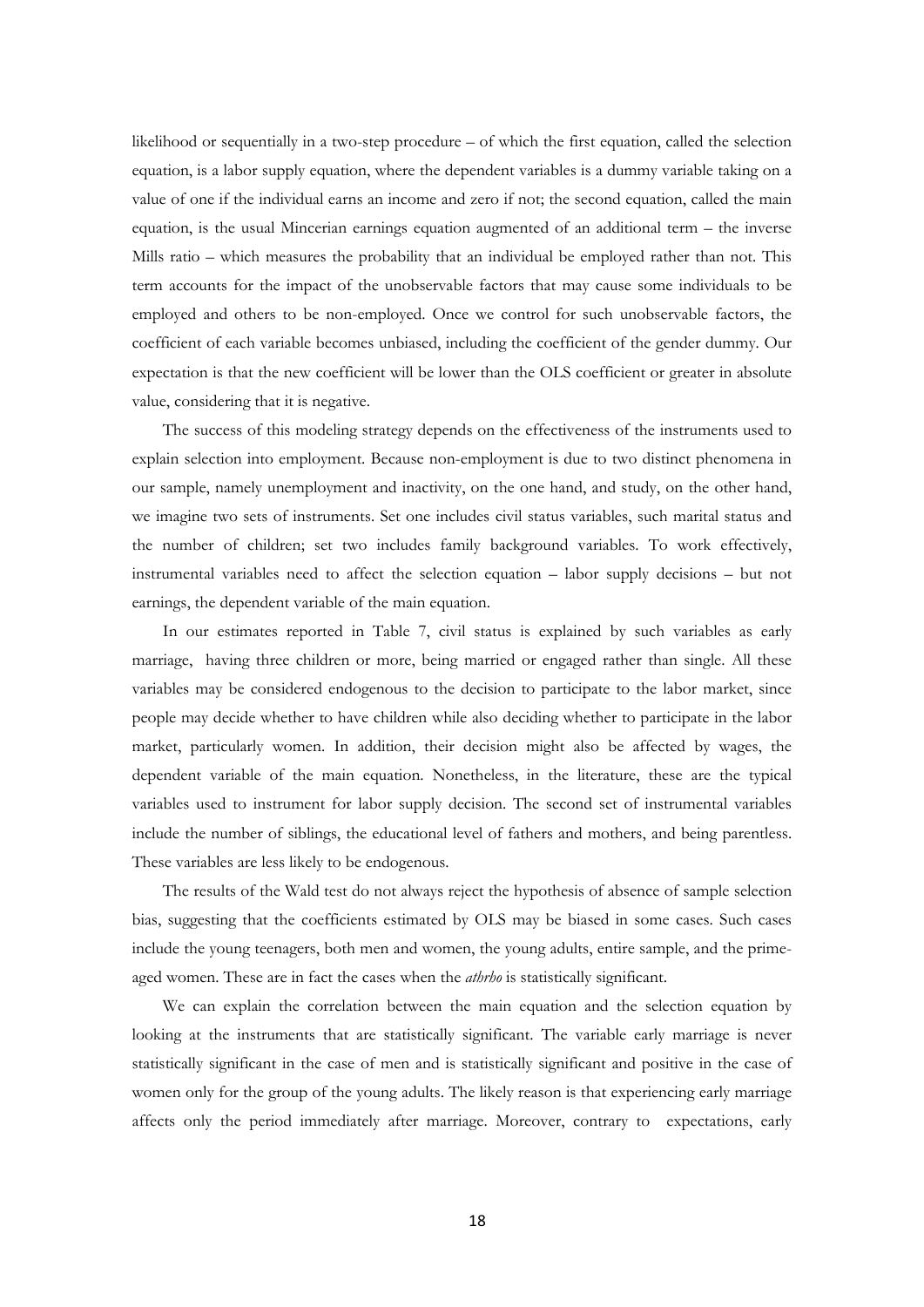likelihood or sequentially in a two-step procedure – of which the first equation, called the selection equation, is a labor supply equation, where the dependent variables is a dummy variable taking on a value of one if the individual earns an income and zero if not; the second equation, called the main equation, is the usual Mincerian earnings equation augmented of an additional term – the inverse Mills ratio – which measures the probability that an individual be employed rather than not. This term accounts for the impact of the unobservable factors that may cause some individuals to be employed and others to be non-employed. Once we control for such unobservable factors, the coefficient of each variable becomes unbiased, including the coefficient of the gender dummy. Our expectation is that the new coefficient will be lower than the OLS coefficient or greater in absolute value, considering that it is negative.

The success of this modeling strategy depends on the effectiveness of the instruments used to explain selection into employment. Because non-employment is due to two distinct phenomena in our sample, namely unemployment and inactivity, on the one hand, and study, on the other hand, we imagine two sets of instruments. Set one includes civil status variables, such marital status and the number of children; set two includes family background variables. To work effectively, instrumental variables need to affect the selection equation – labor supply decisions – but not earnings, the dependent variable of the main equation.

In our estimates reported in Table 7, civil status is explained by such variables as early marriage, having three children or more, being married or engaged rather than single. All these variables may be considered endogenous to the decision to participate to the labor market, since people may decide whether to have children while also deciding whether to participate in the labor market, particularly women. In addition, their decision might also be affected by wages, the dependent variable of the main equation. Nonetheless, in the literature, these are the typical variables used to instrument for labor supply decision. The second set of instrumental variables include the number of siblings, the educational level of fathers and mothers, and being parentless. These variables are less likely to be endogenous.

The results of the Wald test do not always reject the hypothesis of absence of sample selection bias, suggesting that the coefficients estimated by OLS may be biased in some cases. Such cases include the young teenagers, both men and women, the young adults, entire sample, and the primeaged women. These are in fact the cases when the *athrho* is statistically significant.

We can explain the correlation between the main equation and the selection equation by looking at the instruments that are statistically significant. The variable early marriage is never statistically significant in the case of men and is statistically significant and positive in the case of women only for the group of the young adults. The likely reason is that experiencing early marriage affects only the period immediately after marriage. Moreover, contrary to expectations, early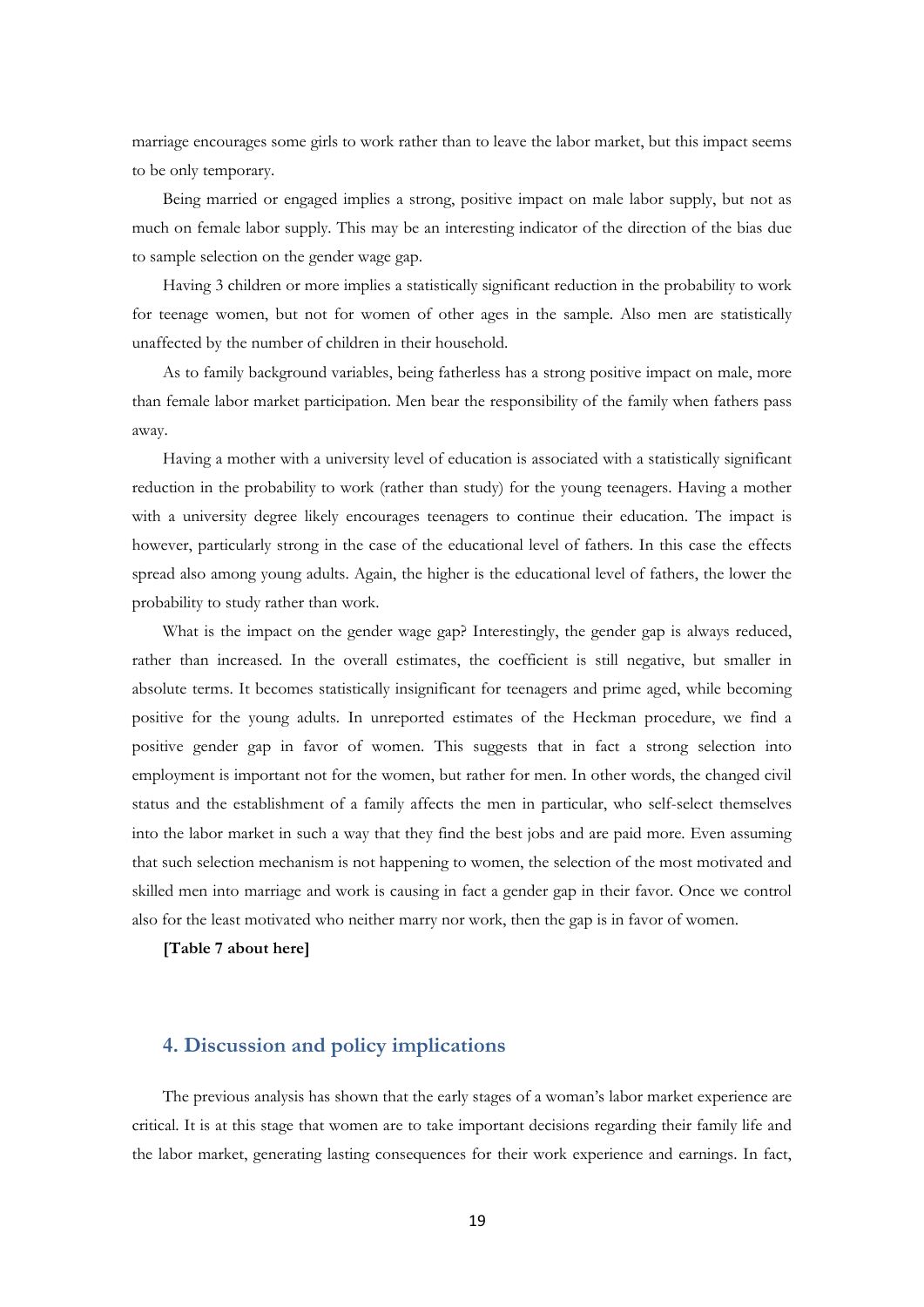marriage encourages some girls to work rather than to leave the labor market, but this impact seems to be only temporary.

Being married or engaged implies a strong, positive impact on male labor supply, but not as much on female labor supply. This may be an interesting indicator of the direction of the bias due to sample selection on the gender wage gap.

Having 3 children or more implies a statistically significant reduction in the probability to work for teenage women, but not for women of other ages in the sample. Also men are statistically unaffected by the number of children in their household.

As to family background variables, being fatherless has a strong positive impact on male, more than female labor market participation. Men bear the responsibility of the family when fathers pass away.

Having a mother with a university level of education is associated with a statistically significant reduction in the probability to work (rather than study) for the young teenagers. Having a mother with a university degree likely encourages teenagers to continue their education. The impact is however, particularly strong in the case of the educational level of fathers. In this case the effects spread also among young adults. Again, the higher is the educational level of fathers, the lower the probability to study rather than work.

What is the impact on the gender wage gap? Interestingly, the gender gap is always reduced, rather than increased. In the overall estimates, the coefficient is still negative, but smaller in absolute terms. It becomes statistically insignificant for teenagers and prime aged, while becoming positive for the young adults. In unreported estimates of the Heckman procedure, we find a positive gender gap in favor of women. This suggests that in fact a strong selection into employment is important not for the women, but rather for men. In other words, the changed civil status and the establishment of a family affects the men in particular, who self-select themselves into the labor market in such a way that they find the best jobs and are paid more. Even assuming that such selection mechanism is not happening to women, the selection of the most motivated and skilled men into marriage and work is causing in fact a gender gap in their favor. Once we control also for the least motivated who neither marry nor work, then the gap is in favor of women.

**[Table 7 about here]** 

# **4. Discussion and policy implications**

The previous analysis has shown that the early stages of a woman's labor market experience are critical. It is at this stage that women are to take important decisions regarding their family life and the labor market, generating lasting consequences for their work experience and earnings. In fact,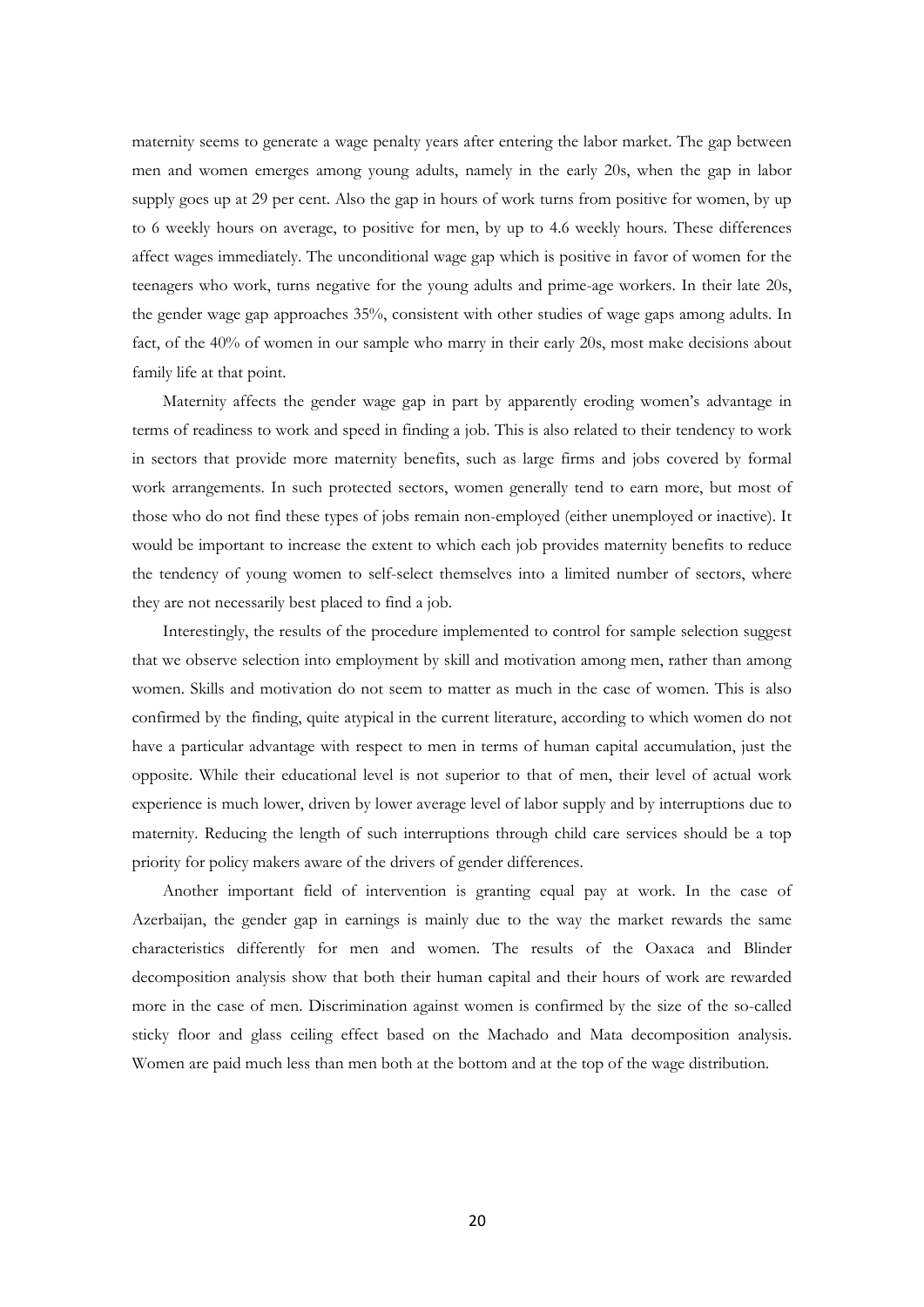maternity seems to generate a wage penalty years after entering the labor market. The gap between men and women emerges among young adults, namely in the early 20s, when the gap in labor supply goes up at 29 per cent. Also the gap in hours of work turns from positive for women, by up to 6 weekly hours on average, to positive for men, by up to 4.6 weekly hours. These differences affect wages immediately. The unconditional wage gap which is positive in favor of women for the teenagers who work, turns negative for the young adults and prime-age workers. In their late 20s, the gender wage gap approaches 35%, consistent with other studies of wage gaps among adults. In fact, of the 40% of women in our sample who marry in their early 20s, most make decisions about family life at that point.

Maternity affects the gender wage gap in part by apparently eroding women's advantage in terms of readiness to work and speed in finding a job. This is also related to their tendency to work in sectors that provide more maternity benefits, such as large firms and jobs covered by formal work arrangements. In such protected sectors, women generally tend to earn more, but most of those who do not find these types of jobs remain non-employed (either unemployed or inactive). It would be important to increase the extent to which each job provides maternity benefits to reduce the tendency of young women to self-select themselves into a limited number of sectors, where they are not necessarily best placed to find a job.

Interestingly, the results of the procedure implemented to control for sample selection suggest that we observe selection into employment by skill and motivation among men, rather than among women. Skills and motivation do not seem to matter as much in the case of women. This is also confirmed by the finding, quite atypical in the current literature, according to which women do not have a particular advantage with respect to men in terms of human capital accumulation, just the opposite. While their educational level is not superior to that of men, their level of actual work experience is much lower, driven by lower average level of labor supply and by interruptions due to maternity. Reducing the length of such interruptions through child care services should be a top priority for policy makers aware of the drivers of gender differences.

Another important field of intervention is granting equal pay at work. In the case of Azerbaijan, the gender gap in earnings is mainly due to the way the market rewards the same characteristics differently for men and women. The results of the Oaxaca and Blinder decomposition analysis show that both their human capital and their hours of work are rewarded more in the case of men. Discrimination against women is confirmed by the size of the so-called sticky floor and glass ceiling effect based on the Machado and Mata decomposition analysis. Women are paid much less than men both at the bottom and at the top of the wage distribution.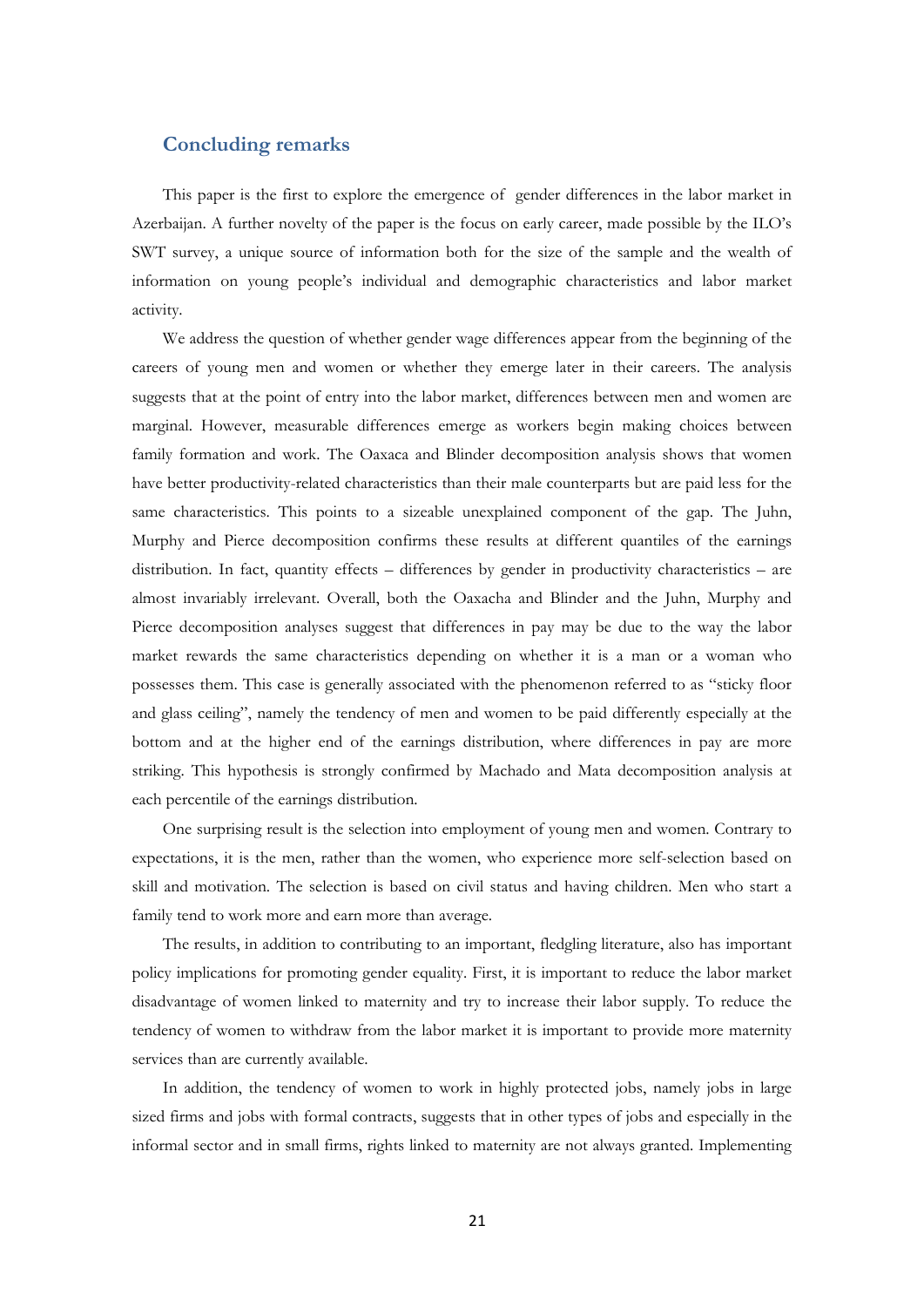### **Concluding remarks**

This paper is the first to explore the emergence of gender differences in the labor market in Azerbaijan. A further novelty of the paper is the focus on early career, made possible by the ILO's SWT survey, a unique source of information both for the size of the sample and the wealth of information on young people's individual and demographic characteristics and labor market activity.

We address the question of whether gender wage differences appear from the beginning of the careers of young men and women or whether they emerge later in their careers. The analysis suggests that at the point of entry into the labor market, differences between men and women are marginal. However, measurable differences emerge as workers begin making choices between family formation and work. The Oaxaca and Blinder decomposition analysis shows that women have better productivity-related characteristics than their male counterparts but are paid less for the same characteristics. This points to a sizeable unexplained component of the gap. The Juhn, Murphy and Pierce decomposition confirms these results at different quantiles of the earnings distribution. In fact, quantity effects – differences by gender in productivity characteristics – are almost invariably irrelevant. Overall, both the Oaxacha and Blinder and the Juhn, Murphy and Pierce decomposition analyses suggest that differences in pay may be due to the way the labor market rewards the same characteristics depending on whether it is a man or a woman who possesses them. This case is generally associated with the phenomenon referred to as "sticky floor and glass ceiling", namely the tendency of men and women to be paid differently especially at the bottom and at the higher end of the earnings distribution, where differences in pay are more striking. This hypothesis is strongly confirmed by Machado and Mata decomposition analysis at each percentile of the earnings distribution.

One surprising result is the selection into employment of young men and women. Contrary to expectations, it is the men, rather than the women, who experience more self-selection based on skill and motivation. The selection is based on civil status and having children. Men who start a family tend to work more and earn more than average.

The results, in addition to contributing to an important, fledgling literature, also has important policy implications for promoting gender equality. First, it is important to reduce the labor market disadvantage of women linked to maternity and try to increase their labor supply. To reduce the tendency of women to withdraw from the labor market it is important to provide more maternity services than are currently available.

In addition, the tendency of women to work in highly protected jobs, namely jobs in large sized firms and jobs with formal contracts, suggests that in other types of jobs and especially in the informal sector and in small firms, rights linked to maternity are not always granted. Implementing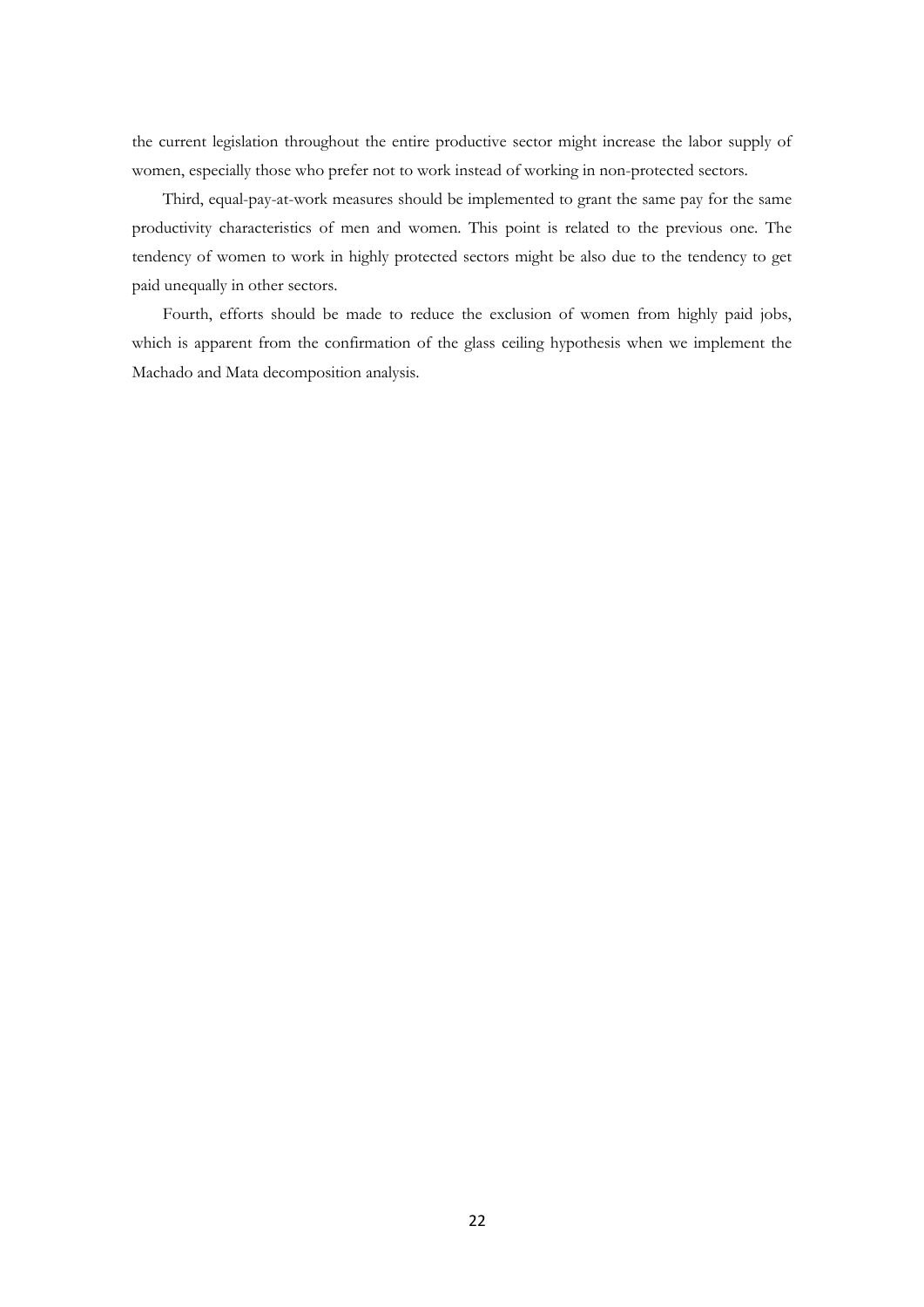the current legislation throughout the entire productive sector might increase the labor supply of women, especially those who prefer not to work instead of working in non-protected sectors.

Third, equal-pay-at-work measures should be implemented to grant the same pay for the same productivity characteristics of men and women. This point is related to the previous one. The tendency of women to work in highly protected sectors might be also due to the tendency to get paid unequally in other sectors.

Fourth, efforts should be made to reduce the exclusion of women from highly paid jobs, which is apparent from the confirmation of the glass ceiling hypothesis when we implement the Machado and Mata decomposition analysis.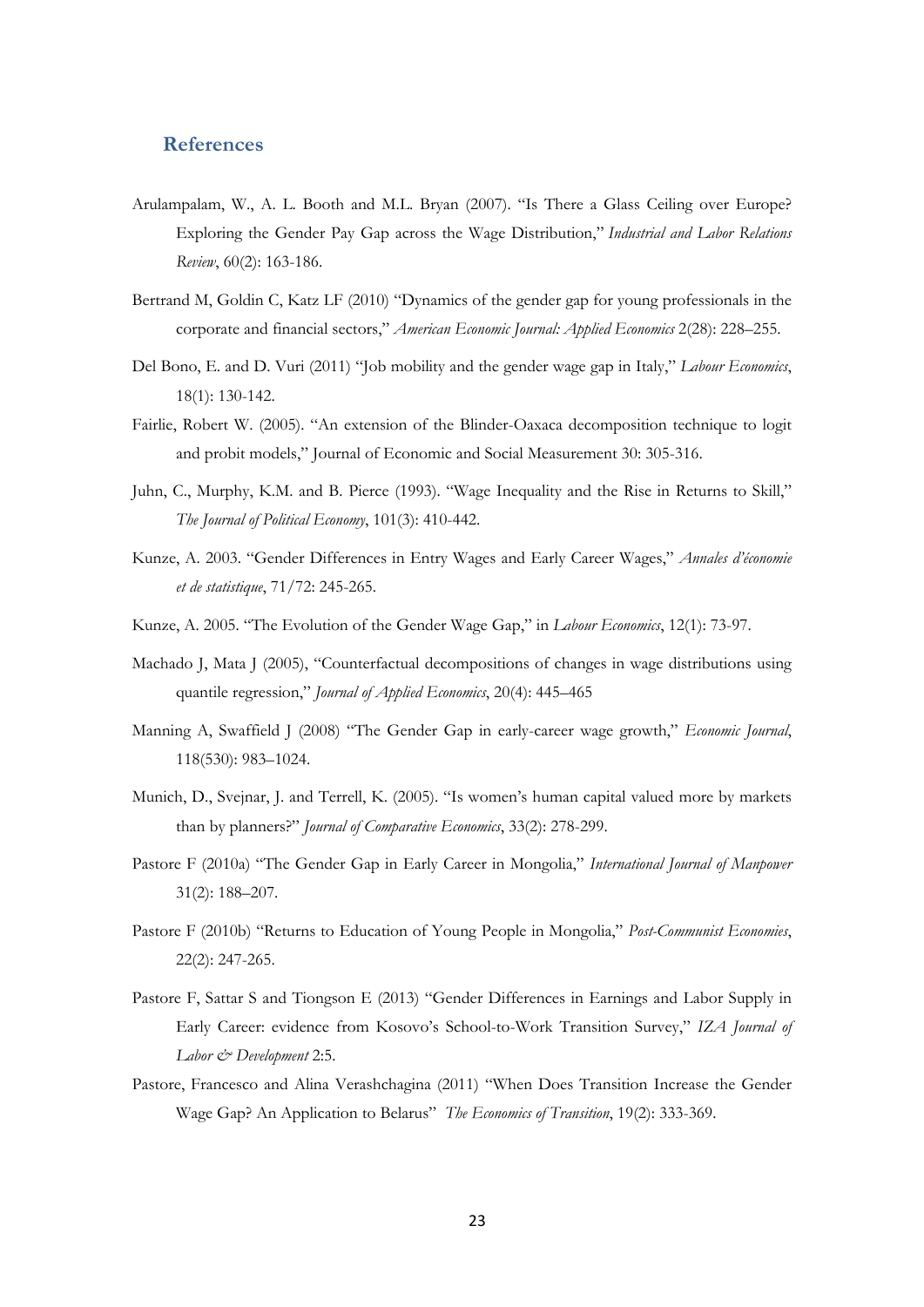## **References**

- Arulampalam, W., A. L. Booth and M.L. Bryan (2007). "Is There a Glass Ceiling over Europe? Exploring the Gender Pay Gap across the Wage Distribution," *Industrial and Labor Relations Review*, 60(2): 163-186.
- Bertrand M, Goldin C, Katz LF (2010) "Dynamics of the gender gap for young professionals in the corporate and financial sectors," *American Economic Journal: Applied Economics* 2(28): 228–255.
- Del Bono, E. and D. Vuri (2011) "Job mobility and the gender wage gap in Italy," *Labour Economics*, 18(1): 130-142.
- Fairlie, Robert W. (2005). "An extension of the Blinder-Oaxaca decomposition technique to logit and probit models," Journal of Economic and Social Measurement 30: 305-316.
- Juhn, C., Murphy, K.M. and B. Pierce (1993). "Wage Inequality and the Rise in Returns to Skill," *The Journal of Political Economy*, 101(3): 410-442.
- Kunze, A. 2003. "Gender Differences in Entry Wages and Early Career Wages," *Annales d'économie et de statistique*, 71/72: 245-265.
- Kunze, A. 2005. "The Evolution of the Gender Wage Gap," in *Labour Economics*, 12(1): 73-97.
- Machado J, Mata J (2005), "Counterfactual decompositions of changes in wage distributions using quantile regression," *Journal of Applied Economics*, 20(4): 445–465
- Manning A, Swaffield J (2008) "The Gender Gap in early-career wage growth," *Economic Journal*, 118(530): 983–1024.
- Munich, D., Svejnar, J. and Terrell, K. (2005). "Is women's human capital valued more by markets than by planners?" *Journal of Comparative Economics*, 33(2): 278-299.
- Pastore F (2010a) "The Gender Gap in Early Career in Mongolia," *International Journal of Manpower* 31(2): 188–207.
- Pastore F (2010b) "Returns to Education of Young People in Mongolia," *Post-Communist Economies*, 22(2): 247-265.
- Pastore F, Sattar S and Tiongson E (2013) "Gender Differences in Earnings and Labor Supply in Early Career: evidence from Kosovo's School-to-Work Transition Survey," *IZA Journal of Labor & Development* 2:5.
- Pastore, Francesco and Alina Verashchagina (2011) "When Does Transition Increase the Gender Wage Gap? An Application to Belarus" *The Economics of Transition*, 19(2): 333-369.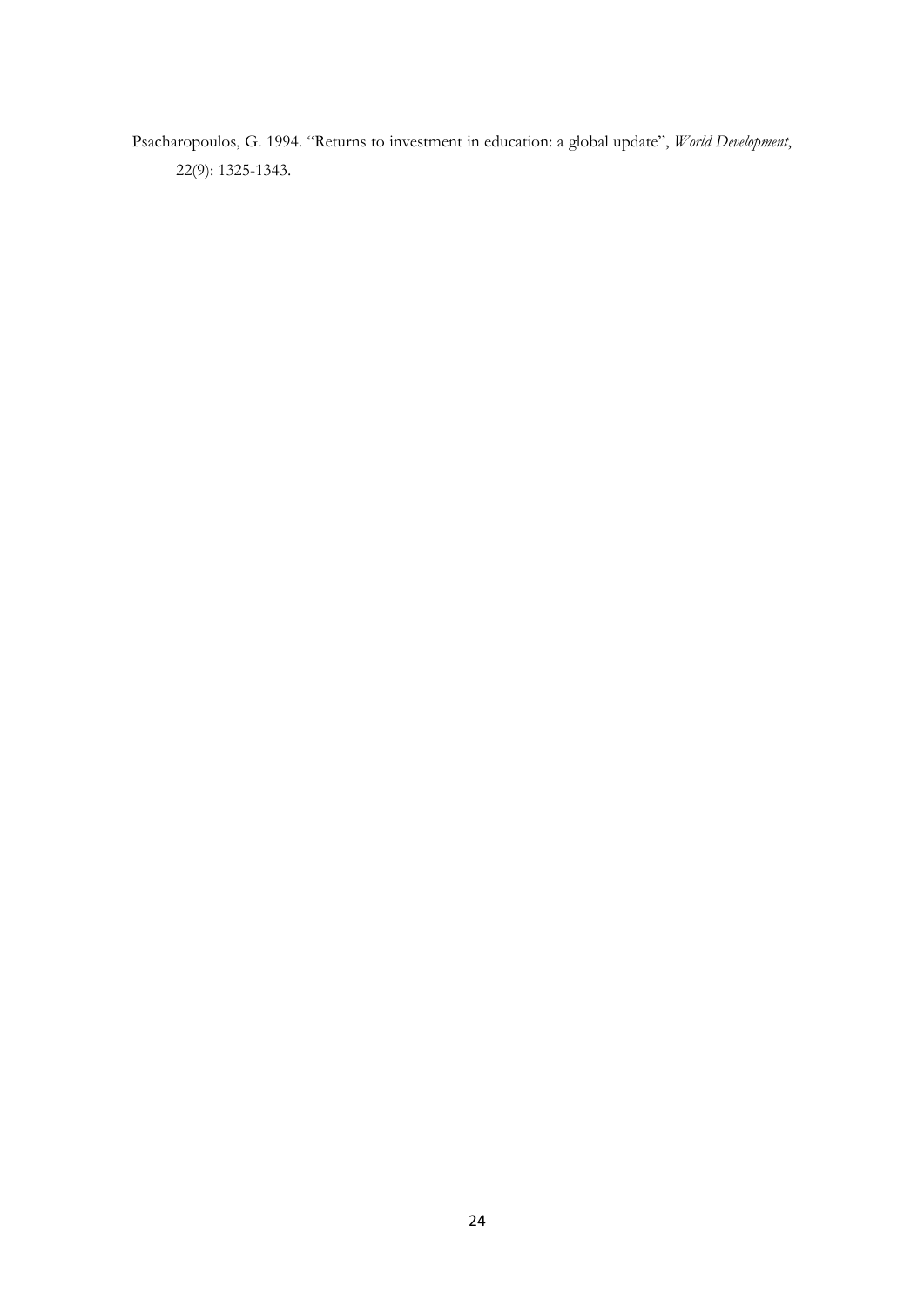Psacharopoulos, G. 1994. "Returns to investment in education: a global update", *World Development*, 22(9): 1325-1343.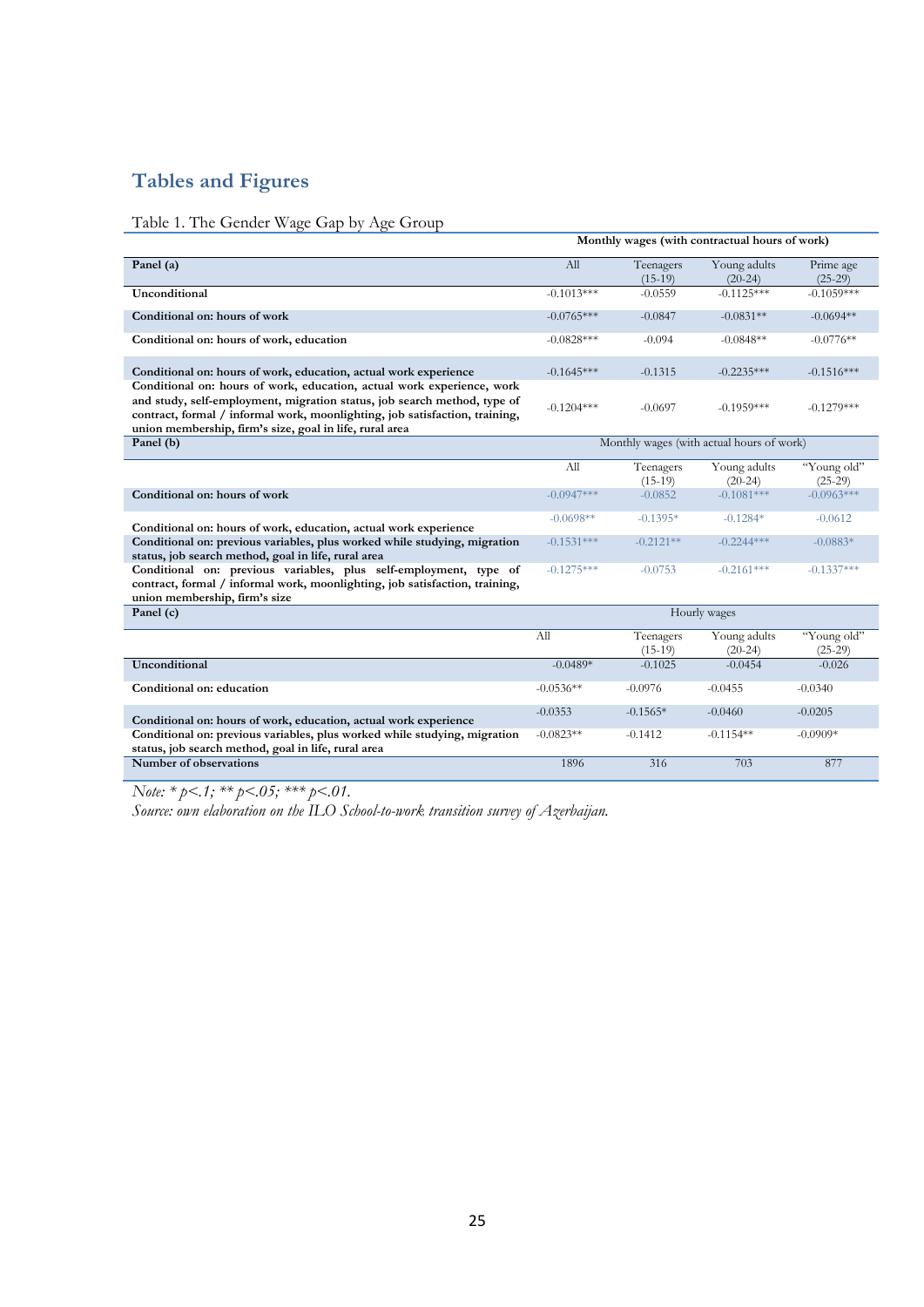# **Tables and Figures**

# Table 1. The Gender Wage Gap by Age Group

|                                                                                                                                                                                                                                                                                              | Monthly wages (with contractual hours of work)<br>Young adults<br>All<br>Teenagers |                        |                                           |                          |  |  |  |  |  |
|----------------------------------------------------------------------------------------------------------------------------------------------------------------------------------------------------------------------------------------------------------------------------------------------|------------------------------------------------------------------------------------|------------------------|-------------------------------------------|--------------------------|--|--|--|--|--|
| Panel (a)                                                                                                                                                                                                                                                                                    |                                                                                    | $(15-19)$              | $(20-24)$                                 | Prime age<br>$(25-29)$   |  |  |  |  |  |
| Unconditional                                                                                                                                                                                                                                                                                | $-0.1013***$                                                                       | $-0.0559$              | $-0.1125***$                              | $-0.1059***$             |  |  |  |  |  |
| Conditional on: hours of work                                                                                                                                                                                                                                                                | $-0.0765***$                                                                       | $-0.0847$              | $-0.0831**$                               | $-0.0694**$              |  |  |  |  |  |
| Conditional on: hours of work, education                                                                                                                                                                                                                                                     | $-0.0828***$                                                                       | $-0.094$               | $-0.0848**$                               | $-0.0776**$              |  |  |  |  |  |
| Conditional on: hours of work, education, actual work experience                                                                                                                                                                                                                             | $-0.1645***$                                                                       | $-0.1315$              | $-0.2235***$                              | $-0.1516***$             |  |  |  |  |  |
| Conditional on: hours of work, education, actual work experience, work<br>and study, self-employment, migration status, job search method, type of<br>contract, formal / informal work, moonlighting, job satisfaction, training,<br>union membership, firm's size, goal in life, rural area | $-0.1204***$                                                                       | $-0.0697$              | $-0.1959***$                              | $-0.1279***$             |  |  |  |  |  |
| Panel (b)                                                                                                                                                                                                                                                                                    |                                                                                    |                        | Monthly wages (with actual hours of work) |                          |  |  |  |  |  |
|                                                                                                                                                                                                                                                                                              | All                                                                                | Teenagers<br>$(15-19)$ | Young adults<br>$(20-24)$                 | "Young old"<br>$(25-29)$ |  |  |  |  |  |
| Conditional on: hours of work                                                                                                                                                                                                                                                                | $-0.0947***$                                                                       | $-0.0852$              | $-0.1081***$                              | $-0.0963***$             |  |  |  |  |  |
| Conditional on: hours of work, education, actual work experience                                                                                                                                                                                                                             | $-0.0698**$                                                                        | $-0.1395*$             | $-0.1284*$                                | $-0.0612$                |  |  |  |  |  |
| Conditional on: previous variables, plus worked while studying, migration<br>status, job search method, goal in life, rural area                                                                                                                                                             | $-0.1531***$                                                                       | $-0.2121**$            | $-0.2244***$                              | $-0.0883*$               |  |  |  |  |  |
| Conditional on: previous variables, plus self-employment, type of<br>contract, formal / informal work, moonlighting, job satisfaction, training,<br>union membership, firm's size                                                                                                            | $-0.1275***$                                                                       | $-0.0753$              | $-0.2161***$                              | $-0.1337***$             |  |  |  |  |  |
| Panel (c)                                                                                                                                                                                                                                                                                    |                                                                                    |                        | Hourly wages                              |                          |  |  |  |  |  |
|                                                                                                                                                                                                                                                                                              | All                                                                                | Teenagers<br>$(15-19)$ | Young adults<br>$(20-24)$                 | "Young old"<br>$(25-29)$ |  |  |  |  |  |
| Unconditional                                                                                                                                                                                                                                                                                | $-0.0489*$                                                                         | $-0.1025$              | $-0.0454$                                 | $-0.026$                 |  |  |  |  |  |
| Conditional on: education                                                                                                                                                                                                                                                                    | $-0.0536**$                                                                        | $-0.0976$              | $-0.0455$                                 | $-0.0340$                |  |  |  |  |  |
| Conditional on: hours of work, education, actual work experience                                                                                                                                                                                                                             | $-0.0353$                                                                          | $-0.1565*$             | $-0.0460$                                 | $-0.0205$                |  |  |  |  |  |
| Conditional on: previous variables, plus worked while studying, migration<br>status, job search method, goal in life, rural area                                                                                                                                                             | $-0.0823**$                                                                        | $-0.1412$              | $-0.1154**$                               | $-0.0909*$               |  |  |  |  |  |
| Number of observations                                                                                                                                                                                                                                                                       | 1896                                                                               | 316                    | 703                                       | 877                      |  |  |  |  |  |

*Note: \* p<.1; \*\* p<.05; \*\*\* p<.01.*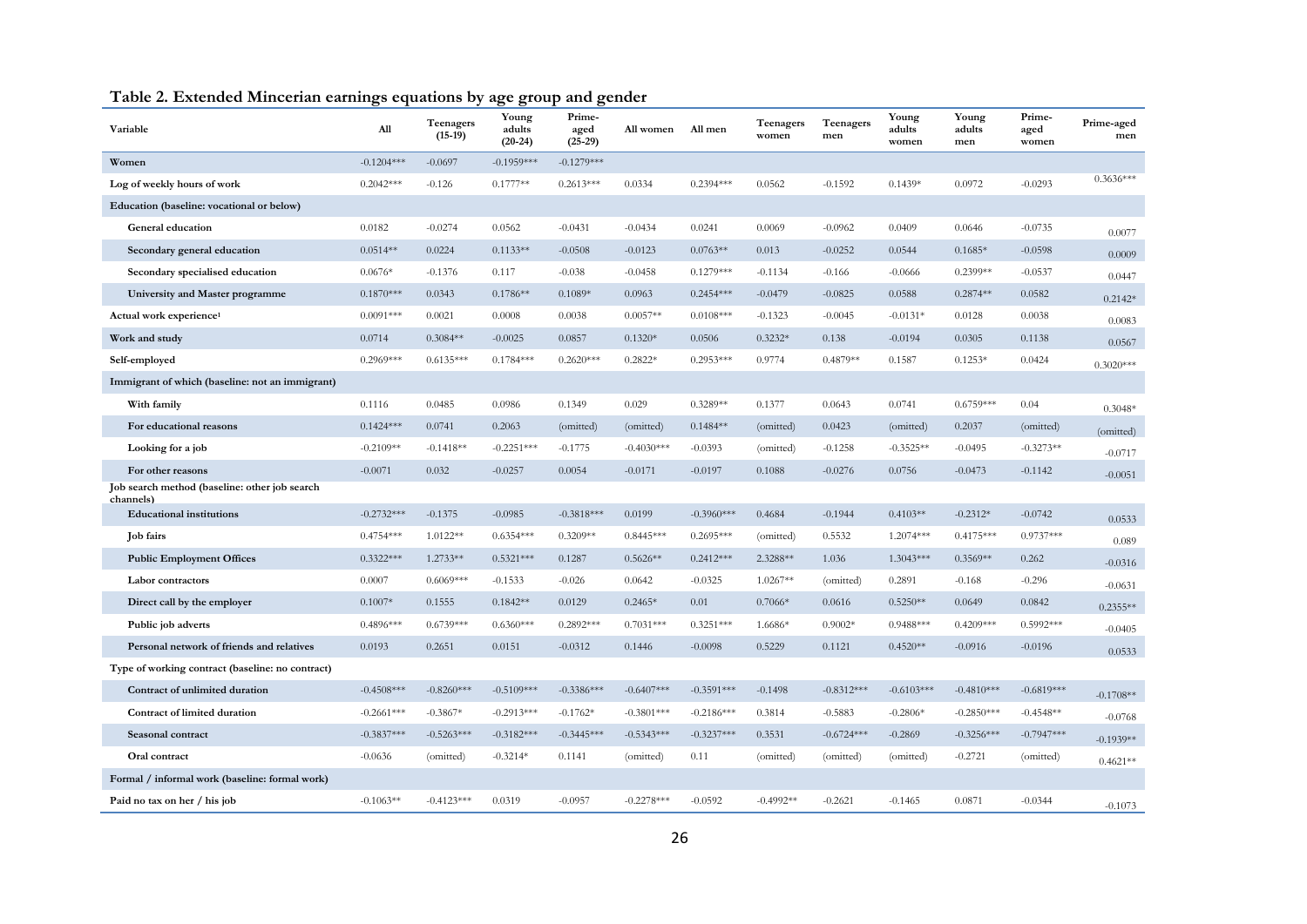| Variable                                                   | All          | Teenagers<br>$(15-19)$ | Young<br>adults<br>$(20-24)$ | Prime-<br>aged<br>$(25-29)$ | All women    | All men      | Teenagers<br>women | Teenagers<br>men | Young<br>adults<br>women | Young<br>adults<br>men | Prime-<br>aged<br>women | Prime-aged<br>men |
|------------------------------------------------------------|--------------|------------------------|------------------------------|-----------------------------|--------------|--------------|--------------------|------------------|--------------------------|------------------------|-------------------------|-------------------|
| Women                                                      | $-0.1204***$ | $-0.0697$              | $-0.1959***$                 | $-0.1279***$                |              |              |                    |                  |                          |                        |                         |                   |
| Log of weekly hours of work                                | $0.2042***$  | $-0.126$               | $0.1777**$                   | $0.2613***$                 | 0.0334       | $0.2394***$  | 0.0562             | $-0.1592$        | $0.1439*$                | 0.0972                 | $-0.0293$               | $0.3636***$       |
| Education (baseline: vocational or below)                  |              |                        |                              |                             |              |              |                    |                  |                          |                        |                         |                   |
| General education                                          | 0.0182       | $-0.0274$              | 0.0562                       | $-0.0431$                   | $-0.0434$    | 0.0241       | 0.0069             | $-0.0962$        | 0.0409                   | 0.0646                 | $-0.0735$               | 0.0077            |
| Secondary general education                                | $0.0514**$   | 0.0224                 | $0.1133**$                   | $-0.0508$                   | $-0.0123$    | $0.0763**$   | 0.013              | $-0.0252$        | 0.0544                   | $0.1685*$              | $-0.0598$               | 0.0009            |
| Secondary specialised education                            | $0.0676*$    | $-0.1376$              | 0.117                        | $-0.038$                    | $-0.0458$    | $0.1279***$  | $-0.1134$          | $-0.166$         | $-0.0666$                | $0.2399**$             | $-0.0537$               | 0.0447            |
| University and Master programme                            | $0.1870***$  | 0.0343                 | $0.1786**$                   | $0.1089*$                   | 0.0963       | $0.2454***$  | $-0.0479$          | $-0.0825$        | 0.0588                   | $0.2874**$             | 0.0582                  | $0.2142*$         |
| Actual work experience <sup>1</sup>                        | $0.0091***$  | 0.0021                 | 0.0008                       | 0.0038                      | $0.0057**$   | $0.0108***$  | $-0.1323$          | $-0.0045$        | $-0.0131*$               | 0.0128                 | 0.0038                  | 0.0083            |
| Work and study                                             | 0.0714       | $0.3084**$             | $-0.0025$                    | 0.0857                      | $0.1320*$    | 0.0506       | $0.3232*$          | 0.138            | $-0.0194$                | 0.0305                 | 0.1138                  | 0.0567            |
| Self-employed                                              | $0.2969***$  | $0.6135***$            | $0.1784***$                  | $0.2620***$                 | $0.2822*$    | $0.2953***$  | 0.9774             | $0.4879**$       | 0.1587                   | $0.1253*$              | 0.0424                  | $0.3020***$       |
| Immigrant of which (baseline: not an immigrant)            |              |                        |                              |                             |              |              |                    |                  |                          |                        |                         |                   |
| With family                                                | 0.1116       | 0.0485                 | 0.0986                       | 0.1349                      | 0.029        | $0.3289**$   | 0.1377             | 0.0643           | 0.0741                   | $0.6759***$            | 0.04                    | $0.3048*$         |
| For educational reasons                                    | $0.1424***$  | 0.0741                 | 0.2063                       | (omitted)                   | (omitted)    | $0.1484**$   | (omitted)          | 0.0423           | (omitted)                | 0.2037                 | (omitted)               | (omitted)         |
| Looking for a job                                          | $-0.2109**$  | $-0.1418**$            | $-0.2251***$                 | $-0.1775$                   | $-0.4030***$ | $-0.0393$    | (omitted)          | $-0.1258$        | $-0.3525**$              | $-0.0495$              | $-0.3273**$             | $-0.0717$         |
| For other reasons                                          | $-0.0071$    | 0.032                  | $-0.0257$                    | 0.0054                      | $-0.0171$    | $-0.0197$    | 0.1088             | $-0.0276$        | 0.0756                   | $-0.0473$              | $-0.1142$               | $-0.0051$         |
| Job search method (baseline: other job search<br>channels) |              |                        |                              |                             |              |              |                    |                  |                          |                        |                         |                   |
| <b>Educational institutions</b>                            | $-0.2732***$ | $-0.1375$              | $-0.0985$                    | $-0.3818***$                | 0.0199       | $-0.3960***$ | 0.4684             | $-0.1944$        | $0.4103**$               | $-0.2312*$             | $-0.0742$               | 0.0533            |
| <b>Job</b> fairs                                           | $0.4754***$  | 1.0122**               | $0.6354***$                  | $0.3209**$                  | $0.8445***$  | $0.2695***$  | (omitted)          | 0.5532           | $1.2074***$              | $0.4175***$            | $0.9737***$             | 0.089             |
| <b>Public Employment Offices</b>                           | $0.3322***$  | 1.2733**               | $0.5321***$                  | 0.1287                      | $0.5626**$   | $0.2412***$  | 2.3288**           | 1.036            | $1.3043***$              | $0.3569**$             | 0.262                   | $-0.0316$         |
| Labor contractors                                          | 0.0007       | $0.6069***$            | $-0.1533$                    | $-0.026$                    | 0.0642       | $-0.0325$    | $1.0267**$         | (omitted)        | 0.2891                   | $-0.168$               | $-0.296$                | $-0.0631$         |
| Direct call by the employer                                | $0.1007*$    | 0.1555                 | $0.1842**$                   | 0.0129                      | $0.2465*$    | 0.01         | $0.7066*$          | 0.0616           | $0.5250**$               | 0.0649                 | 0.0842                  | $0.2355**$        |
| Public job adverts                                         | $0.4896***$  | $0.6739***$            | $0.6360***$                  | $0.2892***$                 | $0.7031***$  | $0.3251***$  | 1.6686*            | $0.9002*$        | $0.9488***$              | $0.4209***$            | $0.5992***$             | $-0.0405$         |
| Personal network of friends and relatives                  | 0.0193       | 0.2651                 | 0.0151                       | $-0.0312$                   | 0.1446       | $-0.0098$    | 0.5229             | 0.1121           | $0.4520**$               | $-0.0916$              | $-0.0196$               | 0.0533            |
| Type of working contract (baseline: no contract)           |              |                        |                              |                             |              |              |                    |                  |                          |                        |                         |                   |
| Contract of unlimited duration                             | $-0.4508***$ | $-0.8260***$           | $-0.5109***$                 | $-0.3386***$                | $-0.6407***$ | $-0.3591***$ | $-0.1498$          | $-0.8312***$     | $-0.6103***$             | $-0.4810***$           | $-0.6819***$            | $-0.1708**$       |
| Contract of limited duration                               | $-0.2661***$ | $-0.3867*$             | $-0.2913***$                 | $-0.1762*$                  | $-0.3801***$ | $-0.2186***$ | 0.3814             | $-0.5883$        | $-0.2806*$               | $-0.2850***$           | $-0.4548**$             | $-0.0768$         |
| Seasonal contract                                          | $-0.3837***$ | $-0.5263***$           | $-0.3182***$                 | $-0.3445***$                | $-0.5343***$ | $-0.3237***$ | 0.3531             | $-0.6724***$     | $-0.2869$                | $-0.3256***$           | $-0.7947***$            | $-0.1939**$       |
| Oral contract                                              | $-0.0636$    | (omitted)              | $-0.3214*$                   | 0.1141                      | (omitted)    | 0.11         | (omitted)          | (omitted)        | (omitted)                | $-0.2721$              | (omitted)               | $0.4621**$        |
| Formal / informal work (baseline: formal work)             |              |                        |                              |                             |              |              |                    |                  |                          |                        |                         |                   |
| Paid no tax on her / his job                               | $-0.1063**$  | $-0.4123***$           | 0.0319                       | $-0.0957$                   | $-0.2278***$ | $-0.0592$    | $-0.4992**$        | $-0.2621$        | $-0.1465$                | 0.0871                 | $-0.0344$               | $-0.1073$         |

# **Table 2. Extended Mincerian earnings equations by age group and gender**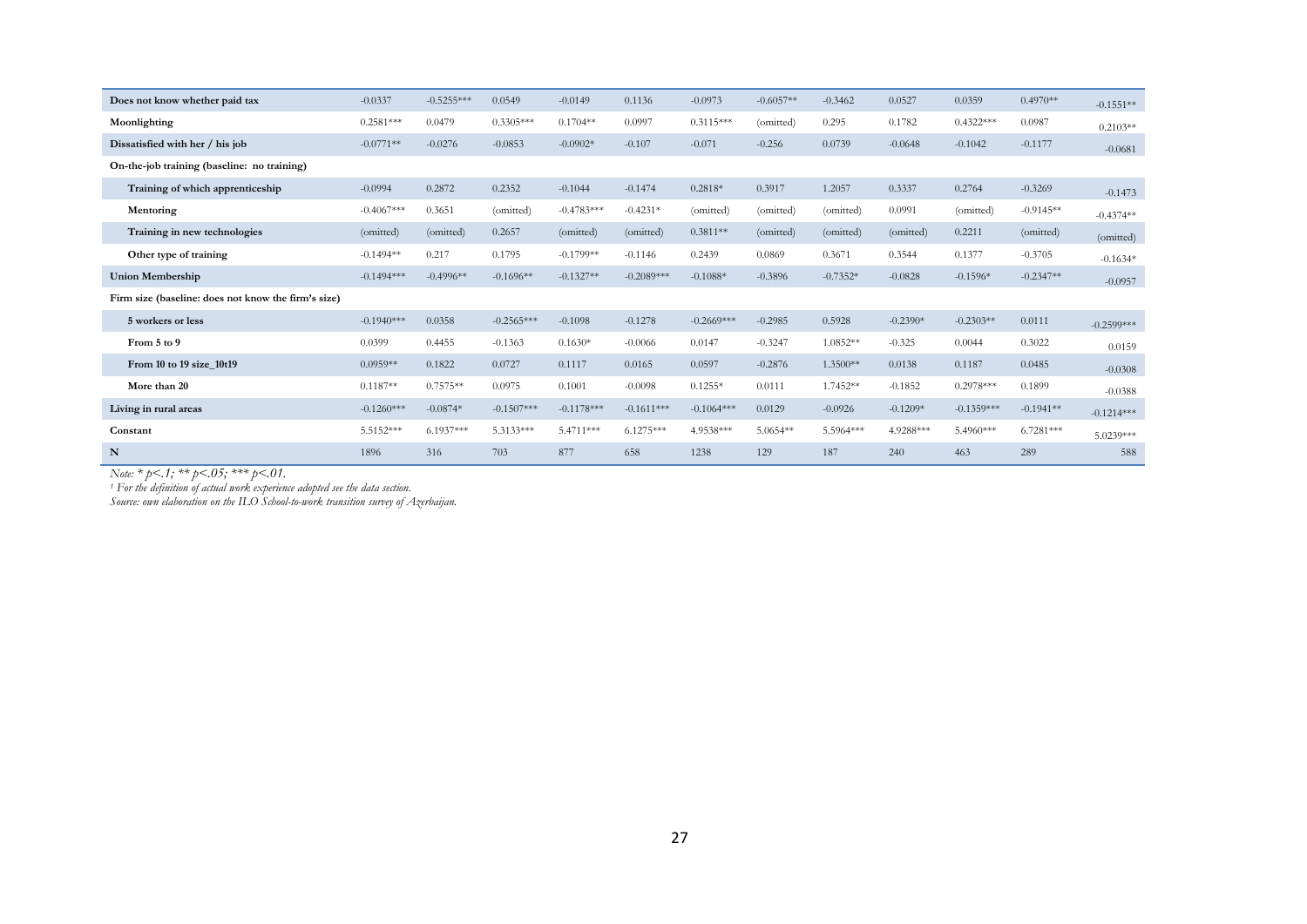| Does not know whether paid tax                      | $-0.0337$    | $-0.5255***$ | 0.0549       | $-0.0149$    | 0.1136       | $-0.0973$    | $-0.6057**$ | $-0.3462$  | 0.0527     | 0.0359       | $0.4970**$  | $-0.1551**$  |
|-----------------------------------------------------|--------------|--------------|--------------|--------------|--------------|--------------|-------------|------------|------------|--------------|-------------|--------------|
| Moonlighting                                        | $0.2581***$  | 0.0479       | $0.3305***$  | $0.1704**$   | 0.0997       | $0.3115***$  | (omitted)   | 0.295      | 0.1782     | $0.4322***$  | 0.0987      | $0.2103**$   |
| Dissatisfied with her / his job                     | $-0.0771**$  | $-0.0276$    | $-0.0853$    | $-0.0902*$   | $-0.107$     | $-0.071$     | $-0.256$    | 0.0739     | $-0.0648$  | $-0.1042$    | $-0.1177$   | $-0.0681$    |
| On-the-job training (baseline: no training)         |              |              |              |              |              |              |             |            |            |              |             |              |
| Training of which apprenticeship                    | $-0.0994$    | 0.2872       | 0.2352       | $-0.1044$    | $-0.1474$    | $0.2818*$    | 0.3917      | 1.2057     | 0.3337     | 0.2764       | $-0.3269$   | $-0.1473$    |
| Mentoring                                           | $-0.4067***$ | 0.3651       | (omitted)    | $-0.4783***$ | $-0.4231*$   | (omitted)    | (omitted)   | (omitted)  | 0.0991     | (omitted)    | $-0.9145**$ | $-0.4374**$  |
| Training in new technologies                        | (omitted)    | (omitted)    | 0.2657       | (omitted)    | (omitted)    | $0.3811**$   | (omitted)   | (omitted)  | (omitted)  | 0.2211       | (omitted)   | (omitted)    |
| Other type of training                              | $-0.1494**$  | 0.217        | 0.1795       | $-0.1799**$  | $-0.1146$    | 0.2439       | 0.0869      | 0.3671     | 0.3544     | 0.1377       | $-0.3705$   | $-0.1634*$   |
| <b>Union Membership</b>                             | $-0.1494***$ | $-0.4996**$  | $-0.1696**$  | $-0.1327**$  | $-0.2089***$ | $-0.1088*$   | $-0.3896$   | $-0.7352*$ | $-0.0828$  | $-0.1596*$   | $-0.2347**$ | $-0.0957$    |
| Firm size (baseline: does not know the firm's size) |              |              |              |              |              |              |             |            |            |              |             |              |
| 5 workers or less                                   | $-0.1940***$ | 0.0358       | $-0.2565***$ | $-0.1098$    | $-0.1278$    | $-0.2669***$ | $-0.2985$   | 0.5928     | $-0.2390*$ | $-0.2303**$  | 0.0111      | $-0.2599***$ |
| From 5 to 9                                         | 0.0399       | 0.4455       | $-0.1363$    | $0.1630*$    | $-0.0066$    | 0.0147       | $-0.3247$   | $1.0852**$ | $-0.325$   | 0.0044       | 0.3022      | 0.0159       |
| From 10 to 19 size 10t19                            | $0.0959**$   | 0.1822       | 0.0727       | 0.1117       | 0.0165       | 0.0597       | $-0.2876$   | 1.3500**   | 0.0138     | 0.1187       | 0.0485      | $-0.0308$    |
| More than 20                                        | $0.1187**$   | $0.7575**$   | 0.0975       | 0.1001       | $-0.0098$    | $0.1255*$    | 0.0111      | 1.7452**   | $-0.1852$  | $0.2978***$  | 0.1899      | $-0.0388$    |
| Living in rural areas                               | $-0.1260***$ | $-0.0874*$   | $-0.1507***$ | $-0.1178***$ | $-0.1611***$ | $-0.1064***$ | 0.0129      | $-0.0926$  | $-0.1209*$ | $-0.1359***$ | $-0.1941**$ | $-0.1214***$ |
| Constant                                            | 5.5152***    | $6.1937***$  | 5.3133***    | 5.4711***    | $6.1275***$  | 4.9538***    | 5.0654**    | 5.5964***  | 4.9288***  | 5.4960***    | $6.7281***$ | $5.0239***$  |
| N                                                   | 1896         | 316          | 703          | 877          | 658          | 1238         | 129         | 187        | 240        | 463          | 289         | 588          |

*Note: \* p<.1; \*\* p<.05; \*\*\* p<.01.* 

*1 For the definition of actual work experience adopted see the data section.*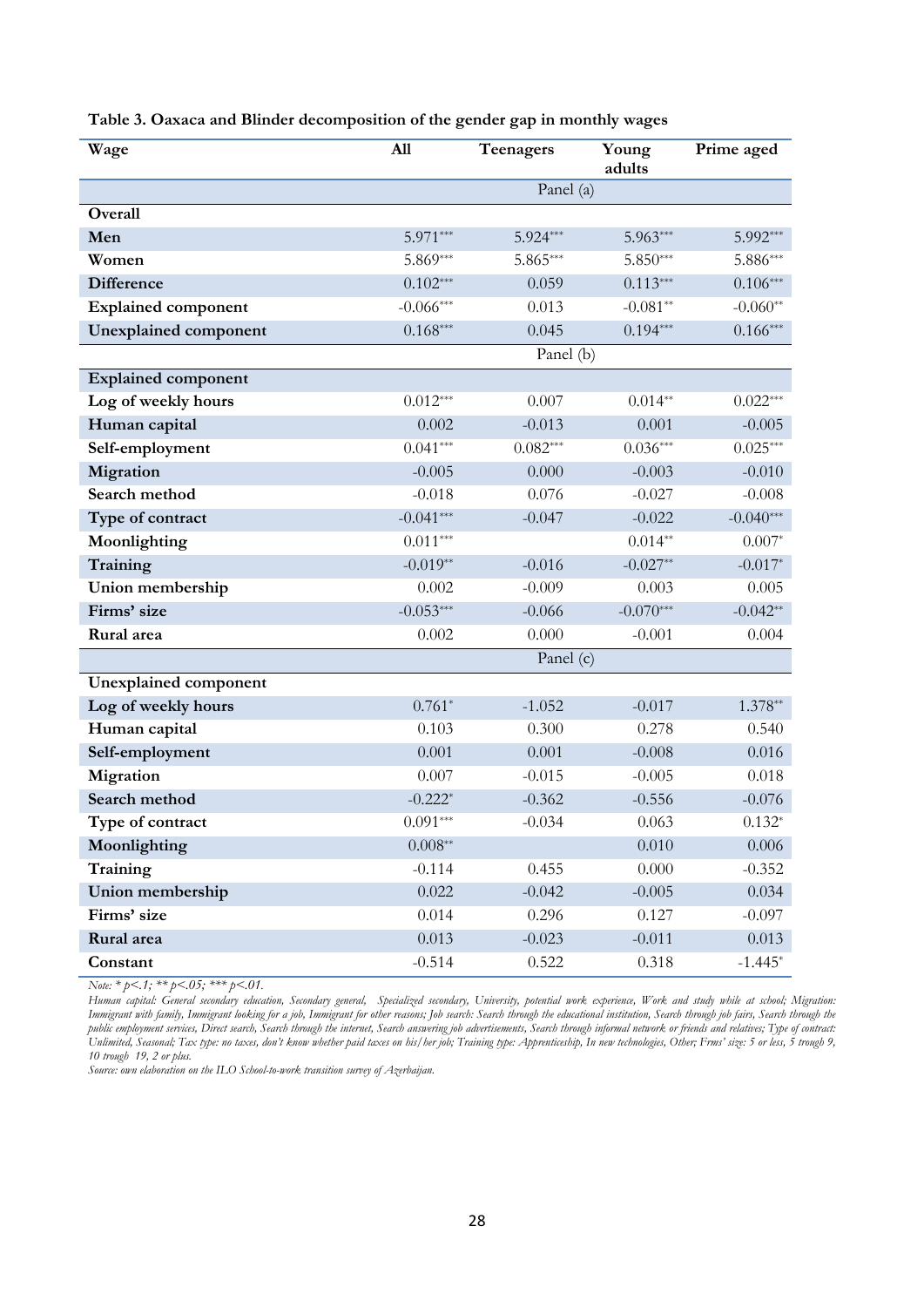| Wage                         | All         | Teenagers  | Young<br>adults | Prime aged  |
|------------------------------|-------------|------------|-----------------|-------------|
|                              |             | Panel (a)  |                 |             |
| Overall                      |             |            |                 |             |
| Men                          | 5.971***    | 5.924***   | 5.963***        | 5.992***    |
| Women                        | 5.869***    | $5.865***$ | $5.850***$      | 5.886***    |
| <b>Difference</b>            | $0.102***$  | 0.059      | $0.113***$      | $0.106***$  |
| <b>Explained component</b>   | $-0.066***$ | 0.013      | $-0.081**$      | $-0.060**$  |
| <b>Unexplained component</b> | $0.168***$  | 0.045      | $0.194***$      | $0.166***$  |
|                              |             | Panel (b)  |                 |             |
| <b>Explained component</b>   |             |            |                 |             |
| Log of weekly hours          | $0.012***$  | 0.007      | $0.014**$       | $0.022***$  |
| Human capital                | 0.002       | $-0.013$   | 0.001           | $-0.005$    |
| Self-employment              | $0.041***$  | $0.082***$ | $0.036***$      | $0.025***$  |
| Migration                    | $-0.005$    | 0.000      | $-0.003$        | $-0.010$    |
| Search method                | $-0.018$    | 0.076      | $-0.027$        | $-0.008$    |
| Type of contract             | $-0.041***$ | $-0.047$   | $-0.022$        | $-0.040***$ |
| Moonlighting                 | $0.011***$  |            | $0.014**$       | $0.007*$    |
| Training                     | $-0.019**$  | $-0.016$   | $-0.027**$      | $-0.017*$   |
| Union membership             | 0.002       | $-0.009$   | 0.003           | 0.005       |
| Firms' size                  | $-0.053***$ | $-0.066$   | $-0.070***$     | $-0.042**$  |
| Rural area                   | 0.002       | 0.000      | $-0.001$        | 0.004       |
|                              |             | Panel (c)  |                 |             |
| <b>Unexplained component</b> |             |            |                 |             |
| Log of weekly hours          | $0.761*$    | $-1.052$   | $-0.017$        | $1.378**$   |
| Human capital                | 0.103       | 0.300      | 0.278           | 0.540       |
| Self-employment              | 0.001       | 0.001      | $-0.008$        | 0.016       |
| Migration                    | 0.007       | $-0.015$   | $-0.005$        | 0.018       |
| Search method                | $-0.222*$   | $-0.362$   | $-0.556$        | $-0.076$    |
| Type of contract             | $0.091***$  | $-0.034$   | 0.063           | $0.132*$    |
| Moonlighting                 | $0.008**$   |            | 0.010           | 0.006       |
| Training                     | $-0.114$    | 0.455      | 0.000           | $-0.352$    |
| Union membership             | 0.022       | $-0.042$   | $-0.005$        | 0.034       |
| Firms' size                  | 0.014       | 0.296      | 0.127           | $-0.097$    |
| Rural area                   | 0.013       | $-0.023$   | $-0.011$        | 0.013       |
| Constant                     | $-0.514$    | 0.522      | 0.318           | $-1.445*$   |

**Table 3. Oaxaca and Blinder decomposition of the gender gap in monthly wages** 

*Note: \* p<.1; \*\* p<.05; \*\*\* p<.01.* 

*Human capital: General secondary education, Secondary general, Specialized secondary, University, potential work experience, Work and study while at school; Migration: Immigrant with family, Immigrant looking for a job, Immigrant for other reasons; Job search: Search through the educational institution, Search through job fairs, Search through the public employment services, Direct search, Search through the internet, Search answering job advertisements, Search through informal network or friends and relatives; Type of contract: Unlimited, Seasonal; Tax type: no taxes, don't know whether paid taxes on his/her job; Training type: Apprenticeship, In new technologies, Other; Frms' size: 5 or less, 5 trough 9, 10 trough 19, 2 or plus.*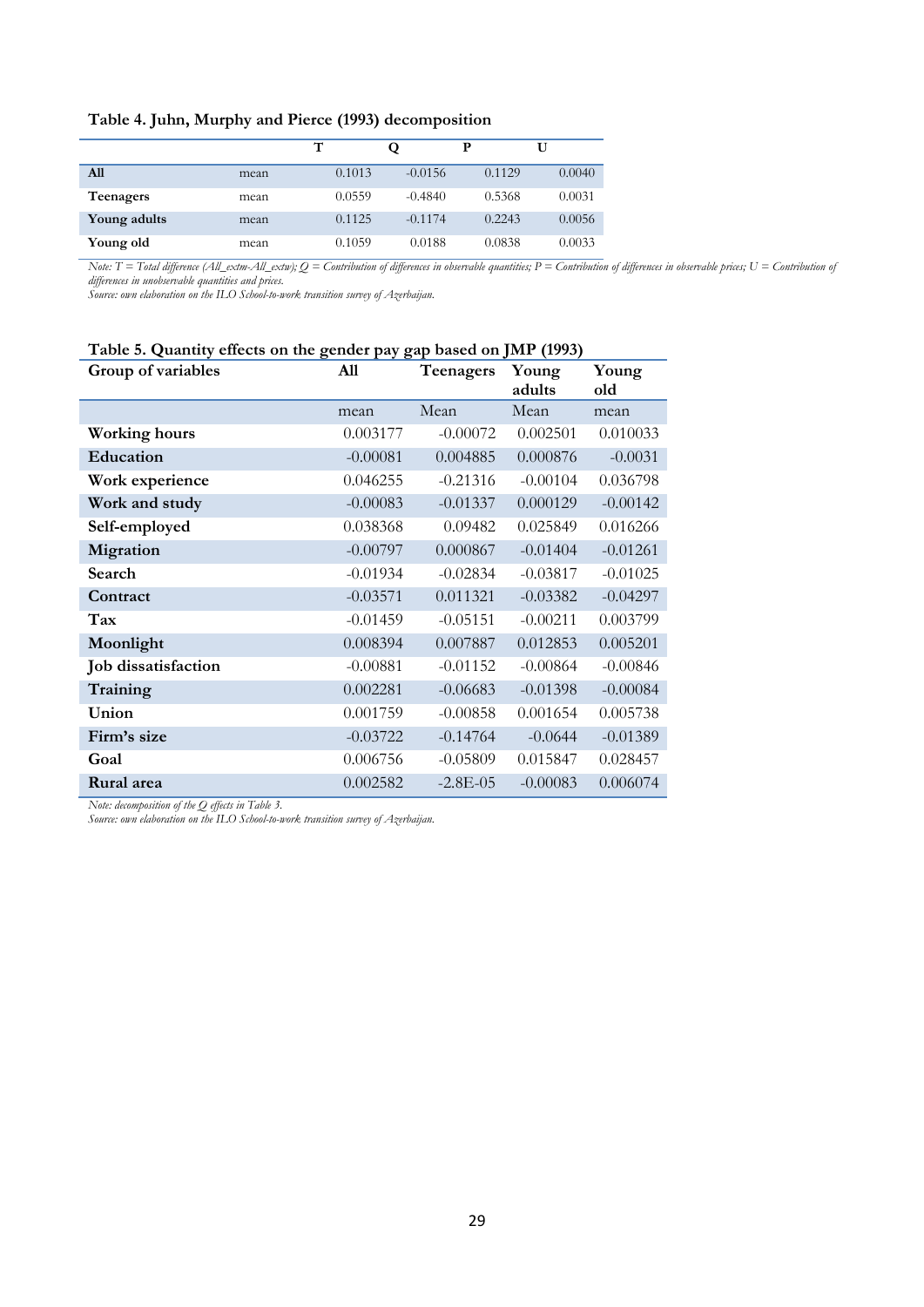#### **Table 4. Juhn, Murphy and Pierce (1993) decomposition**

|              |      | т      |           | р      |        |
|--------------|------|--------|-----------|--------|--------|
| A11          | mean | 0.1013 | $-0.0156$ | 0.1129 | 0.0040 |
| Teenagers    | mean | 0.0559 | $-0.4840$ | 0.5368 | 0.0031 |
| Young adults | mean | 0.1125 | $-0.1174$ | 0.2243 | 0.0056 |
| Young old    | mean | 0.1059 | 0.0188    | 0.0838 | 0.0033 |

*Note: T* = Total difference (All\_extm-All\_extw);  $O =$  Contribution of differences in observable quantities; P = Contribution of differences in observable prices; U = Contribution of *differences in unobservable quantities and prices.* 

*Source: own elaboration on the ILO School-to-work transition survey of Azerbaijan.* 

#### **Table 5. Quantity effects on the gender pay gap based on JMP (1993)**

| Group of variables   | All        | Teenagers  | Young      | Young      |
|----------------------|------------|------------|------------|------------|
|                      |            |            | adults     | old        |
|                      | mean       | Mean       | Mean       | mean       |
| <b>Working hours</b> | 0.003177   | $-0.00072$ | 0.002501   | 0.010033   |
| Education            | $-0.00081$ | 0.004885   | 0.000876   | $-0.0031$  |
| Work experience      | 0.046255   | $-0.21316$ | $-0.00104$ | 0.036798   |
| Work and study       | $-0.00083$ | $-0.01337$ | 0.000129   | $-0.00142$ |
| Self-employed        | 0.038368   | 0.09482    | 0.025849   | 0.016266   |
| Migration            | $-0.00797$ | 0.000867   | $-0.01404$ | $-0.01261$ |
| Search               | $-0.01934$ | $-0.02834$ | $-0.03817$ | $-0.01025$ |
| Contract             | $-0.03571$ | 0.011321   | $-0.03382$ | $-0.04297$ |
| Tax                  | $-0.01459$ | $-0.05151$ | $-0.00211$ | 0.003799   |
| Moonlight            | 0.008394   | 0.007887   | 0.012853   | 0.005201   |
| Job dissatisfaction  | $-0.00881$ | $-0.01152$ | $-0.00864$ | $-0.00846$ |
| Training             | 0.002281   | $-0.06683$ | $-0.01398$ | $-0.00084$ |
| Union                | 0.001759   | $-0.00858$ | 0.001654   | 0.005738   |
| Firm's size          | $-0.03722$ | $-0.14764$ | $-0.0644$  | $-0.01389$ |
| Goal                 | 0.006756   | $-0.05809$ | 0.015847   | 0.028457   |
| Rural area           | 0.002582   | $-2.8E-05$ | $-0.00083$ | 0.006074   |

*Note: decomposition of the Q effects in Table 3.*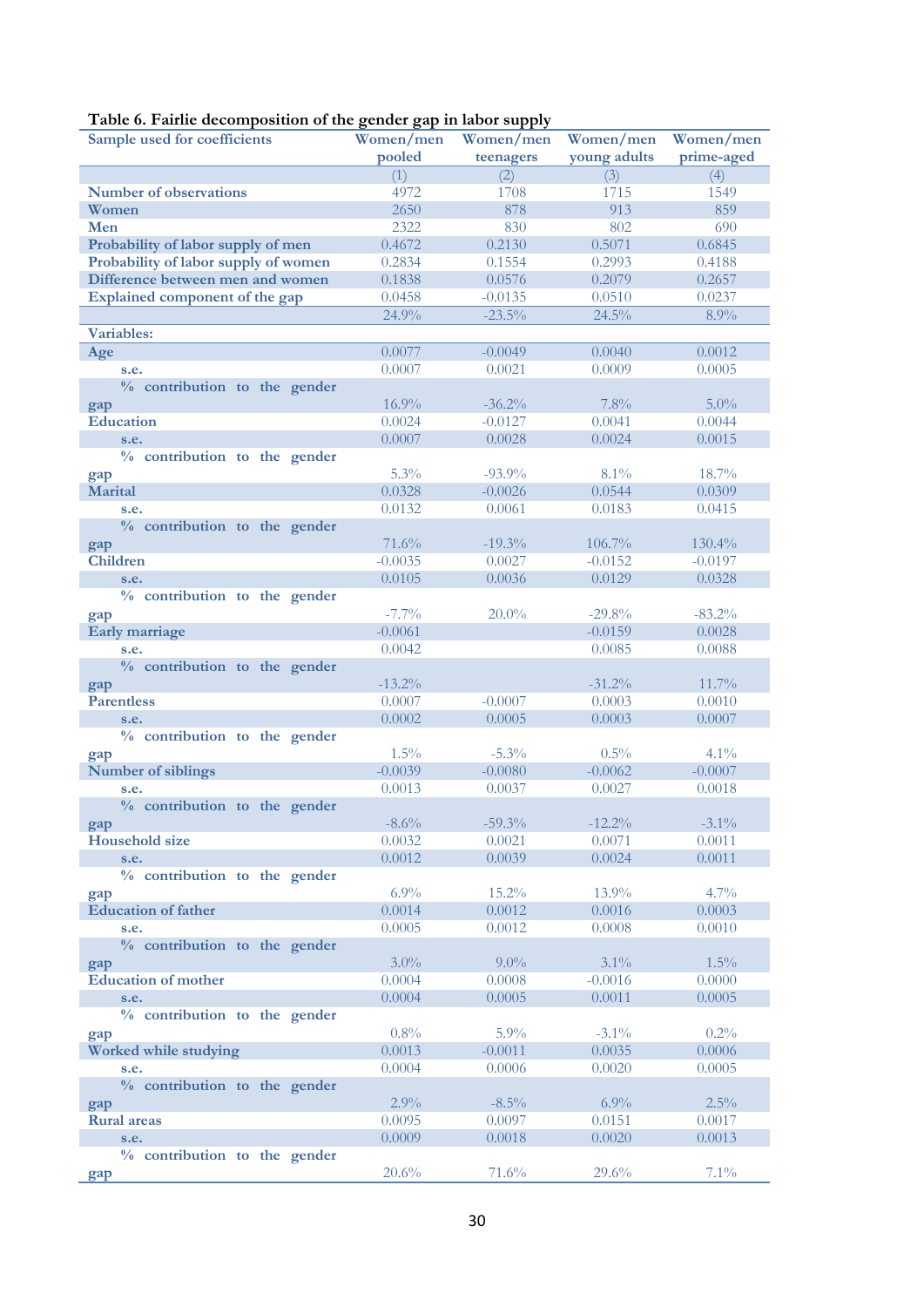# **Table 6. Fairlie decomposition of the gender gap in labor supply**

| Sample used for coefficients<br>Women/men      | Women/men<br>Women/men            | Women/men  |
|------------------------------------------------|-----------------------------------|------------|
| pooled                                         | young adults<br>teenagers         | prime-aged |
| (1)                                            | (3)<br>(2)                        | (4)        |
| <b>Number of observations</b>                  | 4972<br>1708<br>1715              | 1549       |
| Women                                          | 2650<br>878<br>913                | 859        |
| Men                                            | 2322<br>830<br>802                | 690        |
| 0.4672<br>Probability of labor supply of men   | 0.2130<br>0.5071                  | 0.6845     |
| 0.2834<br>Probability of labor supply of women | 0.1554<br>0.2993                  | 0.4188     |
| 0.1838<br>Difference between men and women     | 0.0576<br>0.2079                  | 0.2657     |
| Explained component of the gap<br>0.0458       | $-0.0135$<br>0.0510               | 0.0237     |
| 24.9%                                          | $-23.5%$<br>24.5%                 | 8.9%       |
| <b>Variables:</b>                              |                                   |            |
| Age<br>0.0077                                  | $-0.0049$<br>0.0040               | 0.0012     |
| 0.0007<br>s.e.                                 | 0.0021<br>0.0009                  | 0.0005     |
| % contribution to the gender                   |                                   |            |
| gap                                            | 16.9%<br>7.8%<br>$-36.2%$         | $5.0\%$    |
| <b>Education</b><br>0.0024                     | $-0.0127$<br>0.0041               | 0.0044     |
| 0.0007<br>s.e.                                 | 0.0028<br>0.0024                  | 0.0015     |
| % contribution to the gender                   |                                   |            |
| gap                                            | 5.3%<br>$-93.9%$<br>8.1%          | 18.7%      |
| <b>Marital</b><br>0.0328                       | $-0.0026$<br>0.0544               | 0.0309     |
| 0.0132<br>s.e.                                 | 0.0061<br>0.0183                  | 0.0415     |
| % contribution to the gender                   |                                   |            |
| 71.6%<br>gap                                   | $-19.3%$<br>106.7%                | 130.4%     |
| <b>Children</b><br>$-0.0035$                   | 0.0027<br>$-0.0152$               | $-0.0197$  |
| 0.0105<br>s.e.                                 | 0.0036<br>0.0129                  | 0.0328     |
| % contribution to the gender                   |                                   |            |
| gap                                            | $-7.7%$<br>$20.0\%$<br>$-29.8%$   | $-83.2%$   |
| <b>Early marriage</b><br>$-0.0061$             | $-0.0159$                         | 0.0028     |
| 0.0042<br>s.e.                                 | 0.0085                            | 0.0088     |
| % contribution to the gender                   |                                   |            |
| $-13.2%$<br>gap                                | $-31.2%$                          | 11.7%      |
| <b>Parentless</b><br>0.0007                    | $-0.0007$<br>0.0003               | 0.0010     |
| 0.0002<br>s.e.                                 | 0.0005<br>0.0003                  | 0.0007     |
| % contribution to the gender                   |                                   |            |
| gap                                            | 1.5%<br>$-5.3%$<br>0.5%           | 4.1%       |
| Number of siblings<br>$-0.0039$                | $-0.0080$<br>$-0.0062$            | $-0.0007$  |
| 0.0013<br>s.e.                                 | 0.0037<br>0.0027                  | 0.0018     |
| % contribution to the gender                   |                                   |            |
| gap                                            | $-8.6\%$<br>$-59.3\%$<br>$-12.2%$ | $-3.1\%$   |
| Household size<br>0.0032                       | 0.0021<br>0.0071                  | 0.0011     |
| 0.0012<br>s.e.                                 | 0.0039<br>0.0024                  | 0.0011     |
| % contribution to the gender                   | 6.9%<br>15.2%<br>13.9%            | 4.7%       |
| gap<br><b>Education of father</b><br>0.0014    | 0.0012<br>0.0016                  | 0.0003     |
| 0.0005<br>s.e.                                 | 0.0012<br>0.0008                  | 0.0010     |
| % contribution to the gender                   |                                   |            |
|                                                | $3.0\%$<br>$9.0\%$<br>3.1%        | 1.5%       |
| gap<br><b>Education of mother</b><br>0.0004    | 0.0008<br>$-0.0016$               | 0.0000     |
| 0.0004<br>s.e.                                 | 0.0011<br>0.0005                  | 0.0005     |
| % contribution to the gender                   |                                   |            |
|                                                | 0.8%<br>$5.9\%$<br>$-3.1\%$       | 0.2%       |
| gap<br>0.0013<br>Worked while studying         | $-0.0011$<br>0.0035               | 0.0006     |
| 0.0004<br>s.e.                                 | 0.0006<br>0.0020                  | 0.0005     |
| % contribution to the gender                   |                                   |            |
| gap                                            | 2.9%<br>6.9%<br>$-8.5\%$          | 2.5%       |
| <b>Rural</b> areas<br>0.0095                   | 0.0097<br>0.0151                  | 0.0017     |
| 0.0009<br>s.e.                                 | 0.0018<br>0.0020                  | 0.0013     |
|                                                |                                   |            |
| % contribution to the gender                   |                                   |            |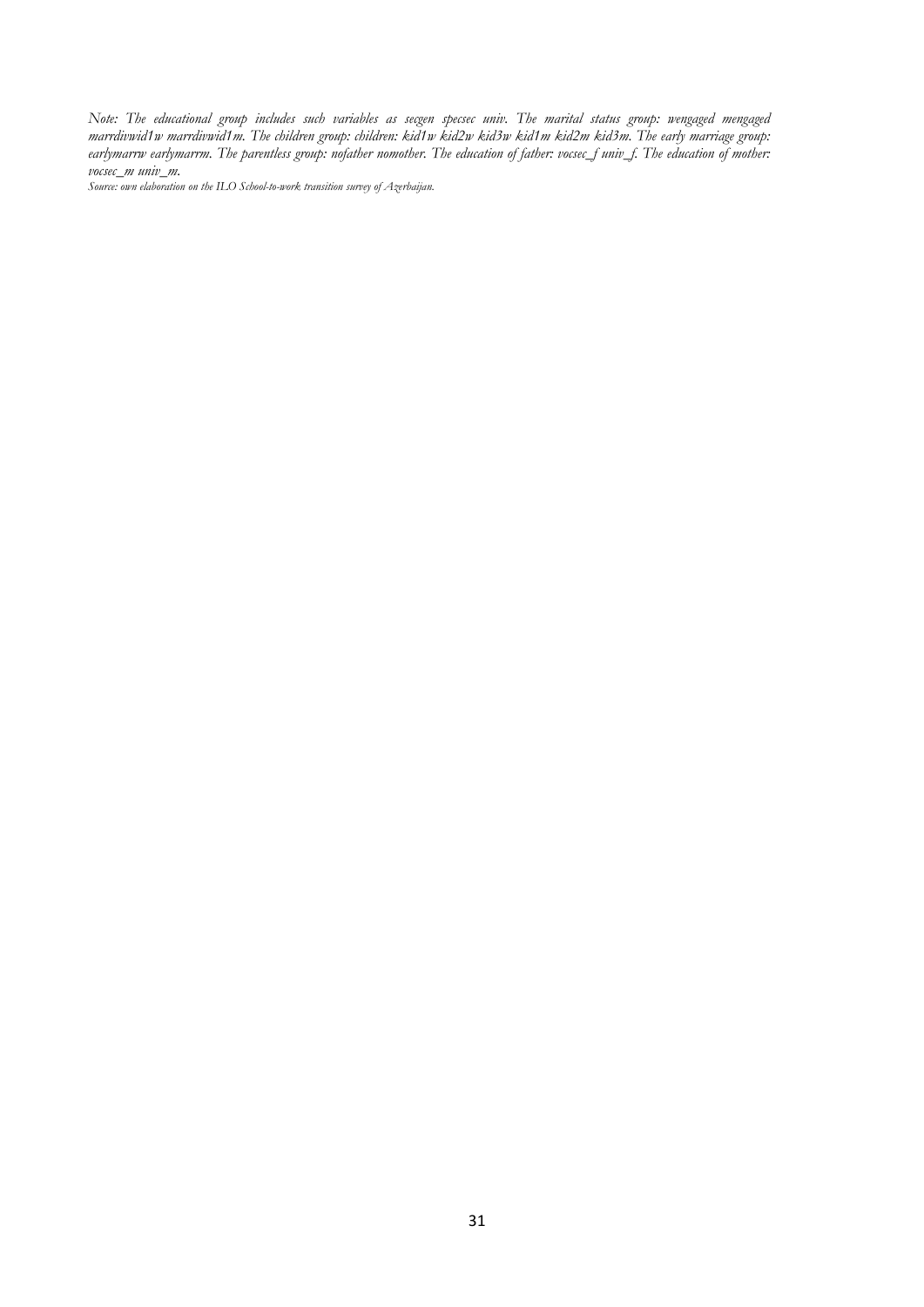*Note: The educational group includes such variables as secgen specsec univ. The marital status group: wengaged mengaged marrdivwid1w marrdivwid1m. The children group: children: kid1w kid2w kid3w kid1m kid2m kid3m. The early marriage group: earlymarrw earlymarrm. The parentless group: nofather nomother. The education of father: vocsec\_f univ\_f. The education of mother: vocsec\_m univ\_m.*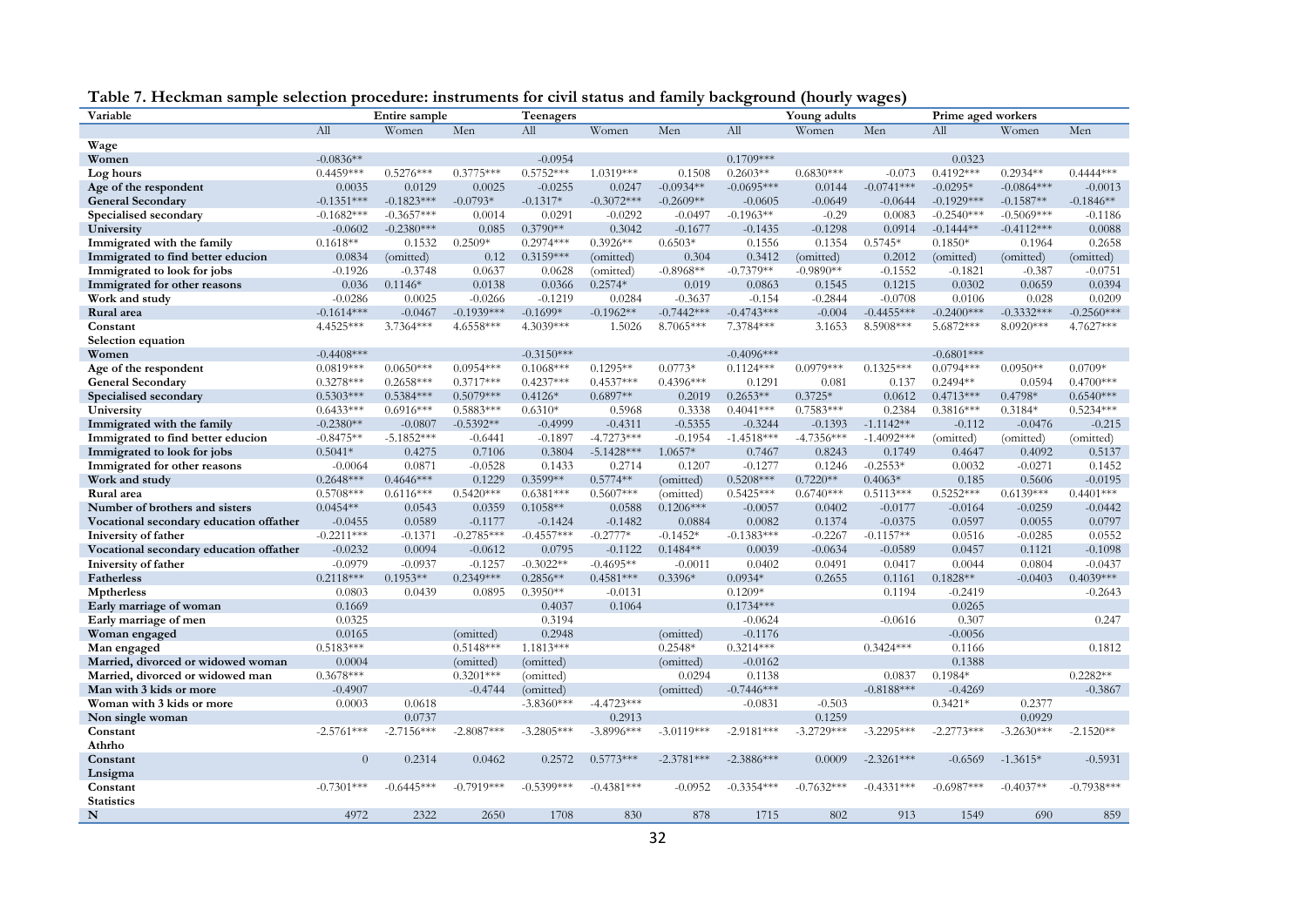| Variable                                |                | Entire sample |              | Teenagers     |              |              |              | Young adults |              | Prime aged workers |              |              |
|-----------------------------------------|----------------|---------------|--------------|---------------|--------------|--------------|--------------|--------------|--------------|--------------------|--------------|--------------|
|                                         | All            | Women         | Men          | All           | Women        | Men          | All          | Women        | Men          | All                | Women        | Men          |
| Wage                                    |                |               |              |               |              |              |              |              |              |                    |              |              |
| Women                                   | $-0.0836**$    |               |              | $-0.0954$     |              |              | $0.1709***$  |              |              | 0.0323             |              |              |
| Log hours                               | $0.4459***$    | $0.5276***$   | $0.3775***$  | $0.5752***$   | 1.0319***    | 0.1508       | $0.2603**$   | $0.6830***$  | $-0.073$     | $0.4192***$        | $0.2934**$   | $0.4444***$  |
| Age of the respondent                   | 0.0035         | 0.0129        | 0.0025       | $-0.0255$     | 0.0247       | $-0.0934**$  | $-0.0695***$ | 0.0144       | $-0.0741***$ | $-0.0295*$         | $-0.0864***$ | $-0.0013$    |
| <b>General Secondary</b>                | $-0.1351***$   | $-0.1823***$  | $-0.0793*$   | $-0.1317*$    | $-0.3072***$ | $-0.2609**$  | $-0.0605$    | $-0.0649$    | $-0.0644$    | $-0.1929***$       | $-0.1587**$  | $-0.1846**$  |
| Specialised secondary                   | $-0.1682***$   | $-0.3657***$  | 0.0014       | 0.0291        | $-0.0292$    | $-0.0497$    | $-0.1963**$  | $-0.29$      | 0.0083       | $-0.2540***$       | $-0.5069***$ | $-0.1186$    |
| University                              | $-0.0602$      | $-0.2380***$  | 0.085        | $0.3790**$    | 0.3042       | $-0.1677$    | $-0.1435$    | $-0.1298$    | 0.0914       | $-0.1444**$        | $-0.4112***$ | 0.0088       |
| Immigrated with the family              | $0.1618**$     | 0.1532        | $0.2509*$    | $0.2974***$   | $0.3926**$   | $0.6503*$    | 0.1556       | 0.1354       | $0.5745*$    | $0.1850*$          | 0.1964       | 0.2658       |
| Immigrated to find better educion       | 0.0834         | (omitted)     | 0.12         | $0.3159***$   | (omitted)    | 0.304        | 0.3412       | (omitted)    | 0.2012       | (omitted)          | (omitted)    | (omitted)    |
| Immigrated to look for jobs             | $-0.1926$      | $-0.3748$     | 0.0637       | 0.0628        | (omitted)    | $-0.8968**$  | $-0.7379**$  | $-0.9890**$  | $-0.1552$    | $-0.1821$          | $-0.387$     | $-0.0751$    |
| Immigrated for other reasons            | 0.036          | $0.1146*$     | 0.0138       | 0.0366        | $0.2574*$    | 0.019        | 0.0863       | 0.1545       | 0.1215       | 0.0302             | 0.0659       | 0.0394       |
| Work and study                          | $-0.0286$      | 0.0025        | $-0.0266$    | $-0.1219$     | 0.0284       | $-0.3637$    | $-0.154$     | $-0.2844$    | $-0.0708$    | 0.0106             | 0.028        | 0.0209       |
| Rural area                              | $-0.1614***$   | $-0.0467$     | $-0.1939***$ | $-0.1699*$    | $-0.1962**$  | $-0.7442***$ | $-0.4743***$ | $-0.004$     | $-0.4455***$ | $-0.2400***$       | $-0.3332***$ | $-0.2560***$ |
| Constant                                | 4.4525***      | $3.7364***$   | 4.6558***    | 4.3039***     | 1.5026       | 8.7065***    | 7.3784***    | 3.1653       | 8.5908***    | 5.6872***          | 8.0920***    | $4.7627***$  |
| Selection equation                      |                |               |              |               |              |              |              |              |              |                    |              |              |
| Women                                   | $-0.4408$ ***  |               |              | $-0.3150***$  |              |              | $-0.4096***$ |              |              | $-0.6801***$       |              |              |
| Age of the respondent                   | $0.0819***$    | $0.0650***$   | $0.0954***$  | $0.1068***$   | $0.1295**$   | $0.0773*$    | $0.1124***$  | $0.0979***$  | $0.1325***$  | $0.0794***$        | $0.0950**$   | $0.0709*$    |
| <b>General Secondary</b>                | $0.3278***$    | $0.2658***$   | $0.3717***$  | $0.4237***$   | $0.4537***$  | $0.4396***$  | 0.1291       | 0.081        | 0.137        | $0.2494**$         | 0.0594       | $0.4700***$  |
| Specialised secondary                   | $0.5303***$    | $0.5384***$   | $0.5079***$  | $0.4126*$     | $0.6897**$   | 0.2019       | $0.2653**$   | $0.3725*$    | 0.0612       | $0.4713***$        | $0.4798*$    | $0.6540***$  |
| University                              | $0.6433***$    | $0.6916***$   | $0.5883***$  | $0.6310*$     | 0.5968       | 0.3338       | $0.4041***$  | $0.7583***$  | 0.2384       | $0.3816***$        | $0.3184*$    | $0.5234***$  |
| Immigrated with the family              | $-0.2380**$    | $-0.0807$     | $-0.5392**$  | $-0.4999$     | $-0.4311$    | $-0.5355$    | $-0.3244$    | $-0.1393$    | $-1.1142**$  | $-0.112$           | $-0.0476$    | $-0.215$     |
| Immigrated to find better educion       | $-0.8475**$    | $-5.1852***$  | $-0.6441$    | $-0.1897$     | $-4.7273***$ | $-0.1954$    | $-1.4518***$ | $-4.7356***$ | $-1.4092***$ | (omitted)          | (omitted)    | (omitted)    |
| Immigrated to look for jobs             | $0.5041*$      | 0.4275        | 0.7106       | 0.3804        | $-5.1428***$ | 1.0657*      | 0.7467       | 0.8243       | 0.1749       | 0.4647             | 0.4092       | 0.5137       |
| Immigrated for other reasons            | $-0.0064$      | 0.0871        | $-0.0528$    | 0.1433        | 0.2714       | 0.1207       | $-0.1277$    | 0.1246       | $-0.2553*$   | 0.0032             | $-0.0271$    | 0.1452       |
| Work and study                          | $0.2648***$    | $0.4646***$   | 0.1229       | $0.3599**$    | $0.5774**$   | (omitted)    | $0.5208***$  | $0.7220**$   | $0.4063*$    | 0.185              | 0.5606       | $-0.0195$    |
| Rural area                              | $0.5708***$    | $0.6116***$   | $0.5420***$  | $0.6381***$   | $0.5607***$  | (omitted)    | $0.5425***$  | $0.6740***$  | $0.5113***$  | $0.5252***$        | $0.6139***$  | $0.4401***$  |
| Number of brothers and sisters          | $0.0454**$     | 0.0543        | 0.0359       | $0.1058**$    | 0.0588       | $0.1206***$  | $-0.0057$    | 0.0402       | $-0.0177$    | $-0.0164$          | $-0.0259$    | $-0.0442$    |
| Vocational secondary education offather | $-0.0455$      | 0.0589        | $-0.1177$    | $-0.1424$     | $-0.1482$    | 0.0884       | 0.0082       | 0.1374       | $-0.0375$    | 0.0597             | 0.0055       | 0.0797       |
| Iniversity of father                    | $-0.2211***$   | $-0.1371$     | $-0.2785***$ | $-0.4557***$  | $-0.2777*$   | $-0.1452*$   | $-0.1383***$ | $-0.2267$    | $-0.1157**$  | 0.0516             | $-0.0285$    | 0.0552       |
| Vocational secondary education offather | $-0.0232$      | 0.0094        | $-0.0612$    | 0.0795        | $-0.1122$    | $0.1484**$   | 0.0039       | $-0.0634$    | $-0.0589$    | 0.0457             | 0.1121       | $-0.1098$    |
| Iniversity of father                    | $-0.0979$      | $-0.0937$     | $-0.1257$    | $-0.3022**$   | $-0.4695**$  | $-0.0011$    | 0.0402       | 0.0491       | 0.0417       | 0.0044             | 0.0804       | $-0.0437$    |
| Fatherless                              | $0.2118***$    | $0.1953**$    | $0.2349***$  | $0.2856**$    | $0.4581***$  | $0.3396*$    | $0.0934*$    | 0.2655       | 0.1161       | $0.1828**$         | $-0.0403$    | $0.4039***$  |
| <b>Mptherless</b>                       | 0.0803         | 0.0439        | 0.0895       | $0.3950**$    | $-0.0131$    |              | $0.1209*$    |              | 0.1194       | $-0.2419$          |              | $-0.2643$    |
| Early marriage of woman                 | 0.1669         |               |              | 0.4037        | 0.1064       |              | $0.1734***$  |              |              | 0.0265             |              |              |
| Early marriage of men                   | 0.0325         |               |              | 0.3194        |              |              | $-0.0624$    |              | $-0.0616$    | 0.307              |              | 0.247        |
| Woman engaged                           | 0.0165         |               | (omitted)    | 0.2948        |              | (omitted)    | $-0.1176$    |              |              | $-0.0056$          |              |              |
| Man engaged                             | $0.5183***$    |               | $0.5148***$  | $1.1813***$   |              | $0.2548*$    | $0.3214***$  |              | $0.3424***$  | 0.1166             |              | 0.1812       |
| Married, divorced or widowed woman      | 0.0004         |               | (omitted)    | (omitted)     |              | (omitted)    | $-0.0162$    |              |              | 0.1388             |              |              |
| Married, divorced or widowed man        | $0.3678***$    |               | $0.3201***$  | (omitted)     |              | 0.0294       | 0.1138       |              | 0.0837       | $0.1984*$          |              | $0.2282**$   |
| Man with 3 kids or more                 | $-0.4907$      |               | $-0.4744$    | (omitted)     |              | (omitted)    | $-0.7446***$ |              | $-0.8188***$ | $-0.4269$          |              | $-0.3867$    |
| Woman with 3 kids or more               | 0.0003         | 0.0618        |              | $-3.8360***$  | $-4.4723***$ |              | $-0.0831$    | $-0.503$     |              | $0.3421*$          | 0.2377       |              |
| Non single woman                        |                | 0.0737        |              |               | 0.2913       |              |              | 0.1259       |              |                    | 0.0929       |              |
| Constant                                | $-2.5761***$   | $-2.7156***$  | $-2.8087***$ | $-3.2805***$  | $-3.8996***$ | $-3.0119***$ | $-2.9181***$ | $-3.2729***$ | $-3.2295***$ | $-2.2773***$       | $-3.2630***$ | $-2.1520**$  |
| Athrho                                  |                |               |              |               |              |              |              |              |              |                    |              |              |
| Constant                                | $\overline{0}$ | 0.2314        | 0.0462       | 0.2572        | $0.5773***$  | $-2.3781***$ | $-2.3886***$ | 0.0009       | $-2.3261***$ | $-0.6569$          | $-1.3615*$   | $-0.5931$    |
| Lnsigma                                 |                |               |              |               |              |              |              |              |              |                    |              |              |
| Constant                                | $-0.7301***$   | $-0.6445***$  | $-0.7919***$ | $-0.5399$ *** | $-0.4381***$ | $-0.0952$    | $-0.3354***$ | $-0.7632***$ | $-0.4331***$ | $-0.6987***$       | $-0.4037**$  | $-0.7938***$ |
| <b>Statistics</b>                       |                |               |              |               |              |              |              |              |              |                    |              |              |
| $\mathbf N$                             | 4972           | 2322          | 2650         | 1708          | 830          | 878          | 1715         | 802          | 913          | 1549               | 690          | 859          |

| Table 7. Heckman sample selection procedure: instruments for civil status and family background (hourly wages) |  |
|----------------------------------------------------------------------------------------------------------------|--|
|----------------------------------------------------------------------------------------------------------------|--|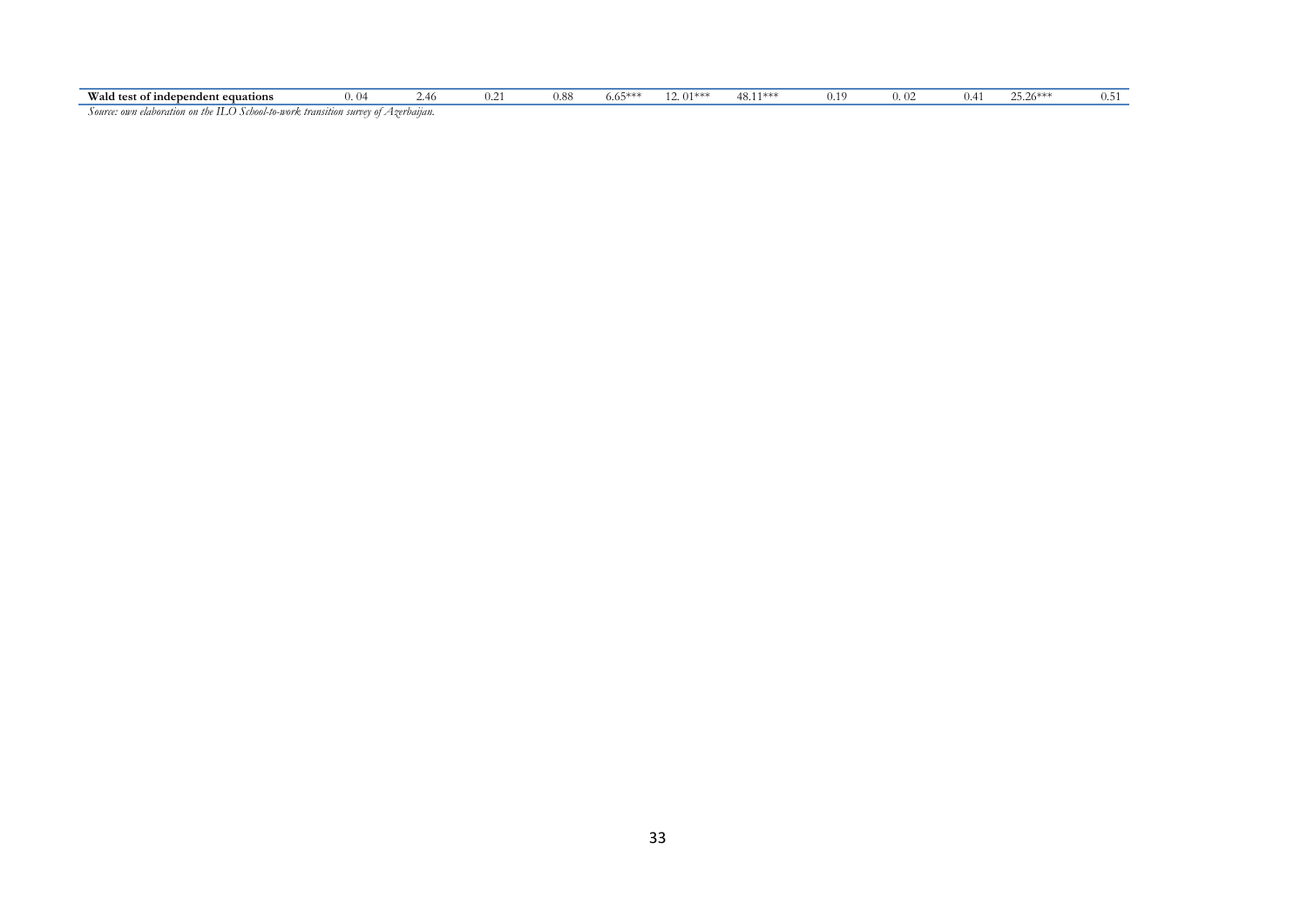| Wald test of independent equations                                      | $\mathbf{U}$                              | .46                            | $^{\prime}$ . 4 | v.oc | 0.0. | m<br>. | AO<br>TU.I. | ، 10<br>$^{\prime}$ . 1. . |  | ∼<br>$LJ.20***$ | . |
|-------------------------------------------------------------------------|-------------------------------------------|--------------------------------|-----------------|------|------|--------|-------------|----------------------------|--|-----------------|---|
| $\overline{1}$ cases on consider<br>$+1$<br>alalansantsassa<br>$\cdots$ | l to secondo turcamento a macedonica di A | $\Delta$ compared and $\Delta$ |                 |      |      |        |             |                            |  |                 |   |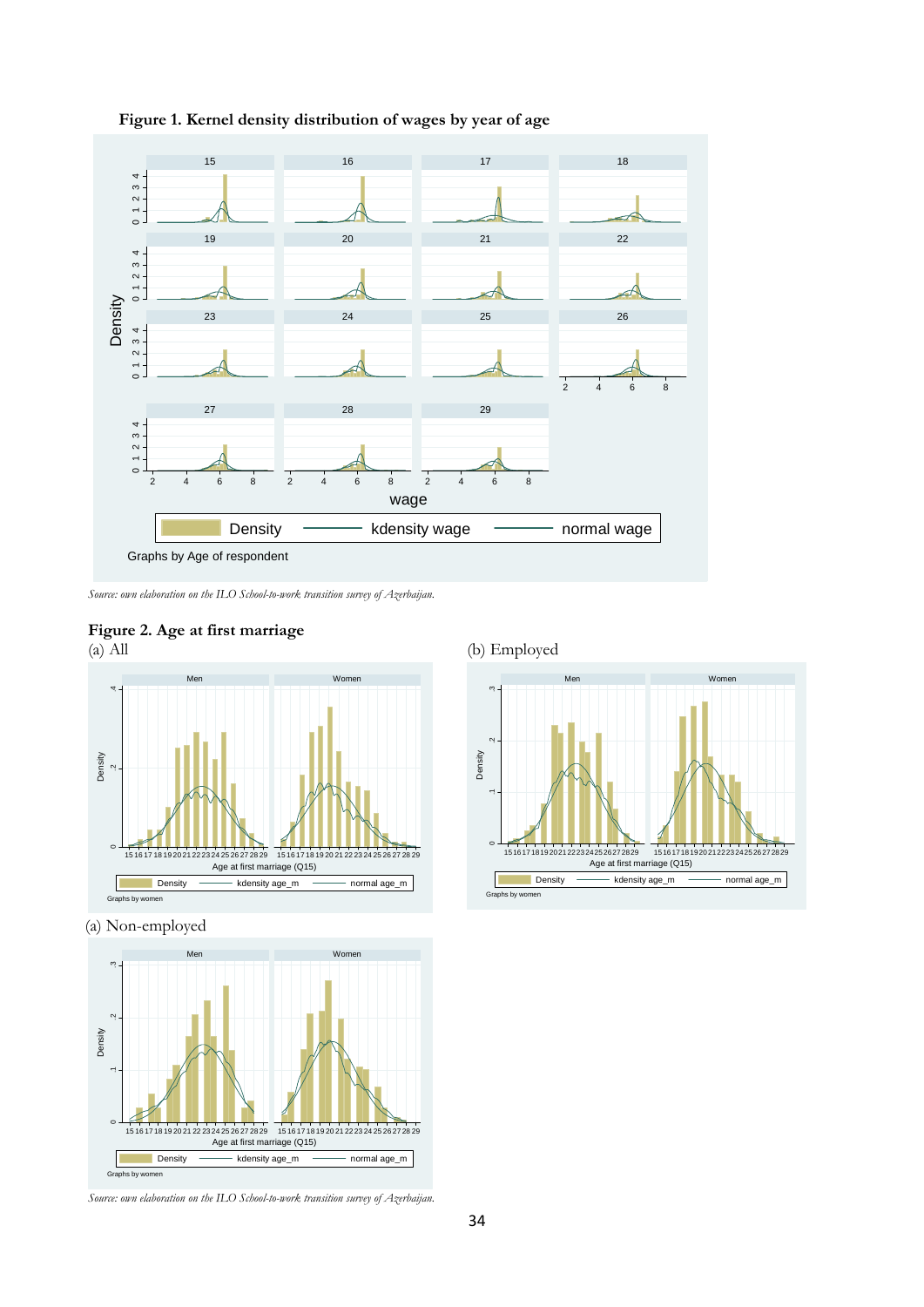

**Figure 1. Kernel density distribution of wages by year of age** 

*Source: own elaboration on the ILO School-to-work transition survey of Azerbaijan.* 

# **Figure 2. Age at first marriage**



(a) Non-employed



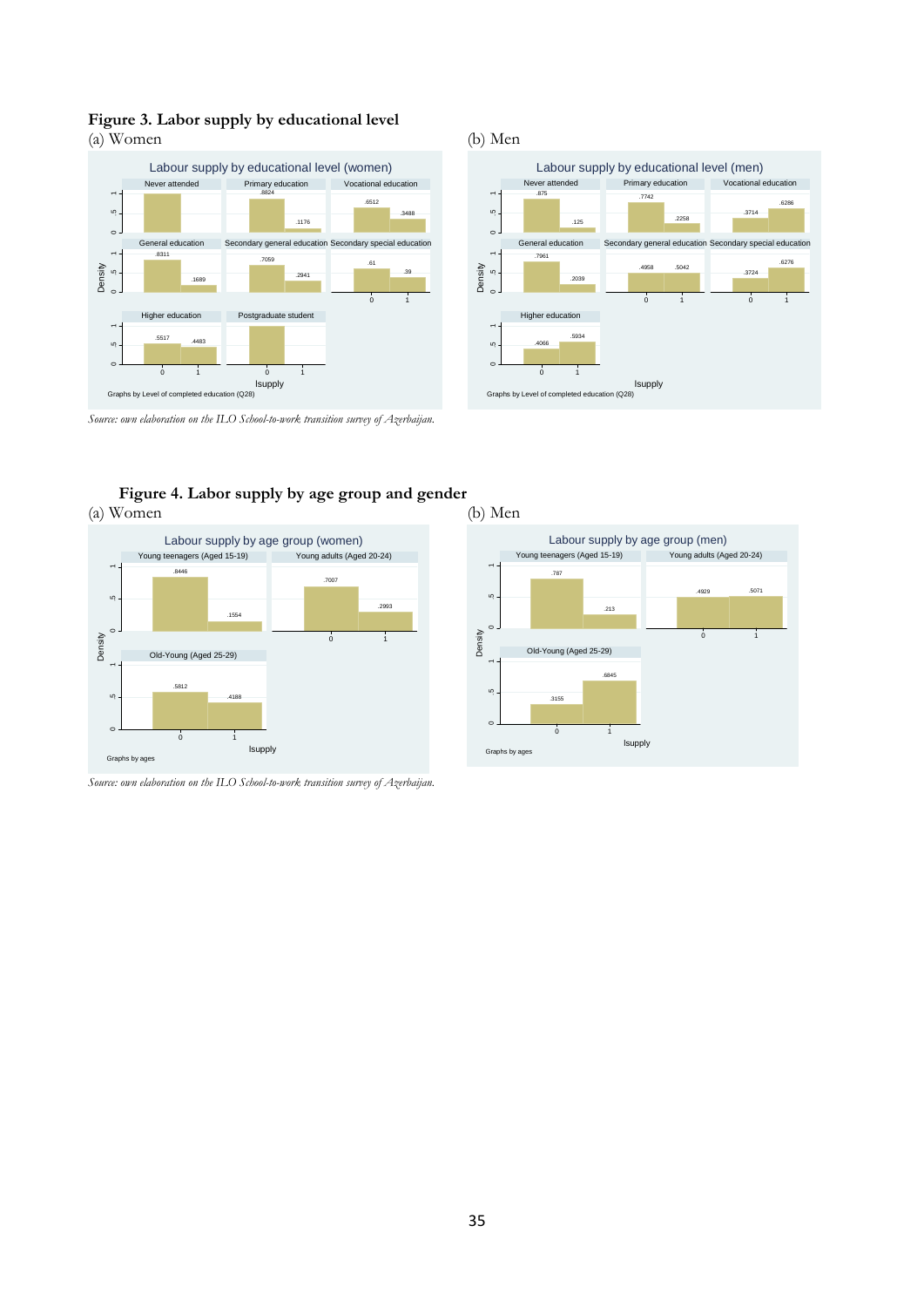# **Figure 3. Labor supply by educational level**

(a) Women (b) Men





.787

 $\overline{a}$ .5 1

Density

.5 1

<sub>u</sub>

Graphs by ages

.3155

Old-Young (Aged 25-29)

0 1

.213

Young teenagers (Aged 15-19) Young adults (Aged 20-24)

Labour supply by age group (men)

.6845

lsupply

.4929 .5071

0 1



**Figure 4. Labor supply by age group and gender**  (a) Women (b) Men



*Source: own elaboration on the ILO School-to-work transition survey of Azerbaijan.*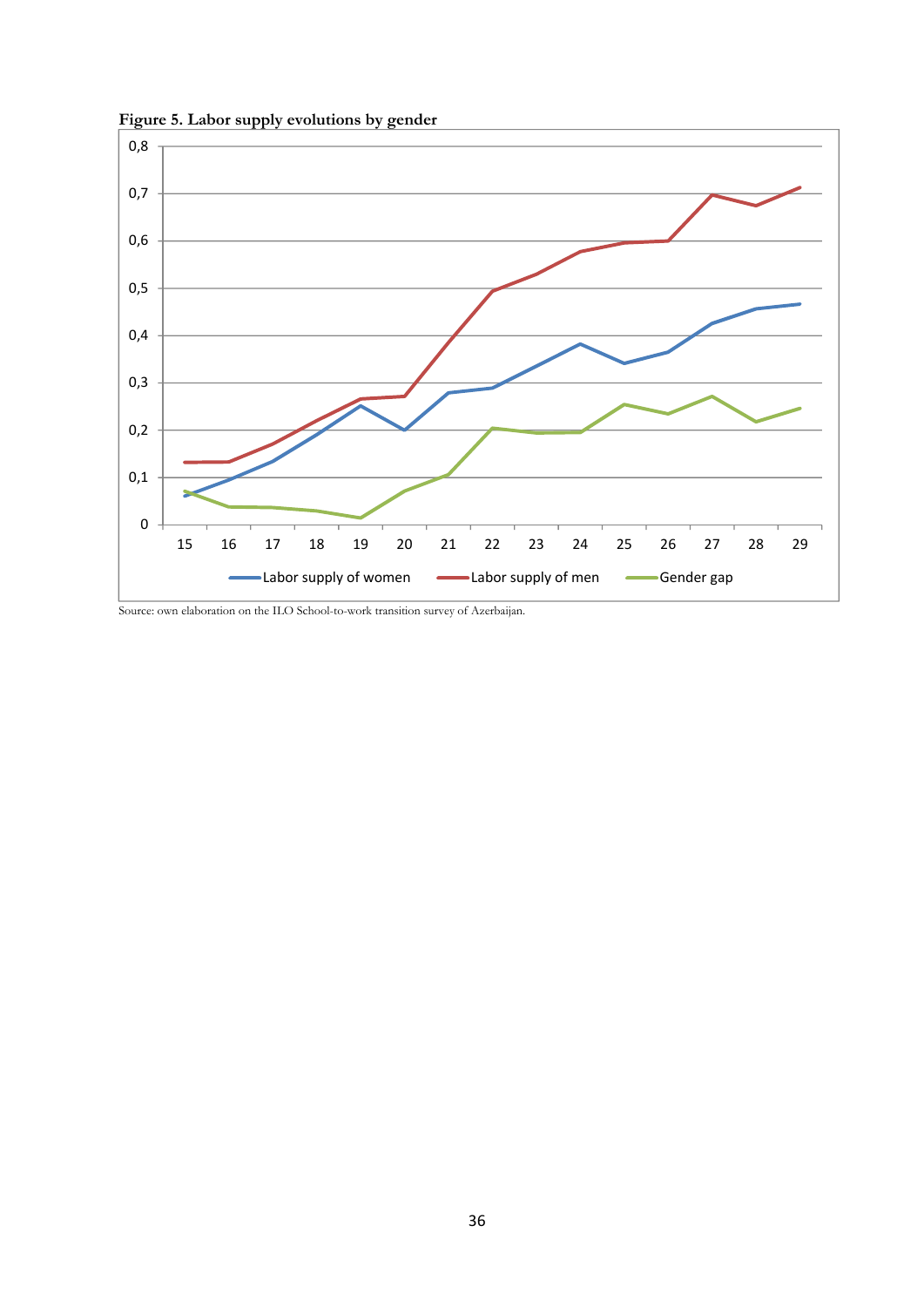



Source: own elaboration on the ILO School-to-work transition survey of Azerbaijan.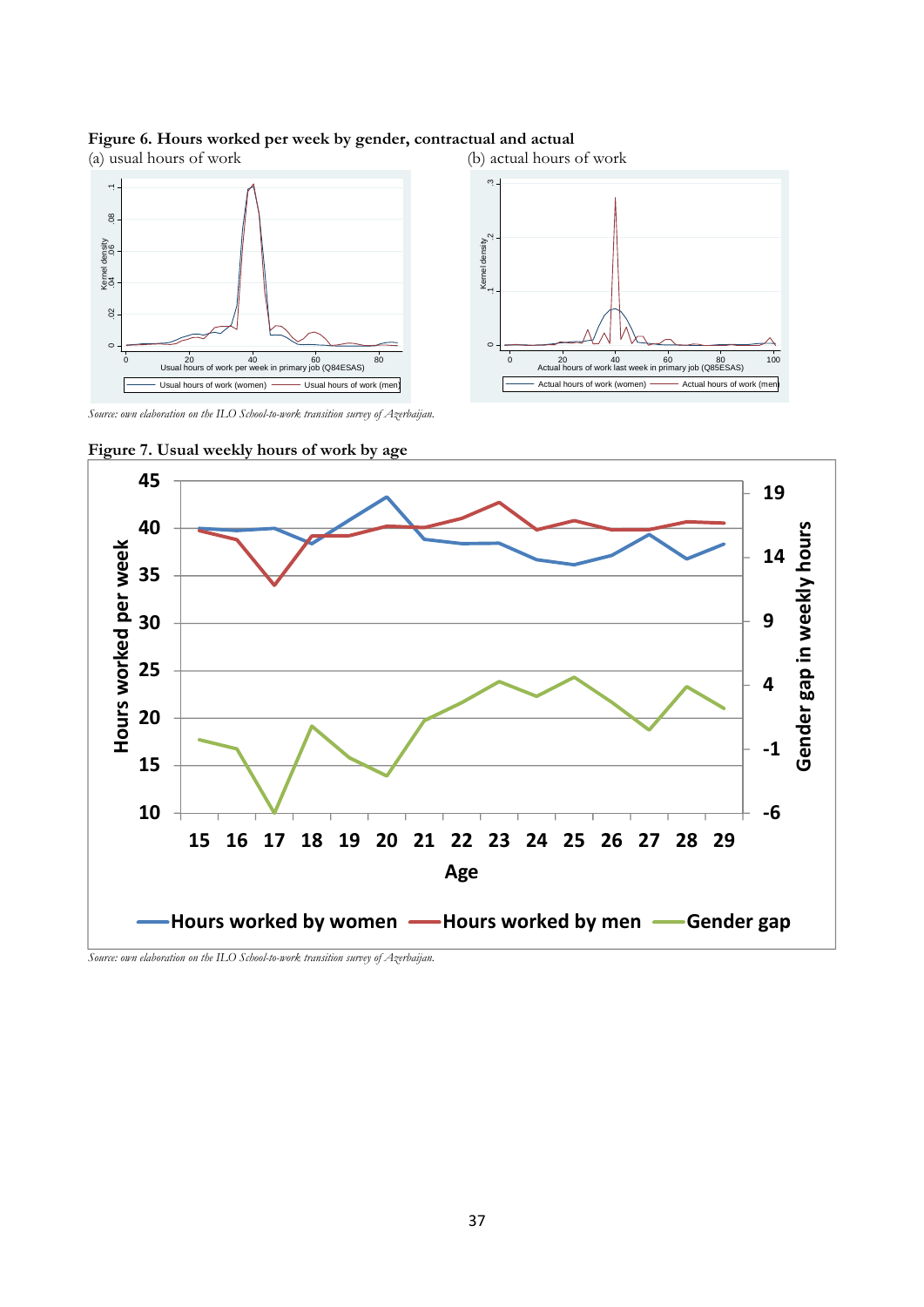### **Figure 6. Hours worked per week by gender, contractual and actual**



*Source: own elaboration on the ILO School-to-work transition survey of Azerbaijan.* 



**Figure 7. Usual weekly hours of work by age**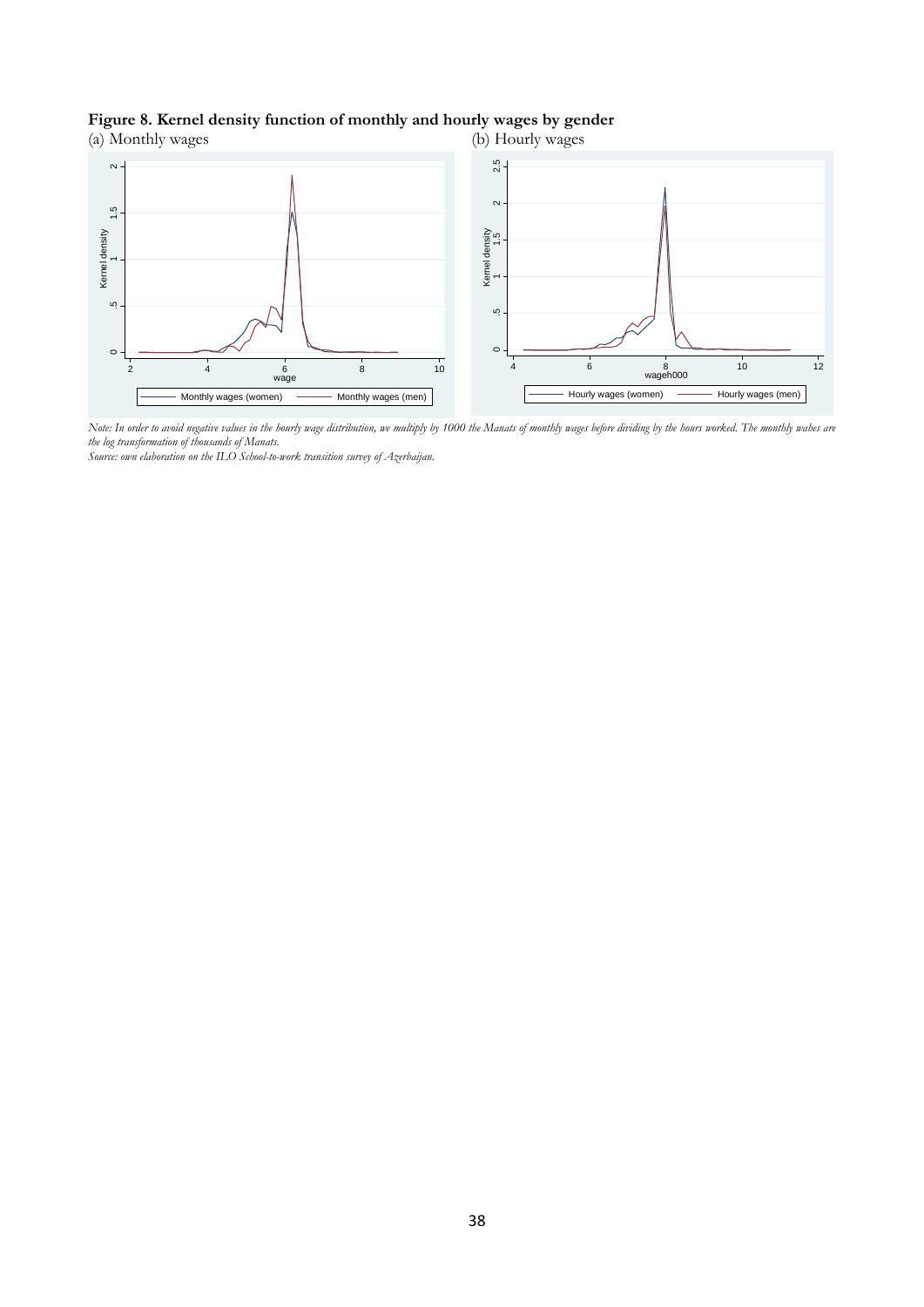## **Figure 8. Kernel density function of monthly and hourly wages by gender**



*Note: In order to avoid negative values in the hourly wage distribution, we multiply by 1000 the Manats of monthly wages before dividing by the hours worked. The monthly wahes are the log transformation of thousands of Manats.*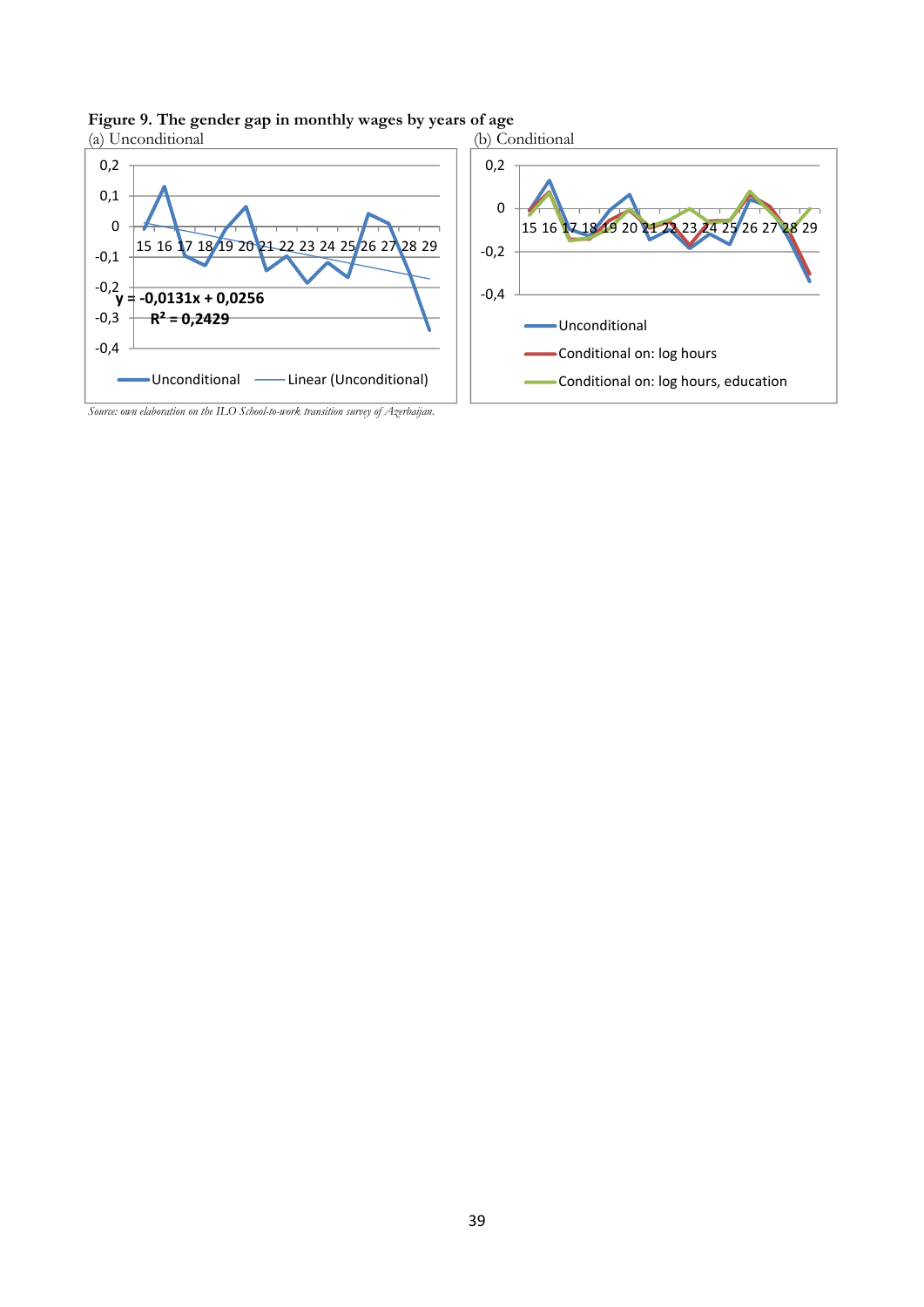

# **Figure 9. The gender gap in monthly wages by years of age**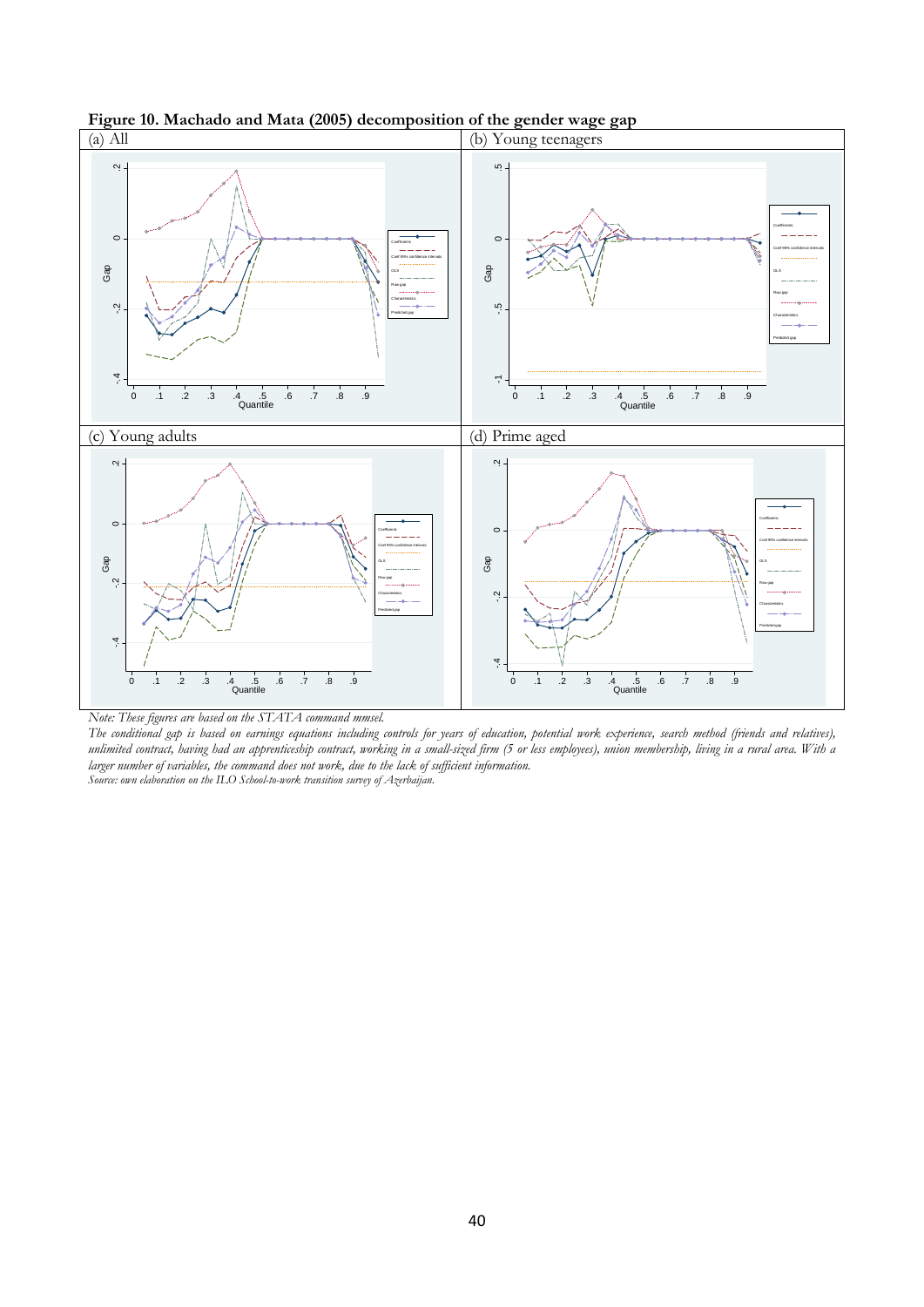

**Figure 10. Machado and Mata (2005) decomposition of the gender wage gap** 

*The conditional gap is based on earnings equations including controls for years of education, potential work experience, search method (friends and relatives), unlimited contract, having had an apprenticeship contract, working in a small-sized firm (5 or less employees), union membership, living in a rural area. With a larger number of variables, the command does not work, due to the lack of sufficient information.*<br>Source: own elaboration on the ILO School-to-work transition survey of Azerbaijan.

*Note: These figures are based on the STATA command mmsel.*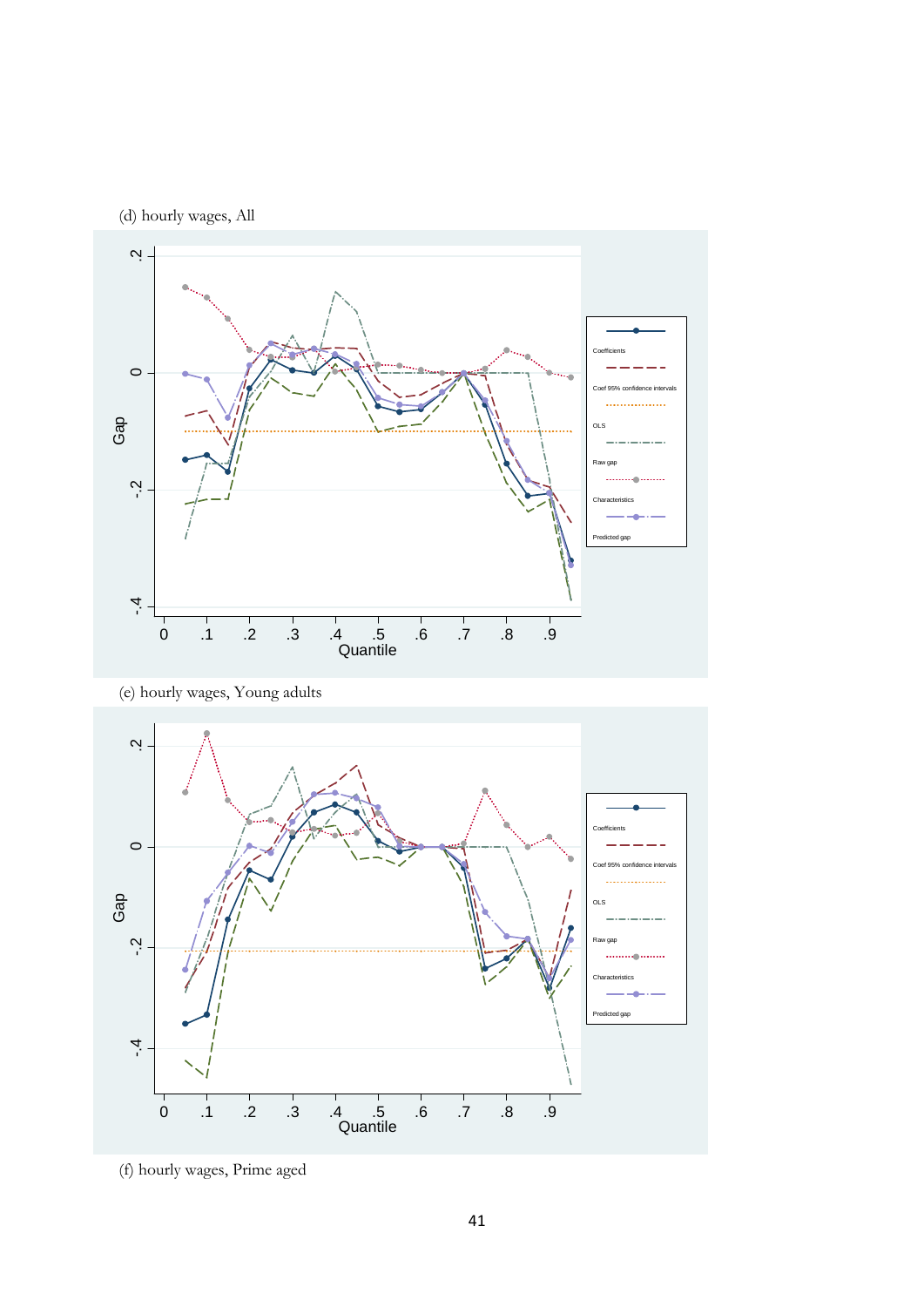(d) hourly wages, All



(e) hourly wages, Young adults

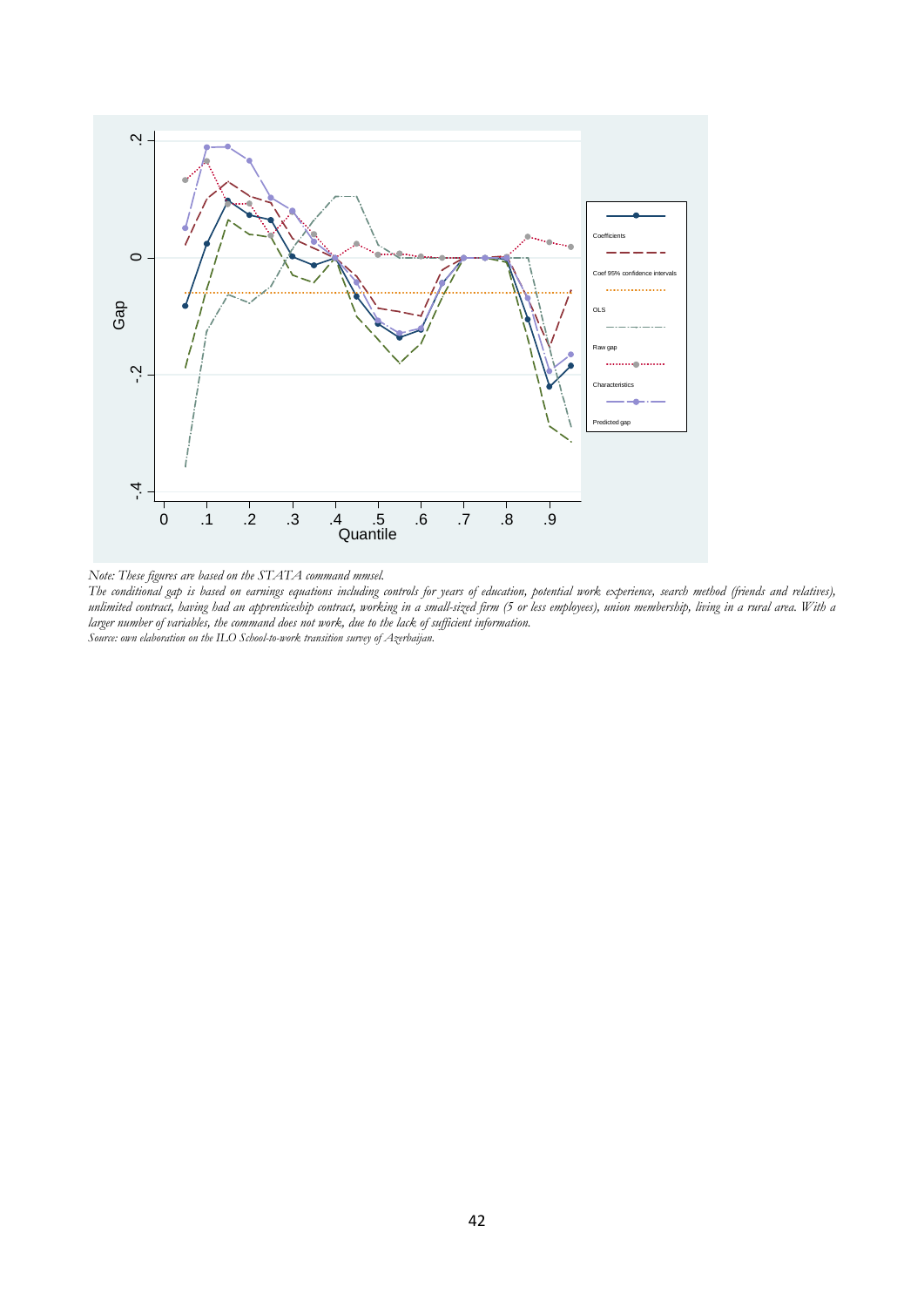

*Note: These figures are based on the STATA command mmsel.* 

*The conditional gap is based on earnings equations including controls for years of education, potential work experience, search method (friends and relatives), unlimited contract, having had an apprenticeship contract, working in a small-sized firm (5 or less employees), union membership, living in a rural area. With a larger number of variables, the command does not work, due to the lack of sufficient information.*<br>Source: own elaboration on the ILO School-to-work transition survey of Azerbaijan.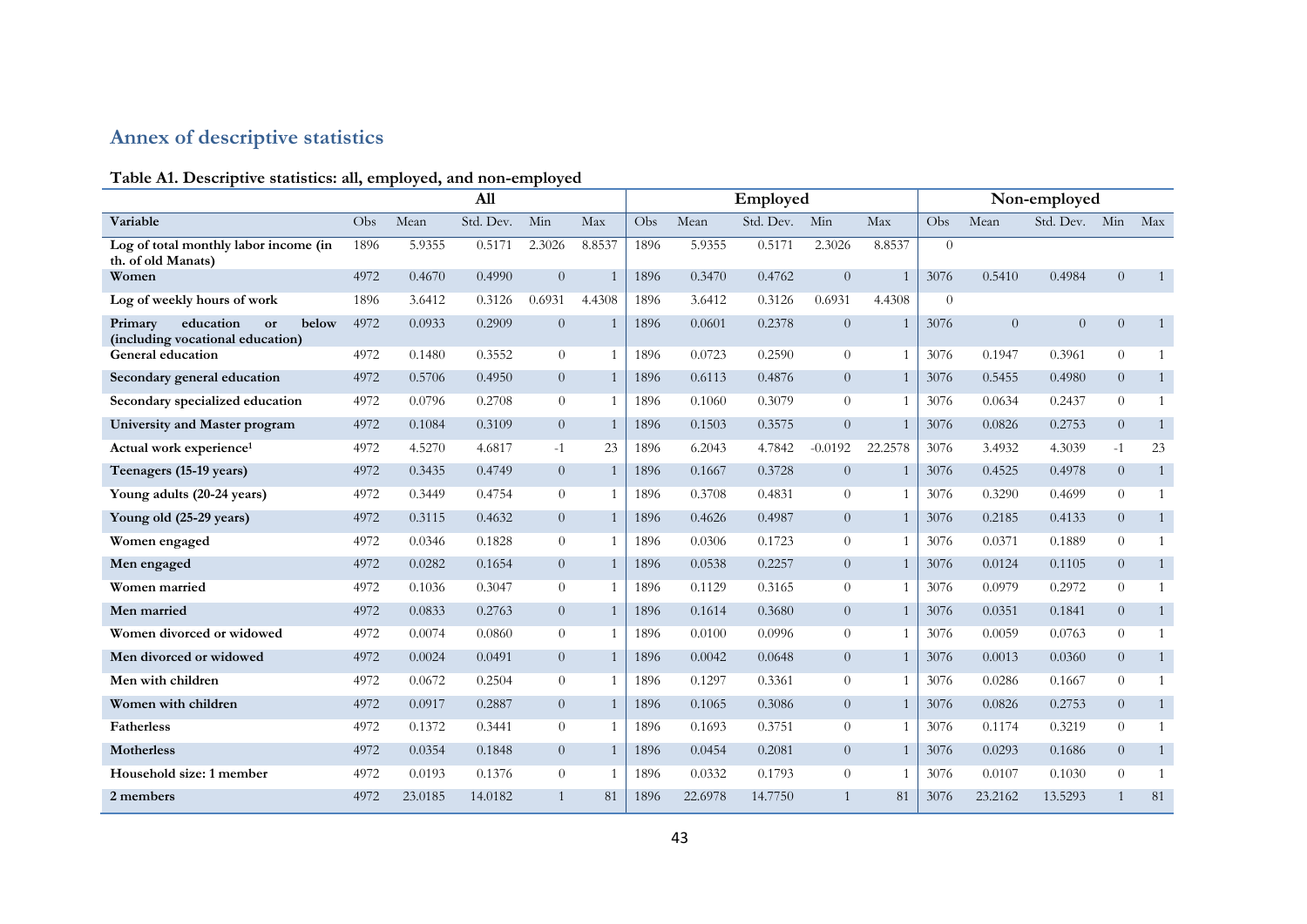# **Annex of descriptive statistics**

# **Table A1. Descriptive statistics: all, employed, and non-employed**

|                                                                         |      |         | All       |                |        | Employed |         |           |                |         |          | Non-employed |                |                |                |  |  |
|-------------------------------------------------------------------------|------|---------|-----------|----------------|--------|----------|---------|-----------|----------------|---------|----------|--------------|----------------|----------------|----------------|--|--|
| Variable                                                                | Obs. | Mean    | Std. Dev. | Min            | Max    | Obs      | Mean    | Std. Dev. | Min            | Max     | Obs.     | Mean         | Std. Dev. Min  |                | Max            |  |  |
| Log of total monthly labor income (in<br>th. of old Manats)             | 1896 | 5.9355  | 0.5171    | 2.3026         | 8.8537 | 1896     | 5.9355  | 0.5171    | 2.3026         | 8.8537  | $\theta$ |              |                |                |                |  |  |
| Women                                                                   | 4972 | 0.4670  | 0.4990    | $\overline{0}$ |        | 1896     | 0.3470  | 0.4762    | $\overline{0}$ |         | 3076     | 0.5410       | 0.4984         | $\overline{0}$ | $\overline{1}$ |  |  |
| Log of weekly hours of work                                             | 1896 | 3.6412  | 0.3126    | 0.6931         | 4.4308 | 1896     | 3.6412  | 0.3126    | 0.6931         | 4.4308  | $\Omega$ |              |                |                |                |  |  |
| education<br>below<br>Primary<br>or<br>(including vocational education) | 4972 | 0.0933  | 0.2909    | $\overline{0}$ |        | 1896     | 0.0601  | 0.2378    | $\overline{0}$ |         | 3076     | $\theta$     | $\overline{0}$ | $\overline{0}$ | $\overline{1}$ |  |  |
| General education                                                       | 4972 | 0.1480  | 0.3552    | $\overline{0}$ |        | 1896     | 0.0723  | 0.2590    | $\overline{0}$ |         | 3076     | 0.1947       | 0.3961         | $\overline{0}$ |                |  |  |
| Secondary general education                                             | 4972 | 0.5706  | 0.4950    | $\overline{0}$ |        | 1896     | 0.6113  | 0.4876    | $\overline{0}$ |         | 3076     | 0.5455       | 0.4980         | $\overline{0}$ | $\overline{1}$ |  |  |
| Secondary specialized education                                         | 4972 | 0.0796  | 0.2708    | $\overline{0}$ |        | 1896     | 0.1060  | 0.3079    | $\theta$       |         | 3076     | 0.0634       | 0.2437         | $\Omega$       |                |  |  |
| University and Master program                                           | 4972 | 0.1084  | 0.3109    | $\overline{0}$ |        | 1896     | 0.1503  | 0.3575    | $\overline{0}$ |         | 3076     | 0.0826       | 0.2753         | $\overline{0}$ | $\mathbf{1}$   |  |  |
| Actual work experience <sup>1</sup>                                     | 4972 | 4.5270  | 4.6817    | $-1$           | 23     | 1896     | 6.2043  | 4.7842    | $-0.0192$      | 22.2578 | 3076     | 3.4932       | 4.3039         | $-1$           | 23             |  |  |
| Teenagers (15-19 years)                                                 | 4972 | 0.3435  | 0.4749    | $\overline{0}$ |        | 1896     | 0.1667  | 0.3728    | $\overline{0}$ |         | 3076     | 0.4525       | 0.4978         | $\overline{0}$ | $\overline{1}$ |  |  |
| Young adults (20-24 years)                                              | 4972 | 0.3449  | 0.4754    | $\overline{0}$ |        | 1896     | 0.3708  | 0.4831    | $\overline{0}$ |         | 3076     | 0.3290       | 0.4699         | $\Omega$       | $\overline{1}$ |  |  |
| Young old (25-29 years)                                                 | 4972 | 0.3115  | 0.4632    | $\overline{0}$ |        | 1896     | 0.4626  | 0.4987    | $\overline{0}$ |         | 3076     | 0.2185       | 0.4133         | $\overline{0}$ | $\mathbf{1}$   |  |  |
| Women engaged                                                           | 4972 | 0.0346  | 0.1828    | $\overline{0}$ |        | 1896     | 0.0306  | 0.1723    | $\theta$       |         | 3076     | 0.0371       | 0.1889         | $\overline{0}$ |                |  |  |
| Men engaged                                                             | 4972 | 0.0282  | 0.1654    | $\overline{0}$ |        | 1896     | 0.0538  | 0.2257    | $\overline{0}$ |         | 3076     | 0.0124       | 0.1105         | $\overline{0}$ | $\mathbf{1}$   |  |  |
| Women married                                                           | 4972 | 0.1036  | 0.3047    | $\overline{0}$ |        | 1896     | 0.1129  | 0.3165    | $\theta$       |         | 3076     | 0.0979       | 0.2972         | $\overline{0}$ |                |  |  |
| Men married                                                             | 4972 | 0.0833  | 0.2763    | $\overline{0}$ |        | 1896     | 0.1614  | 0.3680    | $\overline{0}$ |         | 3076     | 0.0351       | 0.1841         | $\overline{0}$ | $\overline{1}$ |  |  |
| Women divorced or widowed                                               | 4972 | 0.0074  | 0.0860    | $\overline{0}$ |        | 1896     | 0.0100  | 0.0996    | $\overline{0}$ |         | 3076     | 0.0059       | 0.0763         | $\Omega$       | $\overline{1}$ |  |  |
| Men divorced or widowed                                                 | 4972 | 0.0024  | 0.0491    | $\overline{0}$ |        | 1896     | 0.0042  | 0.0648    | $\overline{0}$ |         | 3076     | 0.0013       | 0.0360         | $\overline{0}$ | $\mathbf{1}$   |  |  |
| Men with children                                                       | 4972 | 0.0672  | 0.2504    | $\overline{0}$ |        | 1896     | 0.1297  | 0.3361    | $\overline{0}$ |         | 3076     | 0.0286       | 0.1667         | $\overline{0}$ | $\overline{1}$ |  |  |
| Women with children                                                     | 4972 | 0.0917  | 0.2887    | $\overline{0}$ |        | 1896     | 0.1065  | 0.3086    | $\overline{0}$ |         | 3076     | 0.0826       | 0.2753         | $\overline{0}$ | $\mathbf{1}$   |  |  |
| <b>Fatherless</b>                                                       | 4972 | 0.1372  | 0.3441    | $\overline{0}$ |        | 1896     | 0.1693  | 0.3751    | $\theta$       |         | 3076     | 0.1174       | 0.3219         | $\Omega$       | $\overline{1}$ |  |  |
| <b>Motherless</b>                                                       | 4972 | 0.0354  | 0.1848    | $\overline{0}$ |        | 1896     | 0.0454  | 0.2081    | $\overline{0}$ |         | 3076     | 0.0293       | 0.1686         | $\overline{0}$ | $\mathbf{1}$   |  |  |
| Household size: 1 member                                                | 4972 | 0.0193  | 0.1376    | $\overline{0}$ |        | 1896     | 0.0332  | 0.1793    | $\theta$       |         | 3076     | 0.0107       | 0.1030         | $\overline{0}$ |                |  |  |
| 2 members                                                               | 4972 | 23.0185 | 14.0182   | $\mathbf{1}$   | 81     | 1896     | 22.6978 | 14.7750   | 1              | 81      | 3076     | 23.2162      | 13.5293        |                | 81             |  |  |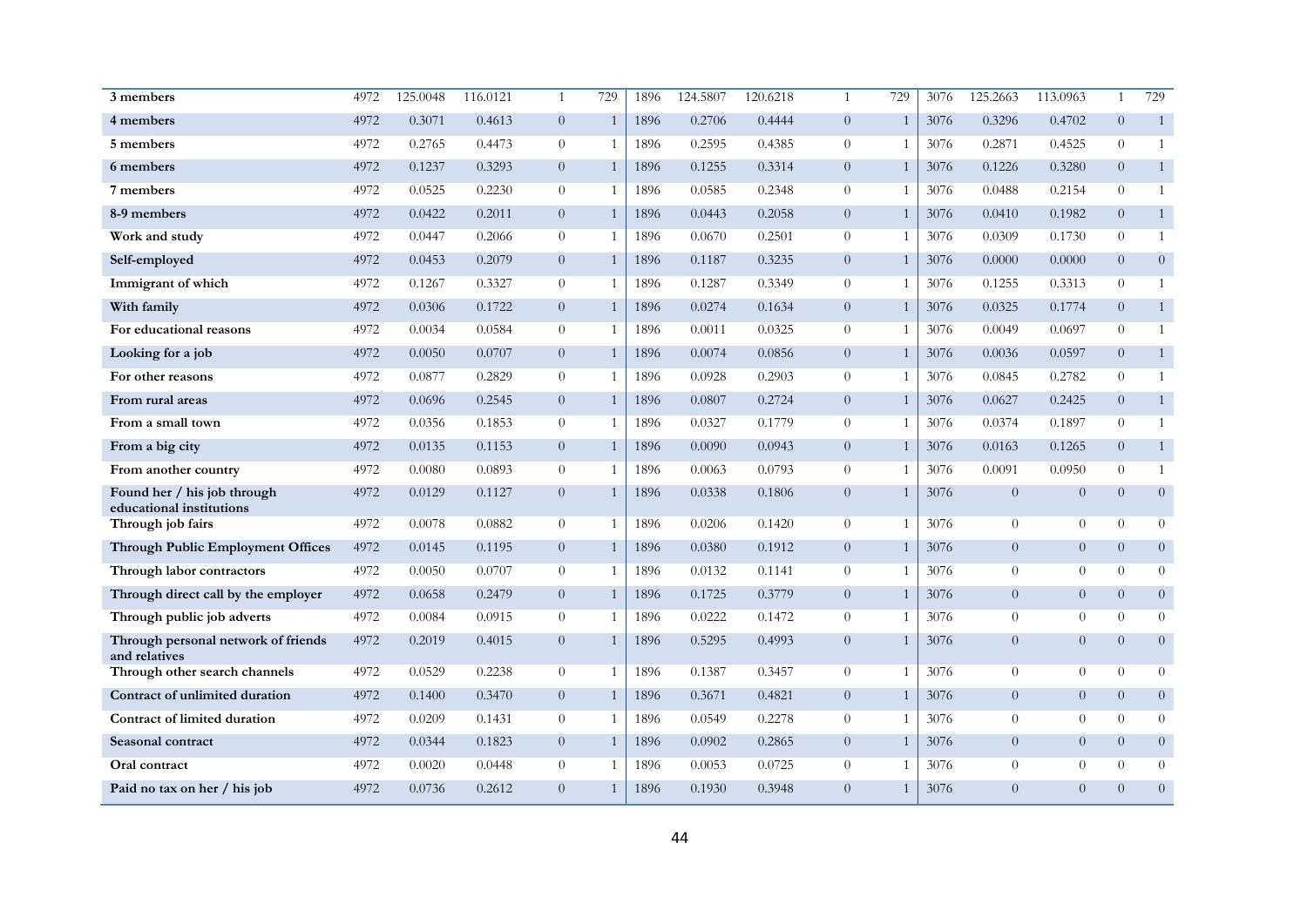| 3 members                                               | 4972 | 125.0048 | 116.0121 | $\mathbf{1}$   | 729          | 1896 | 124.5807 | 120.6218 | $\mathbf{1}$   | 729            | 3076 | 125.2663       | 113.0963       | $\mathbf{1}$   | 729            |
|---------------------------------------------------------|------|----------|----------|----------------|--------------|------|----------|----------|----------------|----------------|------|----------------|----------------|----------------|----------------|
| 4 members                                               | 4972 | 0.3071   | 0.4613   | $\overline{0}$ | $\mathbf{1}$ | 1896 | 0.2706   | 0.4444   | $\overline{0}$ | $\mathbf{1}$   | 3076 | 0.3296         | 0.4702         | $\overline{0}$ | $\mathbf{1}$   |
| 5 members                                               | 4972 | 0.2765   | 0.4473   | $\overline{0}$ | $\mathbf{1}$ | 1896 | 0.2595   | 0.4385   | $\overline{0}$ | -1             | 3076 | 0.2871         | 0.4525         | $\overline{0}$ | $\mathbf{1}$   |
| 6 members                                               | 4972 | 0.1237   | 0.3293   | $\overline{0}$ |              | 1896 | 0.1255   | 0.3314   | $\overline{0}$ | $\overline{1}$ | 3076 | 0.1226         | 0.3280         | $\overline{0}$ | $\mathbf{1}$   |
| 7 members                                               | 4972 | 0.0525   | 0.2230   | $\overline{0}$ | -1           | 1896 | 0.0585   | 0.2348   | $\overline{0}$ | -1             | 3076 | 0.0488         | 0.2154         | $\Omega$       | 1              |
| 8-9 members                                             | 4972 | 0.0422   | 0.2011   | $\overline{0}$ | $\mathbf{1}$ | 1896 | 0.0443   | 0.2058   | $\overline{0}$ | $\overline{1}$ | 3076 | 0.0410         | 0.1982         | $\Omega$       | $\mathbf{1}$   |
| Work and study                                          | 4972 | 0.0447   | 0.2066   | $\overline{0}$ | 1            | 1896 | 0.0670   | 0.2501   | $\overline{0}$ | $\mathbf{1}$   | 3076 | 0.0309         | 0.1730         | $\overline{0}$ | 1              |
| Self-employed                                           | 4972 | 0.0453   | 0.2079   | $\overline{0}$ | $\mathbf{1}$ | 1896 | 0.1187   | 0.3235   | $\overline{0}$ | $\mathbf{1}$   | 3076 | 0.0000         | 0.0000         | $\overline{0}$ | $\theta$       |
| Immigrant of which                                      | 4972 | 0.1267   | 0.3327   | $\overline{0}$ | 1            | 1896 | 0.1287   | 0.3349   | $\overline{0}$ |                | 3076 | 0.1255         | 0.3313         | $\Omega$       | 1              |
| With family                                             | 4972 | 0.0306   | 0.1722   | $\overline{0}$ | 1            | 1896 | 0.0274   | 0.1634   | $\overline{0}$ | $\overline{1}$ | 3076 | 0.0325         | 0.1774         | $\overline{0}$ | $\mathbf{1}$   |
| For educational reasons                                 | 4972 | 0.0034   | 0.0584   | $\overline{0}$ | 1            | 1896 | 0.0011   | 0.0325   | $\overline{0}$ |                | 3076 | 0.0049         | 0.0697         | $\Omega$       | 1              |
| Looking for a job                                       | 4972 | 0.0050   | 0.0707   | $\overline{0}$ | 1            | 1896 | 0.0074   | 0.0856   | $\overline{0}$ | 1              | 3076 | 0.0036         | 0.0597         | $\overline{0}$ | $\mathbf{1}$   |
| For other reasons                                       | 4972 | 0.0877   | 0.2829   | $\overline{0}$ | $\mathbf{1}$ | 1896 | 0.0928   | 0.2903   | $\overline{0}$ | -1             | 3076 | 0.0845         | 0.2782         | $\overline{0}$ | 1              |
| From rural areas                                        | 4972 | 0.0696   | 0.2545   | $\overline{0}$ | $\mathbf{1}$ | 1896 | 0.0807   | 0.2724   | $\overline{0}$ | 1              | 3076 | 0.0627         | 0.2425         | $\overline{0}$ | $\mathbf{1}$   |
| From a small town                                       | 4972 | 0.0356   | 0.1853   | $\overline{0}$ | $\mathbf{1}$ | 1896 | 0.0327   | 0.1779   | $\overline{0}$ | -1             | 3076 | 0.0374         | 0.1897         | $\Omega$       | 1              |
| From a big city                                         | 4972 | 0.0135   | 0.1153   | $\overline{0}$ |              | 1896 | 0.0090   | 0.0943   | $\overline{0}$ | $\overline{1}$ | 3076 | 0.0163         | 0.1265         | $\overline{0}$ | $\mathbf{1}$   |
| From another country                                    | 4972 | 0.0080   | 0.0893   | $\theta$       | $\mathbf{1}$ | 1896 | 0.0063   | 0.0793   | $\overline{0}$ | -1             | 3076 | 0.0091         | 0.0950         | $\overline{0}$ | 1              |
| Found her / his job through<br>educational institutions | 4972 | 0.0129   | 0.1127   | $\overline{0}$ |              | 1896 | 0.0338   | 0.1806   | $\overline{0}$ | $\mathbf{1}$   | 3076 | $\overline{0}$ | $\overline{0}$ | $\overline{0}$ | $\overline{0}$ |
| Through job fairs                                       | 4972 | 0.0078   | 0.0882   | $\overline{0}$ | $\mathbf{1}$ | 1896 | 0.0206   | 0.1420   | $\overline{0}$ | $\mathbf{1}$   | 3076 | $\theta$       | $\overline{0}$ | $\Omega$       | $\overline{0}$ |
| <b>Through Public Employment Offices</b>                | 4972 | 0.0145   | 0.1195   | $\overline{0}$ | $\mathbf{1}$ | 1896 | 0.0380   | 0.1912   | $\overline{0}$ |                | 3076 | $\overline{0}$ | $\theta$       | $\overline{0}$ | $\overline{0}$ |
| Through labor contractors                               | 4972 | 0.0050   | 0.0707   | $\overline{0}$ | 1            | 1896 | 0.0132   | 0.1141   | $\overline{0}$ |                | 3076 | $\theta$       | $\theta$       | $\Omega$       | $\theta$       |
| Through direct call by the employer                     | 4972 | 0.0658   | 0.2479   | $\overline{0}$ | 1            | 1896 | 0.1725   | 0.3779   | $\overline{0}$ | 1              | 3076 | $\overline{0}$ | $\overline{0}$ | $\overline{0}$ | $\overline{0}$ |
| Through public job adverts                              | 4972 | 0.0084   | 0.0915   | $\overline{0}$ | 1            | 1896 | 0.0222   | 0.1472   | $\overline{0}$ |                | 3076 | $\theta$       | $\overline{0}$ | $\Omega$       | $\overline{0}$ |
| Through personal network of friends<br>and relatives    | 4972 | 0.2019   | 0.4015   | $\overline{0}$ |              | 1896 | 0.5295   | 0.4993   | $\overline{0}$ | $\mathbf{1}$   | 3076 | $\overline{0}$ | $\overline{0}$ | $\overline{0}$ | $\overline{0}$ |
| Through other search channels                           | 4972 | 0.0529   | 0.2238   | $\overline{0}$ | $\mathbf{1}$ | 1896 | 0.1387   | 0.3457   | $\overline{0}$ | $\overline{1}$ | 3076 | $\theta$       | $\theta$       | $\Omega$       | $\theta$       |
| Contract of unlimited duration                          | 4972 | 0.1400   | 0.3470   | $\overline{0}$ | $\mathbf{1}$ | 1896 | 0.3671   | 0.4821   | $\overline{0}$ | $\overline{1}$ | 3076 | $\overline{0}$ | $\overline{0}$ | $\overline{0}$ | $\overline{0}$ |
| Contract of limited duration                            | 4972 | 0.0209   | 0.1431   | $\overline{0}$ | $\mathbf{1}$ | 1896 | 0.0549   | 0.2278   | $\overline{0}$ | -1             | 3076 | $\theta$       | $\overline{0}$ | $\Omega$       | $\overline{0}$ |
| Seasonal contract                                       | 4972 | 0.0344   | 0.1823   | $\overline{0}$ |              | 1896 | 0.0902   | 0.2865   | $\overline{0}$ | $\mathbf{1}$   | 3076 | $\overline{0}$ | $\overline{0}$ | $\overline{0}$ | $\overline{0}$ |
| Oral contract                                           | 4972 | 0.0020   | 0.0448   | $\overline{0}$ | 1            | 1896 | 0.0053   | 0.0725   | $\overline{0}$ | -1             | 3076 | $\theta$       | $\theta$       | $\Omega$       | $\overline{0}$ |
| Paid no tax on her / his job                            | 4972 | 0.0736   | 0.2612   | $\overline{0}$ |              | 1896 | 0.1930   | 0.3948   | $\overline{0}$ | $\mathbf{1}$   | 3076 | $\Omega$       | $\overline{0}$ | $\Omega$       | $\overline{0}$ |
|                                                         |      |          |          |                |              |      |          |          |                |                |      |                |                |                |                |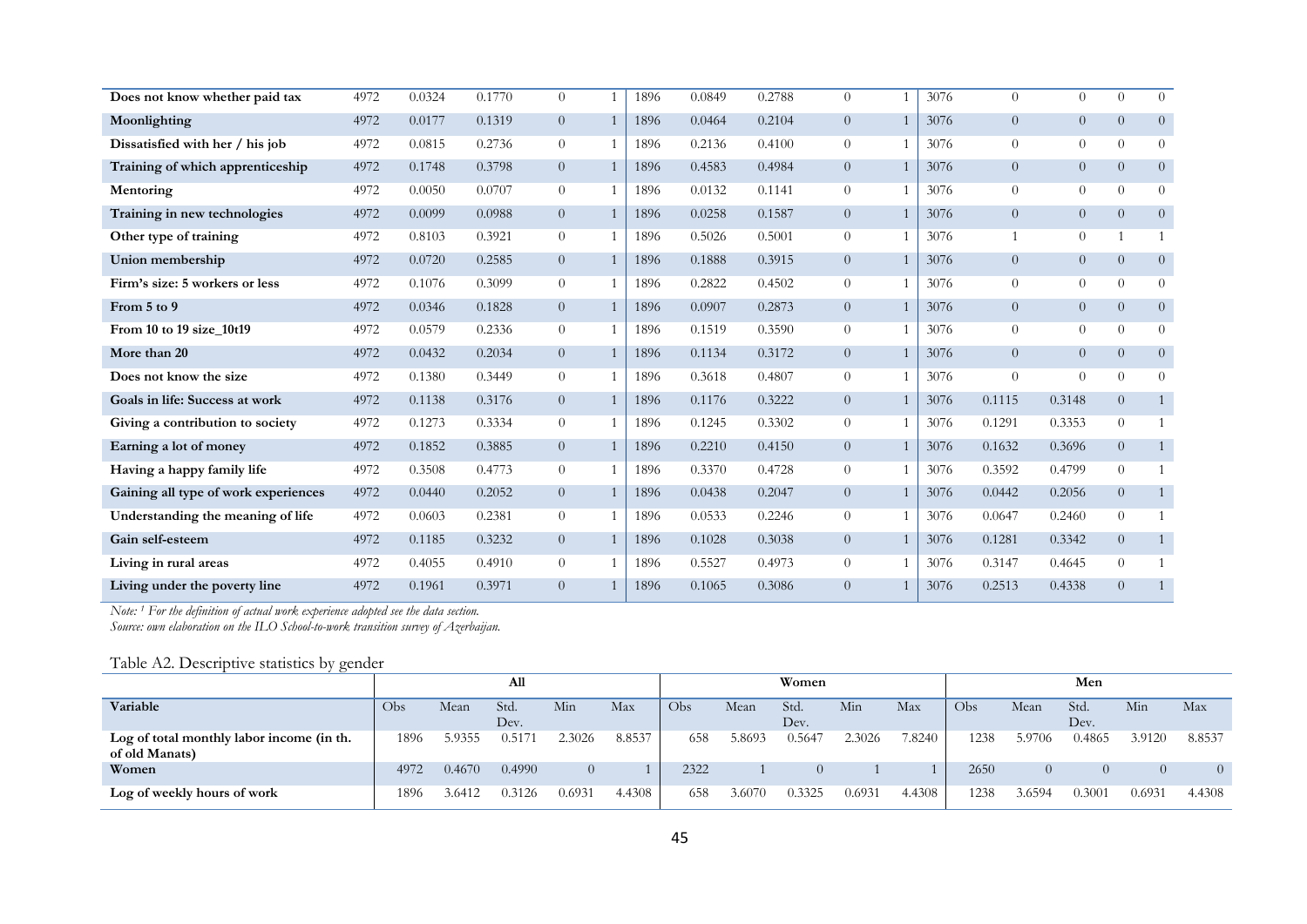| Does not know whether paid tax       | 4972 | 0.0324 | 0.1770 | $\Omega$       |                | 1896 | 0.0849 | 0.2788 | $\Omega$       | 3076 | $\Omega$       | $\Omega$       | $\Omega$       | $\Omega$       |
|--------------------------------------|------|--------|--------|----------------|----------------|------|--------|--------|----------------|------|----------------|----------------|----------------|----------------|
| Moonlighting                         | 4972 | 0.0177 | 0.1319 | $\overline{0}$ | $\mathbf{1}$   | 1896 | 0.0464 | 0.2104 | $\overline{0}$ | 3076 | $\overline{0}$ | $\overline{0}$ | $\overline{0}$ | $\overline{0}$ |
| Dissatisfied with her / his job      | 4972 | 0.0815 | 0.2736 | $\overline{0}$ | $\overline{1}$ | 1896 | 0.2136 | 0.4100 | $\overline{0}$ | 3076 | $\Omega$       | $\theta$       | $\Omega$       | $\theta$       |
| Training of which apprenticeship     | 4972 | 0.1748 | 0.3798 | $\overline{0}$ |                | 1896 | 0.4583 | 0.4984 | $\overline{0}$ | 3076 | $\overline{0}$ | $\overline{0}$ | $\overline{0}$ | $\overline{0}$ |
| Mentoring                            | 4972 | 0.0050 | 0.0707 | $\overline{0}$ |                | 1896 | 0.0132 | 0.1141 | $\overline{0}$ | 3076 | $\overline{0}$ | $\overline{0}$ | $\Omega$       | $\Omega$       |
| Training in new technologies         | 4972 | 0.0099 | 0.0988 | $\overline{0}$ | $\overline{1}$ | 1896 | 0.0258 | 0.1587 | $\overline{0}$ | 3076 | $\overline{0}$ | $\overline{0}$ | $\overline{0}$ | $\overline{0}$ |
| Other type of training               | 4972 | 0.8103 | 0.3921 | $\overline{0}$ |                | 1896 | 0.5026 | 0.5001 | $\overline{0}$ | 3076 | $\mathbf 1$    | $\overline{0}$ |                |                |
| Union membership                     | 4972 | 0.0720 | 0.2585 | $\overline{0}$ | -1             | 1896 | 0.1888 | 0.3915 | $\overline{0}$ | 3076 | $\overline{0}$ | $\overline{0}$ | $\overline{0}$ | $\overline{0}$ |
| Firm's size: 5 workers or less       | 4972 | 0.1076 | 0.3099 | $\overline{0}$ |                | 1896 | 0.2822 | 0.4502 | $\overline{0}$ | 3076 | $\overline{0}$ | $\overline{0}$ | $\Omega$       | $\Omega$       |
| From 5 to 9                          | 4972 | 0.0346 | 0.1828 | $\overline{0}$ |                | 1896 | 0.0907 | 0.2873 | $\overline{0}$ | 3076 | $\overline{0}$ | $\overline{0}$ | $\overline{0}$ | $\overline{0}$ |
| From 10 to 19 size 10t19             | 4972 | 0.0579 | 0.2336 | $\overline{0}$ |                | 1896 | 0.1519 | 0.3590 | $\overline{0}$ | 3076 | $\Omega$       | $\overline{0}$ | $\overline{0}$ | $\Omega$       |
| More than 20                         | 4972 | 0.0432 | 0.2034 | $\overline{0}$ | -1             | 1896 | 0.1134 | 0.3172 | $\overline{0}$ | 3076 | $\overline{0}$ | $\overline{0}$ | $\overline{0}$ | $\overline{0}$ |
| Does not know the size               | 4972 | 0.1380 | 0.3449 | $\overline{0}$ | $\overline{1}$ | 1896 | 0.3618 | 0.4807 | $\overline{0}$ | 3076 | $\Omega$       | $\Omega$       | $\Omega$       | $\Omega$       |
| Goals in life: Success at work       | 4972 | 0.1138 | 0.3176 | $\overline{0}$ |                | 1896 | 0.1176 | 0.3222 | $\overline{0}$ | 3076 | 0.1115         | 0.3148         | $\overline{0}$ |                |
| Giving a contribution to society     | 4972 | 0.1273 | 0.3334 | $\overline{0}$ |                | 1896 | 0.1245 | 0.3302 | $\overline{0}$ | 3076 | 0.1291         | 0.3353         | $\Omega$       |                |
| Earning a lot of money               | 4972 | 0.1852 | 0.3885 | $\overline{0}$ | $\overline{1}$ | 1896 | 0.2210 | 0.4150 | $\overline{0}$ | 3076 | 0.1632         | 0.3696         | $\overline{0}$ |                |
| Having a happy family life           | 4972 | 0.3508 | 0.4773 | $\overline{0}$ |                | 1896 | 0.3370 | 0.4728 | $\overline{0}$ | 3076 | 0.3592         | 0.4799         | $\Omega$       |                |
| Gaining all type of work experiences | 4972 | 0.0440 | 0.2052 | $\overline{0}$ | $\overline{1}$ | 1896 | 0.0438 | 0.2047 | $\overline{0}$ | 3076 | 0.0442         | 0.2056         | $\overline{0}$ | 1              |
| Understanding the meaning of life    | 4972 | 0.0603 | 0.2381 | $\overline{0}$ |                | 1896 | 0.0533 | 0.2246 | $\overline{0}$ | 3076 | 0.0647         | 0.2460         | $\Omega$       |                |
| Gain self-esteem                     | 4972 | 0.1185 | 0.3232 | $\overline{0}$ |                | 1896 | 0.1028 | 0.3038 | $\overline{0}$ | 3076 | 0.1281         | 0.3342         | $\overline{0}$ |                |
| Living in rural areas                | 4972 | 0.4055 | 0.4910 | $\overline{0}$ |                | 1896 | 0.5527 | 0.4973 | $\overline{0}$ | 3076 | 0.3147         | 0.4645         | $\overline{0}$ |                |
| Living under the poverty line        | 4972 | 0.1961 | 0.3971 | $\overline{0}$ |                | 1896 | 0.1065 | 0.3086 | $\overline{0}$ | 3076 | 0.2513         | 0.4338         | $\overline{0}$ |                |

*Note: 1 For the definition of actual work experience adopted see the data section.* 

*Source: own elaboration on the ILO School-to-work transition survey of Azerbaijan.* 

# Table A2. Descriptive statistics by gender

| $\sim$                                                      |      |        | All          |          |        |      |        | Women        |        |        |      |        | Men                |          |        |
|-------------------------------------------------------------|------|--------|--------------|----------|--------|------|--------|--------------|--------|--------|------|--------|--------------------|----------|--------|
| Variable                                                    | Obs  | Mean   | Std.<br>Dev. | Min      | Max    | Obs  | Mean   | Std.<br>Dev. | Min    | Max    | Obs  | Mean   | <b>Std</b><br>Dev. | Min      | Max    |
| Log of total monthly labor income (in th.<br>of old Manats) | 1896 | 5.9355 | 0.5171       | 2.3026   | 8.8537 | 658  | 5.8693 | 0.5647       | 2.3026 | 7.8240 | '238 | 5.9706 | 0.4865             | 3.9120   | 8.8537 |
| Women                                                       | 4972 | 0.4670 | 0.4990       | $\theta$ |        | 2322 |        |              |        |        | 2650 |        |                    | $\left($ |        |
| Log of weekly hours of work                                 | 1896 | 3.6412 | 0.3126       | 0.6931   | 4.4308 | 658  | 3.6070 | 0.3325       | 0.6931 | 4.4308 | 238  | 3.6594 | 0.3001             | 0.6931   | 4.4308 |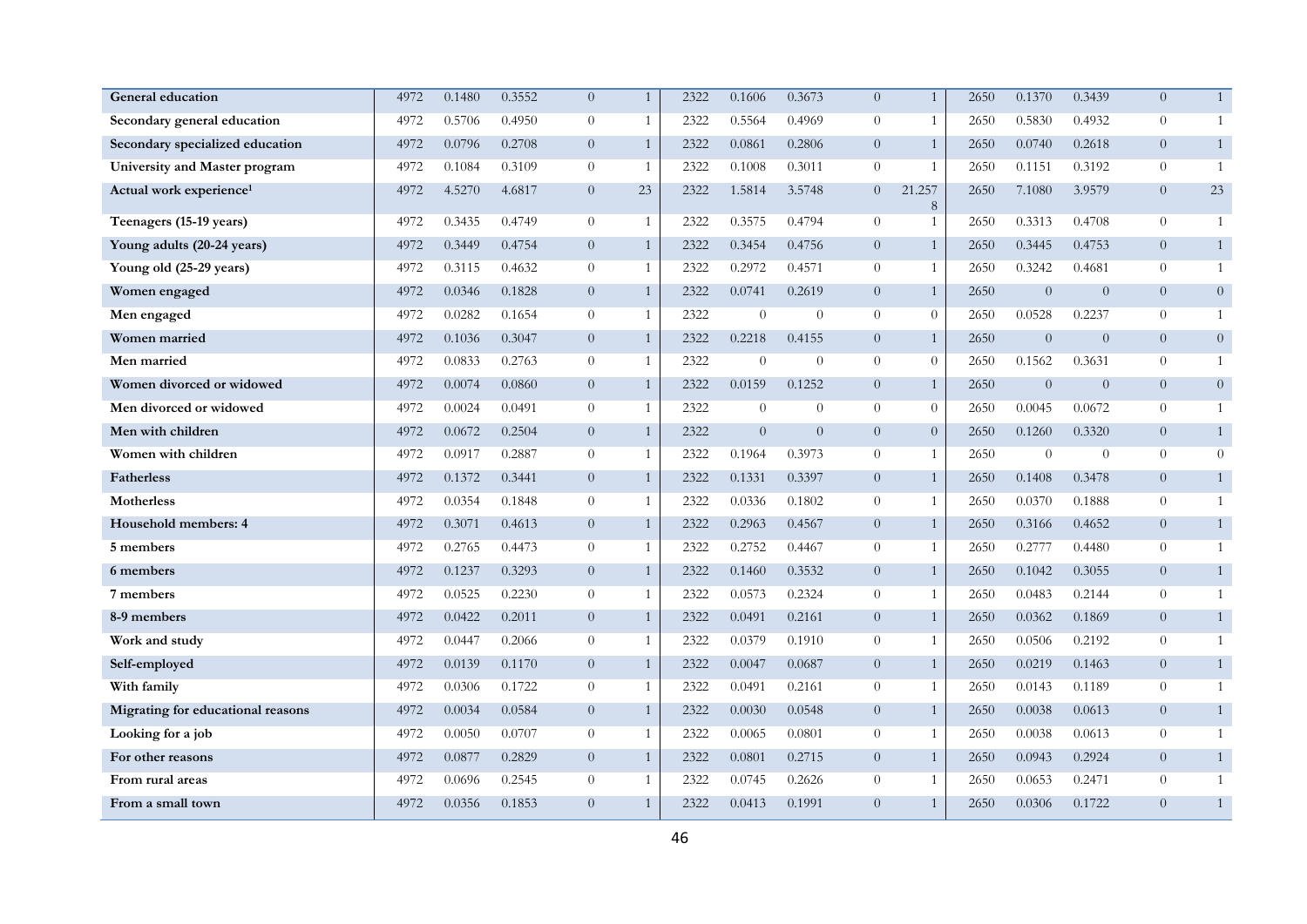| <b>General education</b>            | 4972 | 0.1480 | 0.3552 | $\overline{0}$ | $\mathbf{1}$ | 2322 | 0.1606   | 0.3673         | $\overline{0}$ | $\mathbf{1}$   | 2650 | 0.1370         | 0.3439         | $\overline{0}$ | 1              |
|-------------------------------------|------|--------|--------|----------------|--------------|------|----------|----------------|----------------|----------------|------|----------------|----------------|----------------|----------------|
| Secondary general education         | 4972 | 0.5706 | 0.4950 | $\theta$       | 1            | 2322 | 0.5564   | 0.4969         | $\theta$       | $\mathbf{1}$   | 2650 | 0.5830         | 0.4932         | $\theta$       |                |
| Secondary specialized education     | 4972 | 0.0796 | 0.2708 | $\overline{0}$ | $\mathbf{1}$ | 2322 | 0.0861   | 0.2806         | $\overline{0}$ | $\mathbf{1}$   | 2650 | 0.0740         | 0.2618         | $\overline{0}$ | $\mathbf{1}$   |
| University and Master program       | 4972 | 0.1084 | 0.3109 | $\theta$       | 1            | 2322 | 0.1008   | 0.3011         | $\theta$       | $\mathbf{1}$   | 2650 | 0.1151         | 0.3192         | $\overline{0}$ | $\overline{1}$ |
| Actual work experience <sup>1</sup> | 4972 | 4.5270 | 4.6817 | $\overline{0}$ | 23           | 2322 | 1.5814   | 3.5748         | $\overline{0}$ | 21.257<br>8    | 2650 | 7.1080         | 3.9579         | $\overline{0}$ | 23             |
| Teenagers (15-19 years)             | 4972 | 0.3435 | 0.4749 | $\overline{0}$ | $\mathbf{1}$ | 2322 | 0.3575   | 0.4794         | $\theta$       | $\mathbf{1}$   | 2650 | 0.3313         | 0.4708         | $\overline{0}$ | $\overline{1}$ |
| Young adults (20-24 years)          | 4972 | 0.3449 | 0.4754 | $\overline{0}$ | $\mathbf{1}$ | 2322 | 0.3454   | 0.4756         | $\overline{0}$ | $\mathbf{1}$   | 2650 | 0.3445         | 0.4753         | $\overline{0}$ | $\mathbf{1}$   |
| Young old (25-29 years)             | 4972 | 0.3115 | 0.4632 | $\overline{0}$ | $\mathbf{1}$ | 2322 | 0.2972   | 0.4571         | $\Omega$       | $\mathbf{1}$   | 2650 | 0.3242         | 0.4681         | $\theta$       | 1              |
| Women engaged                       | 4972 | 0.0346 | 0.1828 | $\overline{0}$ | $\mathbf{1}$ | 2322 | 0.0741   | 0.2619         | $\overline{0}$ | $\mathbf{1}$   | 2650 | $\theta$       | $\overline{0}$ | $\overline{0}$ | $\overline{0}$ |
| Men engaged                         | 4972 | 0.0282 | 0.1654 | $\overline{0}$ | $\mathbf{1}$ | 2322 | $\theta$ | $\overline{0}$ | $\overline{0}$ | $\overline{0}$ | 2650 | 0.0528         | 0.2237         | $\overline{0}$ | 1              |
| Women married                       | 4972 | 0.1036 | 0.3047 | $\overline{0}$ | $\mathbf{1}$ | 2322 | 0.2218   | 0.4155         | $\overline{0}$ | $\mathbf{1}$   | 2650 | $\overline{0}$ | $\overline{0}$ | $\overline{0}$ | $\theta$       |
| Men married                         | 4972 | 0.0833 | 0.2763 | $\overline{0}$ | 1            | 2322 | $\Omega$ | $\overline{0}$ | $\overline{0}$ | $\overline{0}$ | 2650 | 0.1562         | 0.3631         | $\overline{0}$ | $\overline{1}$ |
| Women divorced or widowed           | 4972 | 0.0074 | 0.0860 | $\overline{0}$ | $\mathbf{1}$ | 2322 | 0.0159   | 0.1252         | $\overline{0}$ | $\mathbf{1}$   | 2650 | $\overline{0}$ | $\overline{0}$ | $\overline{0}$ | $\overline{0}$ |
| Men divorced or widowed             | 4972 | 0.0024 | 0.0491 | $\overline{0}$ | 1            | 2322 | $\theta$ | $\overline{0}$ | $\Omega$       | $\overline{0}$ | 2650 | 0.0045         | 0.0672         | $\overline{0}$ | 1              |
| Men with children                   | 4972 | 0.0672 | 0.2504 | $\overline{0}$ | $\mathbf{1}$ | 2322 | $\theta$ | $\overline{0}$ | $\overline{0}$ | $\overline{0}$ | 2650 | 0.1260         | 0.3320         | $\overline{0}$ | $\mathbf{1}$   |
| Women with children                 | 4972 | 0.0917 | 0.2887 | $\theta$       | $\mathbf{1}$ | 2322 | 0.1964   | 0.3973         | $\Omega$       | $\mathbf{1}$   | 2650 | $\theta$       | $\theta$       | $\theta$       | $\overline{0}$ |
| <b>Fatherless</b>                   | 4972 | 0.1372 | 0.3441 | $\overline{0}$ | $\mathbf{1}$ | 2322 | 0.1331   | 0.3397         | $\overline{0}$ | $\mathbf{1}$   | 2650 | 0.1408         | 0.3478         | $\overline{0}$ | $\mathbf{1}$   |
| <b>Motherless</b>                   | 4972 | 0.0354 | 0.1848 | $\theta$       | 1            | 2322 | 0.0336   | 0.1802         | $\overline{0}$ | $\mathbf{1}$   | 2650 | 0.0370         | 0.1888         | $\overline{0}$ | $\mathbf{1}$   |
| Household members: 4                | 4972 | 0.3071 | 0.4613 | $\overline{0}$ | $\mathbf{1}$ | 2322 | 0.2963   | 0.4567         | $\overline{0}$ | $\mathbf{1}$   | 2650 | 0.3166         | 0.4652         | $\overline{0}$ | $\mathbf{1}$   |
| 5 members                           | 4972 | 0.2765 | 0.4473 | $\overline{0}$ | 1            | 2322 | 0.2752   | 0.4467         | $\Omega$       | $\mathbf{1}$   | 2650 | 0.2777         | 0.4480         | $\overline{0}$ | $\overline{1}$ |
| 6 members                           | 4972 | 0.1237 | 0.3293 | $\overline{0}$ | $\mathbf{1}$ | 2322 | 0.1460   | 0.3532         | $\Omega$       | $\mathbf{1}$   | 2650 | 0.1042         | 0.3055         | $\overline{0}$ | $\mathbf{1}$   |
| 7 members                           | 4972 | 0.0525 | 0.2230 | $\overline{0}$ | 1            | 2322 | 0.0573   | 0.2324         | $\overline{0}$ | 1              | 2650 | 0.0483         | 0.2144         | $\overline{0}$ | 1              |
| 8-9 members                         | 4972 | 0.0422 | 0.2011 | $\overline{0}$ | $\mathbf{1}$ | 2322 | 0.0491   | 0.2161         | $\overline{0}$ | $\mathbf{1}$   | 2650 | 0.0362         | 0.1869         | $\overline{0}$ | $\mathbf{1}$   |
| Work and study                      | 4972 | 0.0447 | 0.2066 | $\overline{0}$ | $\mathbf{1}$ | 2322 | 0.0379   | 0.1910         | $\overline{0}$ | $\mathbf{1}$   | 2650 | 0.0506         | 0.2192         | $\overline{0}$ | $\mathbf{1}$   |
| Self-employed                       | 4972 | 0.0139 | 0.1170 | $\overline{0}$ | $\mathbf{1}$ | 2322 | 0.0047   | 0.0687         | $\overline{0}$ | $\mathbf{1}$   | 2650 | 0.0219         | 0.1463         | $\overline{0}$ | $\mathbf{1}$   |
| With family                         | 4972 | 0.0306 | 0.1722 | $\overline{0}$ | 1            | 2322 | 0.0491   | 0.2161         | $\overline{0}$ | $\mathbf{1}$   | 2650 | 0.0143         | 0.1189         | $\overline{0}$ | 1              |
| Migrating for educational reasons   | 4972 | 0.0034 | 0.0584 | $\overline{0}$ | $\mathbf{1}$ | 2322 | 0.0030   | 0.0548         | $\overline{0}$ | $\mathbf{1}$   | 2650 | 0.0038         | 0.0613         | $\overline{0}$ | $\mathbf{1}$   |
| Looking for a job                   | 4972 | 0.0050 | 0.0707 | $\overline{0}$ | 1            | 2322 | 0.0065   | 0.0801         | $\overline{0}$ | $\mathbf{1}$   | 2650 | 0.0038         | 0.0613         | $\overline{0}$ | 1              |
| For other reasons                   | 4972 | 0.0877 | 0.2829 | $\overline{0}$ | $\mathbf{1}$ | 2322 | 0.0801   | 0.2715         | $\overline{0}$ | $\mathbf{1}$   | 2650 | 0.0943         | 0.2924         | $\overline{0}$ | $\mathbf{1}$   |
| From rural areas                    | 4972 | 0.0696 | 0.2545 | $\theta$       | 1            | 2322 | 0.0745   | 0.2626         | $\theta$       | $\mathbf{1}$   | 2650 | 0.0653         | 0.2471         | $\theta$       | $\mathbf{1}$   |
| From a small town                   | 4972 | 0.0356 | 0.1853 | $\overline{0}$ | $\mathbf{1}$ | 2322 | 0.0413   | 0.1991         | $\Omega$       | $\mathbf{1}$   | 2650 | 0.0306         | 0.1722         | $\Omega$       | $\mathbf{1}$   |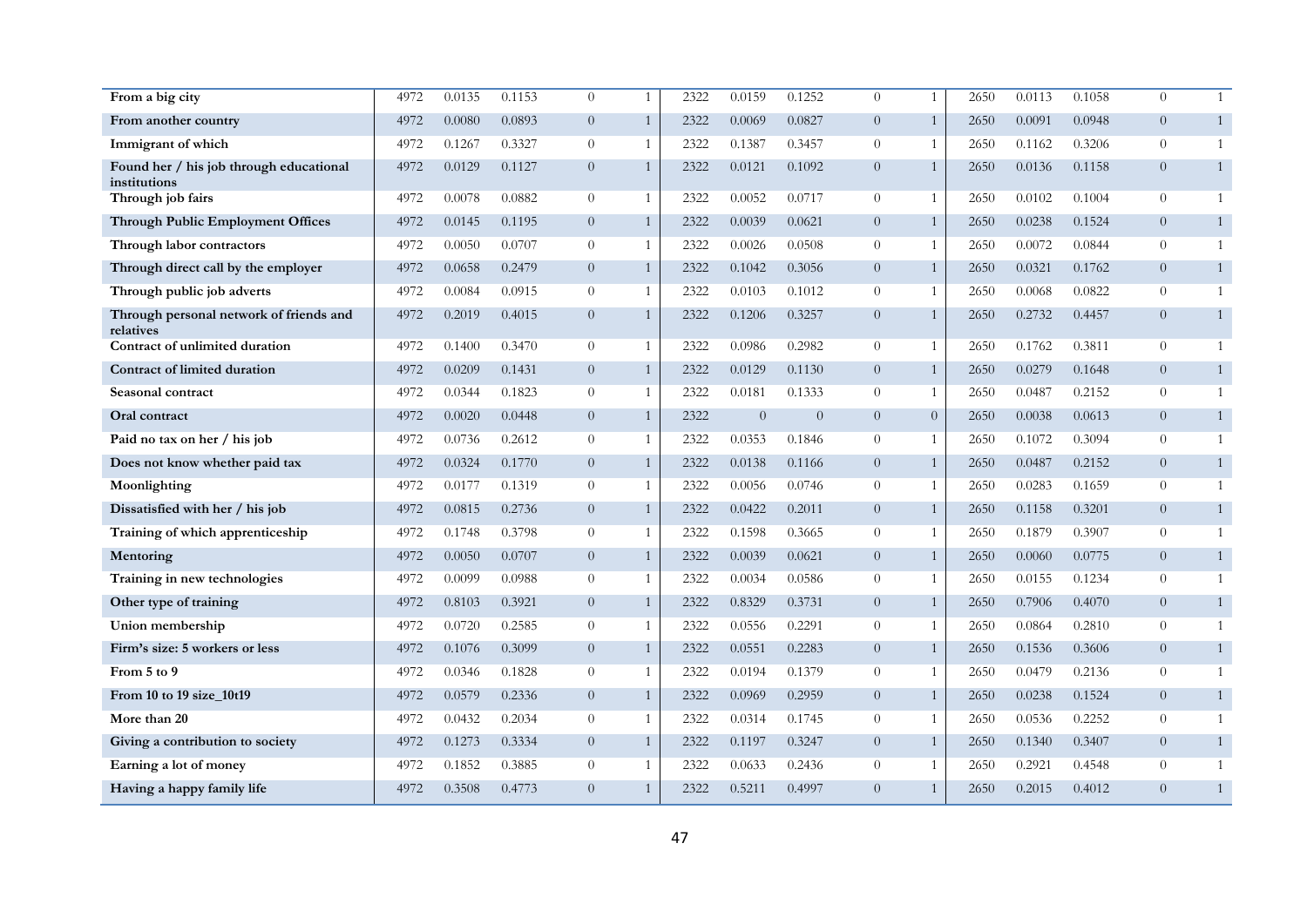| From a big city                                         | 4972 | 0.0135 | 0.1153 | $\Omega$       | $\mathbf{1}$ | 2322 | 0.0159   | 0.1252         | $\theta$       | $\mathbf{1}$   | 2650 | 0.0113 | 0.1058 | $\Omega$       | $\overline{1}$ |
|---------------------------------------------------------|------|--------|--------|----------------|--------------|------|----------|----------------|----------------|----------------|------|--------|--------|----------------|----------------|
| From another country                                    | 4972 | 0.0080 | 0.0893 | $\overline{0}$ | $\mathbf{1}$ | 2322 | 0.0069   | 0.0827         | $\overline{0}$ | $\mathbf{1}$   | 2650 | 0.0091 | 0.0948 | $\overline{0}$ | $\mathbf{1}$   |
| Immigrant of which                                      | 4972 | 0.1267 | 0.3327 | $\theta$       | $\mathbf{1}$ | 2322 | 0.1387   | 0.3457         | $\theta$       | 1              | 2650 | 0.1162 | 0.3206 | $\overline{0}$ | $\overline{1}$ |
| Found her / his job through educational<br>institutions | 4972 | 0.0129 | 0.1127 | $\overline{0}$ | $\mathbf{1}$ | 2322 | 0.0121   | 0.1092         | $\overline{0}$ | $\mathbf{1}$   | 2650 | 0.0136 | 0.1158 | $\overline{0}$ | $\mathbf{1}$   |
| Through job fairs                                       | 4972 | 0.0078 | 0.0882 | $\theta$       | 1            | 2322 | 0.0052   | 0.0717         | $\overline{0}$ | $\mathbf{1}$   | 2650 | 0.0102 | 0.1004 | $\theta$       | 1              |
| <b>Through Public Employment Offices</b>                | 4972 | 0.0145 | 0.1195 | $\overline{0}$ | $\mathbf{1}$ | 2322 | 0.0039   | 0.0621         | $\overline{0}$ | $\mathbf{1}$   | 2650 | 0.0238 | 0.1524 | $\overline{0}$ | $\mathbf{1}$   |
| Through labor contractors                               | 4972 | 0.0050 | 0.0707 | $\theta$       | $\mathbf{1}$ | 2322 | 0.0026   | 0.0508         | $\overline{0}$ | $\mathbf{1}$   | 2650 | 0.0072 | 0.0844 | $\theta$       | $\mathbf{1}$   |
| Through direct call by the employer                     | 4972 | 0.0658 | 0.2479 | $\overline{0}$ | $\mathbf{1}$ | 2322 | 0.1042   | 0.3056         | $\overline{0}$ | $\mathbf{1}$   | 2650 | 0.0321 | 0.1762 | $\overline{0}$ | $\mathbf{1}$   |
| Through public job adverts                              | 4972 | 0.0084 | 0.0915 | $\theta$       | 1            | 2322 | 0.0103   | 0.1012         | $\overline{0}$ | 1              | 2650 | 0.0068 | 0.0822 | $\overline{0}$ |                |
| Through personal network of friends and<br>relatives    | 4972 | 0.2019 | 0.4015 | $\overline{0}$ | $\mathbf{1}$ | 2322 | 0.1206   | 0.3257         | $\overline{0}$ | 1              | 2650 | 0.2732 | 0.4457 | $\overline{0}$ | $\mathbf{1}$   |
| Contract of unlimited duration                          | 4972 | 0.1400 | 0.3470 | $\theta$       | 1            | 2322 | 0.0986   | 0.2982         | $\overline{0}$ | $\mathbf{1}$   | 2650 | 0.1762 | 0.3811 | $\overline{0}$ | $\overline{1}$ |
| <b>Contract of limited duration</b>                     | 4972 | 0.0209 | 0.1431 | $\overline{0}$ | $\mathbf{1}$ | 2322 | 0.0129   | 0.1130         | $\overline{0}$ | $\mathbf{1}$   | 2650 | 0.0279 | 0.1648 | $\overline{0}$ | 1              |
| Seasonal contract                                       | 4972 | 0.0344 | 0.1823 | $\overline{0}$ | 1            | 2322 | 0.0181   | 0.1333         | $\overline{0}$ | 1              | 2650 | 0.0487 | 0.2152 | $\overline{0}$ | $\overline{1}$ |
| Oral contract                                           | 4972 | 0.0020 | 0.0448 | $\overline{0}$ | $\mathbf{1}$ | 2322 | $\Omega$ | $\overline{0}$ | $\overline{0}$ | $\overline{0}$ | 2650 | 0.0038 | 0.0613 | $\overline{0}$ | 1              |
| Paid no tax on her / his job                            | 4972 | 0.0736 | 0.2612 | $\theta$       | $\mathbf{1}$ | 2322 | 0.0353   | 0.1846         | $\theta$       | 1              | 2650 | 0.1072 | 0.3094 | $\overline{0}$ | $\overline{1}$ |
| Does not know whether paid tax                          | 4972 | 0.0324 | 0.1770 | $\overline{0}$ | $\mathbf{1}$ | 2322 | 0.0138   | 0.1166         | $\overline{0}$ | $\mathbf{1}$   | 2650 | 0.0487 | 0.2152 | $\overline{0}$ | $\mathbf{1}$   |
| Moonlighting                                            | 4972 | 0.0177 | 0.1319 | $\theta$       | 1            | 2322 | 0.0056   | 0.0746         | $\overline{0}$ | $\mathbf{1}$   | 2650 | 0.0283 | 0.1659 | $\theta$       | $\mathbf{1}$   |
| Dissatisfied with her / his job                         | 4972 | 0.0815 | 0.2736 | $\overline{0}$ | $\mathbf{1}$ | 2322 | 0.0422   | 0.2011         | $\overline{0}$ | $\mathbf{1}$   | 2650 | 0.1158 | 0.3201 | $\overline{0}$ | $\mathbf{1}$   |
| Training of which apprenticeship                        | 4972 | 0.1748 | 0.3798 | $\overline{0}$ | $\mathbf{1}$ | 2322 | 0.1598   | 0.3665         | $\overline{0}$ | $\mathbf{1}$   | 2650 | 0.1879 | 0.3907 | $\theta$       | $\overline{1}$ |
| Mentoring                                               | 4972 | 0.0050 | 0.0707 | $\overline{0}$ | $\mathbf{1}$ | 2322 | 0.0039   | 0.0621         | $\overline{0}$ | $\mathbf{1}$   | 2650 | 0.0060 | 0.0775 | $\overline{0}$ | $\mathbf{1}$   |
| Training in new technologies                            | 4972 | 0.0099 | 0.0988 | $\theta$       | 1            | 2322 | 0.0034   | 0.0586         | $\overline{0}$ | 1              | 2650 | 0.0155 | 0.1234 | $\overline{0}$ |                |
| Other type of training                                  | 4972 | 0.8103 | 0.3921 | $\overline{0}$ | $\mathbf{1}$ | 2322 | 0.8329   | 0.3731         | $\overline{0}$ | $\mathbf{1}$   | 2650 | 0.7906 | 0.4070 | $\overline{0}$ | $\mathbf{1}$   |
| Union membership                                        | 4972 | 0.0720 | 0.2585 | $\theta$       | $\mathbf{1}$ | 2322 | 0.0556   | 0.2291         | $\theta$       | $\mathbf{1}$   | 2650 | 0.0864 | 0.2810 | $\overline{0}$ | $\mathbf{1}$   |
| Firm's size: 5 workers or less                          | 4972 | 0.1076 | 0.3099 | $\overline{0}$ | $\mathbf{1}$ | 2322 | 0.0551   | 0.2283         | $\overline{0}$ | $\mathbf{1}$   | 2650 | 0.1536 | 0.3606 | $\overline{0}$ | 1              |
| From 5 to 9                                             | 4972 | 0.0346 | 0.1828 | $\theta$       | $\mathbf{1}$ | 2322 | 0.0194   | 0.1379         | $\overline{0}$ | $\mathbf{1}$   | 2650 | 0.0479 | 0.2136 | $\theta$       | $\overline{1}$ |
| From 10 to 19 size 10t19                                | 4972 | 0.0579 | 0.2336 | $\overline{0}$ | $\mathbf{1}$ | 2322 | 0.0969   | 0.2959         | $\overline{0}$ | $\mathbf{1}$   | 2650 | 0.0238 | 0.1524 | $\overline{0}$ | $\mathbf{1}$   |
| More than 20                                            | 4972 | 0.0432 | 0.2034 | $\theta$       | $\mathbf{1}$ | 2322 | 0.0314   | 0.1745         | $\overline{0}$ | $\mathbf{1}$   | 2650 | 0.0536 | 0.2252 | $\overline{0}$ | $\overline{1}$ |
| Giving a contribution to society                        | 4972 | 0.1273 | 0.3334 | $\overline{0}$ | $\mathbf{1}$ | 2322 | 0.1197   | 0.3247         | $\overline{0}$ | $\mathbf{1}$   | 2650 | 0.1340 | 0.3407 | $\overline{0}$ | 1              |
| Earning a lot of money                                  | 4972 | 0.1852 | 0.3885 | $\theta$       | 1            | 2322 | 0.0633   | 0.2436         | $\overline{0}$ | 1              | 2650 | 0.2921 | 0.4548 | $\theta$       | 1              |
| Having a happy family life                              | 4972 | 0.3508 | 0.4773 | $\overline{0}$ |              | 2322 | 0.5211   | 0.4997         | $\overline{0}$ | $\mathbf{1}$   | 2650 | 0.2015 | 0.4012 | $\Omega$       | $\mathbf{1}$   |
|                                                         |      |        |        |                |              |      |          |                |                |                |      |        |        |                |                |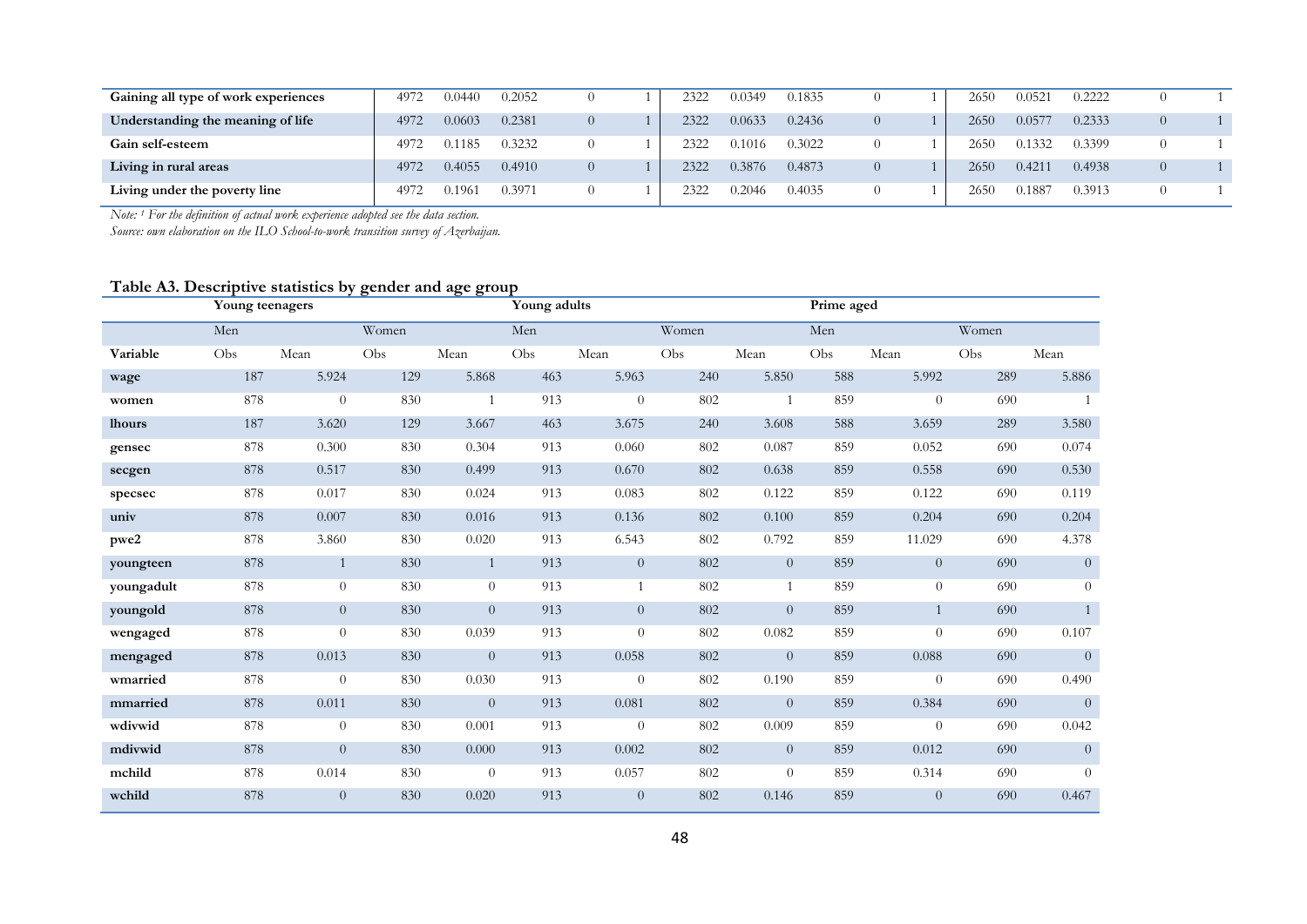| Gaining all type of work experiences | 4972 | 0.0440 | 0.2052 |                | 2322 | 0.0349 | 0.1835 |          | 2650 | 0.0521 | 0.2222 |          |  |
|--------------------------------------|------|--------|--------|----------------|------|--------|--------|----------|------|--------|--------|----------|--|
| Understanding the meaning of life    | 4972 | 0.0603 | 0.2381 | $\theta$       | 2322 | 0.0633 | 0.2436 | $\Omega$ | 2650 | 0.0577 | 0.2333 | $\theta$ |  |
| Gain self-esteem                     | 4972 | 0.1185 | 0.3232 |                | 2322 | 0.1016 | 0.3022 |          | 2650 | 0.1332 | 0.3399 |          |  |
| Living in rural areas                | 4972 | 0.4055 | 0.4910 | $\overline{0}$ | 2322 | 0.3876 | 0.4873 | $\Omega$ | 2650 | 0.4211 | 0.4938 | $\theta$ |  |
| Living under the poverty line        | 4972 | 0.1961 | 0.3971 |                | 2322 | 0.2046 | 0.4035 |          | 2650 | 0.1887 | 0.3913 |          |  |

*Note: 1 For the definition of actual work experience adopted see the data section.* 

*Source: own elaboration on the ILO School-to-work transition survey of Azerbaijan.* 

## **Table A3. Descriptive statistics by gender and age group**

|               | Young teenagers |                |       |                | Young adults |                |       |                | Prime aged |                |       |                |
|---------------|-----------------|----------------|-------|----------------|--------------|----------------|-------|----------------|------------|----------------|-------|----------------|
|               | Men             |                | Women |                | Men          |                | Women |                | Men        |                | Women |                |
| Variable      | Obs             | Mean           | Obs   | Mean           | Obs          | Mean           | Obs   | Mean           | Obs        | Mean           | Obs   | Mean           |
| wage          | 187             | 5.924          | 129   | 5.868          | 463          | 5.963          | 240   | 5.850          | 588        | 5.992          | 289   | 5.886          |
| women         | 878             | $\theta$       | 830   | $\mathbf{1}$   | 913          | $\overline{0}$ | 802   | $\mathbf{1}$   | 859        | $\overline{0}$ | 690   | $\mathbf{1}$   |
| <b>lhours</b> | 187             | 3.620          | 129   | 3.667          | 463          | 3.675          | 240   | 3.608          | 588        | 3.659          | 289   | 3.580          |
| gensec        | 878             | 0.300          | 830   | 0.304          | 913          | 0.060          | 802   | 0.087          | 859        | 0.052          | 690   | 0.074          |
| secgen        | 878             | 0.517          | 830   | 0.499          | 913          | 0.670          | 802   | 0.638          | 859        | 0.558          | 690   | 0.530          |
| specsec       | 878             | 0.017          | 830   | 0.024          | 913          | 0.083          | 802   | 0.122          | 859        | 0.122          | 690   | 0.119          |
| univ          | 878             | 0.007          | 830   | 0.016          | 913          | 0.136          | 802   | 0.100          | 859        | 0.204          | 690   | 0.204          |
| pwe2          | 878             | 3.860          | 830   | 0.020          | 913          | 6.543          | 802   | 0.792          | 859        | 11.029         | 690   | 4.378          |
| youngteen     | 878             | $\mathbf{1}$   | 830   | $\mathbf{1}$   | 913          | $\overline{0}$ | 802   | $\overline{0}$ | 859        | $\overline{0}$ | 690   | $\overline{0}$ |
| youngadult    | 878             | $\overline{0}$ | 830   | $\theta$       | 913          | $\mathbf{1}$   | 802   | $\overline{1}$ | 859        | $\overline{0}$ | 690   | $\theta$       |
| youngold      | 878             | $\overline{0}$ | 830   | $\overline{0}$ | 913          | $\overline{0}$ | 802   | $\overline{0}$ | 859        | $\mathbf{1}$   | 690   | $\overline{1}$ |
| wengaged      | 878             | $\overline{0}$ | 830   | 0.039          | 913          | $\theta$       | 802   | 0.082          | 859        | $\Omega$       | 690   | 0.107          |
| mengaged      | 878             | 0.013          | 830   | $\overline{0}$ | 913          | 0.058          | 802   | $\overline{0}$ | 859        | 0.088          | 690   | $\overline{0}$ |
| wmarried      | 878             | $\theta$       | 830   | 0.030          | 913          | $\overline{0}$ | 802   | 0.190          | 859        | $\overline{0}$ | 690   | 0.490          |
| mmarried      | 878             | 0.011          | 830   | $\theta$       | 913          | 0.081          | 802   | $\overline{0}$ | 859        | 0.384          | 690   | $\overline{0}$ |
| wdivwid       | 878             | $\overline{0}$ | 830   | 0.001          | 913          | $\theta$       | 802   | 0.009          | 859        | $\overline{0}$ | 690   | 0.042          |
| mdivwid       | 878             | $\overline{0}$ | 830   | 0.000          | 913          | 0.002          | 802   | $\overline{0}$ | 859        | 0.012          | 690   | $\overline{0}$ |
| mchild        | 878             | 0.014          | 830   | $\theta$       | 913          | 0.057          | 802   | $\overline{0}$ | 859        | 0.314          | 690   | $\theta$       |
| wchild        | 878             | $\overline{0}$ | 830   | 0.020          | 913          | $\overline{0}$ | 802   | 0.146          | 859        | $\overline{0}$ | 690   | 0.467          |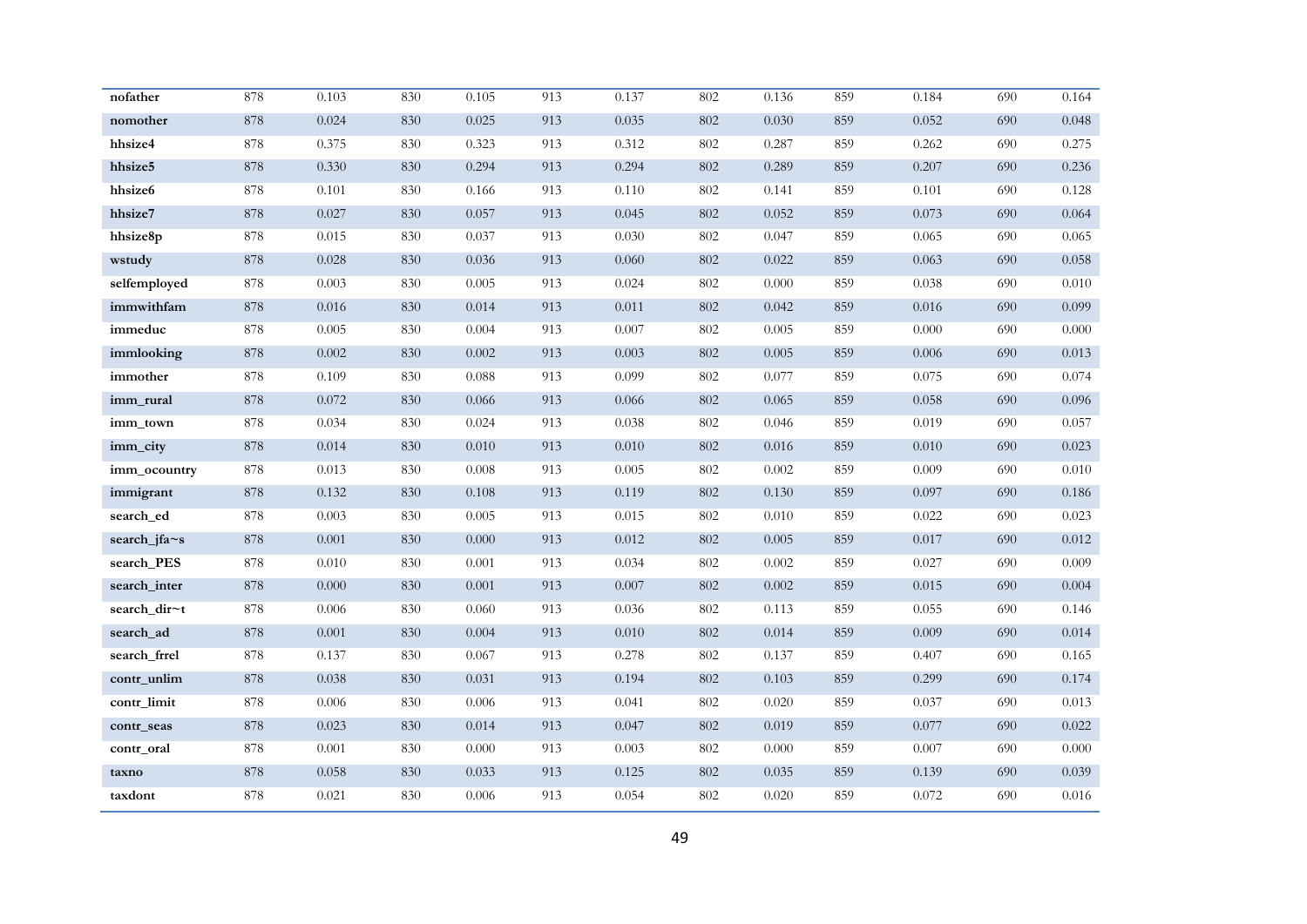| nofather     | 878 | 0.103     | 830 | 0.105 | 913 | 0.137 | 802     | 0.136 | 859 | 0.184     | 690 | 0.164     |
|--------------|-----|-----------|-----|-------|-----|-------|---------|-------|-----|-----------|-----|-----------|
| nomother     | 878 | 0.024     | 830 | 0.025 | 913 | 0.035 | 802     | 0.030 | 859 | 0.052     | 690 | 0.048     |
| hhsize4      | 878 | 0.375     | 830 | 0.323 | 913 | 0.312 | 802     | 0.287 | 859 | 0.262     | 690 | 0.275     |
| hhsize5      | 878 | 0.330     | 830 | 0.294 | 913 | 0.294 | 802     | 0.289 | 859 | 0.207     | 690 | 0.236     |
| hhsize6      | 878 | 0.101     | 830 | 0.166 | 913 | 0.110 | 802     | 0.141 | 859 | 0.101     | 690 | 0.128     |
| hhsize7      | 878 | 0.027     | 830 | 0.057 | 913 | 0.045 | 802     | 0.052 | 859 | 0.073     | 690 | 0.064     |
| hhsize8p     | 878 | 0.015     | 830 | 0.037 | 913 | 0.030 | 802     | 0.047 | 859 | 0.065     | 690 | 0.065     |
| wstudy       | 878 | 0.028     | 830 | 0.036 | 913 | 0.060 | $802\,$ | 0.022 | 859 | 0.063     | 690 | 0.058     |
| selfemployed | 878 | 0.003     | 830 | 0.005 | 913 | 0.024 | 802     | 0.000 | 859 | 0.038     | 690 | 0.010     |
| immwithfam   | 878 | $0.016\,$ | 830 | 0.014 | 913 | 0.011 | 802     | 0.042 | 859 | $0.016\,$ | 690 | 0.099     |
| immeduc      | 878 | 0.005     | 830 | 0.004 | 913 | 0.007 | 802     | 0.005 | 859 | 0.000     | 690 | 0.000     |
| immlooking   | 878 | 0.002     | 830 | 0.002 | 913 | 0.003 | 802     | 0.005 | 859 | 0.006     | 690 | 0.013     |
| immother     | 878 | 0.109     | 830 | 0.088 | 913 | 0.099 | 802     | 0.077 | 859 | 0.075     | 690 | 0.074     |
| imm_rural    | 878 | $0.072\,$ | 830 | 0.066 | 913 | 0.066 | 802     | 0.065 | 859 | 0.058     | 690 | 0.096     |
| imm town     | 878 | 0.034     | 830 | 0.024 | 913 | 0.038 | 802     | 0.046 | 859 | 0.019     | 690 | 0.057     |
| imm_city     | 878 | 0.014     | 830 | 0.010 | 913 | 0.010 | 802     | 0.016 | 859 | $0.010\,$ | 690 | 0.023     |
| imm ocountry | 878 | 0.013     | 830 | 0.008 | 913 | 0.005 | 802     | 0.002 | 859 | 0.009     | 690 | 0.010     |
| immigrant    | 878 | 0.132     | 830 | 0.108 | 913 | 0.119 | 802     | 0.130 | 859 | 0.097     | 690 | $0.186\,$ |
| search_ed    | 878 | 0.003     | 830 | 0.005 | 913 | 0.015 | 802     | 0.010 | 859 | 0.022     | 690 | 0.023     |
| search_jfa~s | 878 | 0.001     | 830 | 0.000 | 913 | 0.012 | 802     | 0.005 | 859 | 0.017     | 690 | 0.012     |
| search_PES   | 878 | 0.010     | 830 | 0.001 | 913 | 0.034 | 802     | 0.002 | 859 | 0.027     | 690 | 0.009     |
| search_inter | 878 | $0.000\,$ | 830 | 0.001 | 913 | 0.007 | 802     | 0.002 | 859 | 0.015     | 690 | 0.004     |
| search_dir~t | 878 | 0.006     | 830 | 0.060 | 913 | 0.036 | 802     | 0.113 | 859 | 0.055     | 690 | 0.146     |
| search_ad    | 878 | $0.001\,$ | 830 | 0.004 | 913 | 0.010 | 802     | 0.014 | 859 | 0.009     | 690 | 0.014     |
| search_frrel | 878 | 0.137     | 830 | 0.067 | 913 | 0.278 | 802     | 0.137 | 859 | 0.407     | 690 | 0.165     |
| contr_unlim  | 878 | 0.038     | 830 | 0.031 | 913 | 0.194 | 802     | 0.103 | 859 | 0.299     | 690 | 0.174     |
| contr_limit  | 878 | 0.006     | 830 | 0.006 | 913 | 0.041 | 802     | 0.020 | 859 | 0.037     | 690 | 0.013     |
| contr seas   | 878 | 0.023     | 830 | 0.014 | 913 | 0.047 | 802     | 0.019 | 859 | 0.077     | 690 | 0.022     |
| contr_oral   | 878 | 0.001     | 830 | 0.000 | 913 | 0.003 | 802     | 0.000 | 859 | 0.007     | 690 | 0.000     |
| taxno        | 878 | 0.058     | 830 | 0.033 | 913 | 0.125 | 802     | 0.035 | 859 | 0.139     | 690 | 0.039     |
| taxdont      | 878 | 0.021     | 830 | 0.006 | 913 | 0.054 | 802     | 0.020 | 859 | 0.072     | 690 | 0.016     |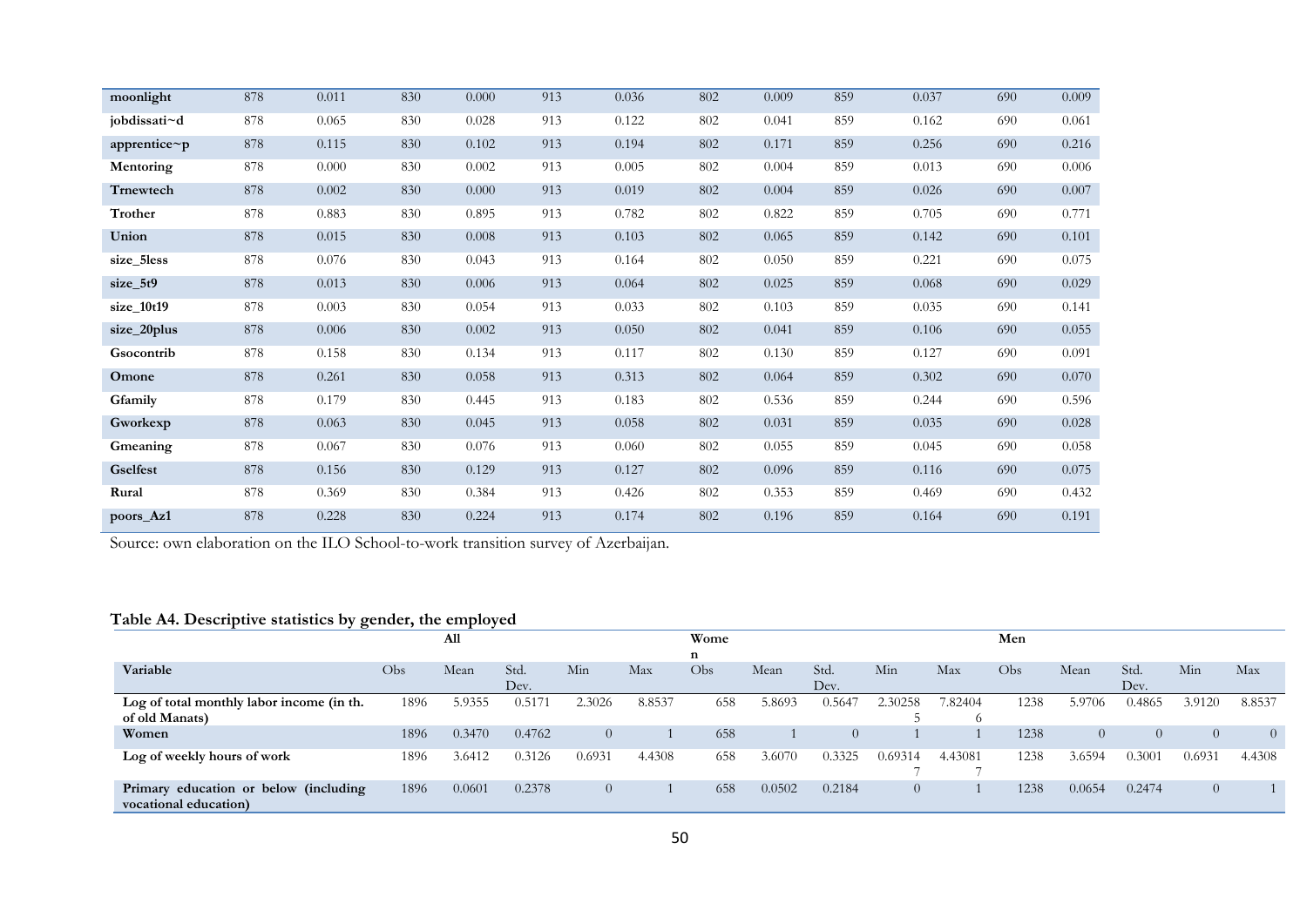| moonlight    | 878     | 0.011 | 830 | 0.000 | 913 | 0.036 | 802     | 0.009 | 859 | 0.037 | 690 | 0.009     |
|--------------|---------|-------|-----|-------|-----|-------|---------|-------|-----|-------|-----|-----------|
| jobdissati~d | 878     | 0.065 | 830 | 0.028 | 913 | 0.122 | 802     | 0.041 | 859 | 0.162 | 690 | 0.061     |
| apprentice~p | $878\,$ | 0.115 | 830 | 0.102 | 913 | 0.194 | $802\,$ | 0.171 | 859 | 0.256 | 690 | 0.216     |
| Mentoring    | 878     | 0.000 | 830 | 0.002 | 913 | 0.005 | 802     | 0.004 | 859 | 0.013 | 690 | 0.006     |
| Trnewtech    | 878     | 0.002 | 830 | 0.000 | 913 | 0.019 | 802     | 0.004 | 859 | 0.026 | 690 | 0.007     |
| Trother      | 878     | 0.883 | 830 | 0.895 | 913 | 0.782 | 802     | 0.822 | 859 | 0.705 | 690 | 0.771     |
| Union        | 878     | 0.015 | 830 | 0.008 | 913 | 0.103 | 802     | 0.065 | 859 | 0.142 | 690 | 0.101     |
| size_5less   | 878     | 0.076 | 830 | 0.043 | 913 | 0.164 | 802     | 0.050 | 859 | 0.221 | 690 | 0.075     |
| size_5t9     | 878     | 0.013 | 830 | 0.006 | 913 | 0.064 | 802     | 0.025 | 859 | 0.068 | 690 | 0.029     |
| size_10t19   | 878     | 0.003 | 830 | 0.054 | 913 | 0.033 | 802     | 0.103 | 859 | 0.035 | 690 | 0.141     |
| size_20plus  | 878     | 0.006 | 830 | 0.002 | 913 | 0.050 | 802     | 0.041 | 859 | 0.106 | 690 | 0.055     |
| Gsocontrib   | 878     | 0.158 | 830 | 0.134 | 913 | 0.117 | 802     | 0.130 | 859 | 0.127 | 690 | 0.091     |
| Omone        | 878     | 0.261 | 830 | 0.058 | 913 | 0.313 | 802     | 0.064 | 859 | 0.302 | 690 | $0.070\,$ |
| Gfamily      | 878     | 0.179 | 830 | 0.445 | 913 | 0.183 | 802     | 0.536 | 859 | 0.244 | 690 | 0.596     |
| Gworkexp     | 878     | 0.063 | 830 | 0.045 | 913 | 0.058 | 802     | 0.031 | 859 | 0.035 | 690 | 0.028     |
| Gmeaning     | 878     | 0.067 | 830 | 0.076 | 913 | 0.060 | 802     | 0.055 | 859 | 0.045 | 690 | 0.058     |
| Gselfest     | 878     | 0.156 | 830 | 0.129 | 913 | 0.127 | 802     | 0.096 | 859 | 0.116 | 690 | 0.075     |
| Rural        | 878     | 0.369 | 830 | 0.384 | 913 | 0.426 | 802     | 0.353 | 859 | 0.469 | 690 | 0.432     |
| poors_Az1    | 878     | 0.228 | 830 | 0.224 | 913 | 0.174 | 802     | 0.196 | 859 | 0.164 | 690 | 0.191     |

Source: own elaboration on the ILO School-to-work transition survey of Azerbaijan.

# **Table A4. Descriptive statistics by gender, the employed**

|                                                                |      | All    |        |        |        | Wome |        |                |                |         | Men              |          |          |          |          |
|----------------------------------------------------------------|------|--------|--------|--------|--------|------|--------|----------------|----------------|---------|------------------|----------|----------|----------|----------|
|                                                                |      |        |        |        |        | n    |        |                |                |         |                  |          |          |          |          |
| Variable                                                       | Obs  | Mean   | Std.   | Min    | Max    | Obs  | Mean   | Std.           | Min            | Max     | Obs <sup>1</sup> | Mean     | Std.     | Min      | Max      |
|                                                                |      |        | Dev.   |        |        |      |        | Dev.           |                |         |                  |          | Dev.     |          |          |
| Log of total monthly labor income (in th.                      | 1896 | 5.9355 | 0.517  | 2.3026 | 8.8537 | 658  | 5.8693 | 0.5647         | 2.30258        | 7.82404 | 1238             | 5.9706   | 0.4865   | 3.9120   | 8.8537   |
| of old Manats)                                                 |      |        |        |        |        |      |        |                |                |         |                  |          |          |          |          |
| Women                                                          | 1896 | 0.3470 | 0.4762 |        |        | 658  |        | $\overline{0}$ |                |         | 1238             | $\Omega$ | $\Omega$ | $\theta$ | $\Omega$ |
| Log of weekly hours of work                                    | 1896 | 3.6412 | 0.3126 | 0.6931 | 4.4308 | 658  | 3.6070 | 0.3325         | 0.69314        | 4.43081 | 1238             | 3.6594   | 0.3001   | 0.6931   | 4.4308   |
| Primary education or below (including<br>vocational education) | 1896 | 0.0601 | 0.2378 |        |        | 658  | 0.0502 | 0.2184         | $\overline{0}$ |         | 1238             | 0.0654   | 0.2474   | $\theta$ |          |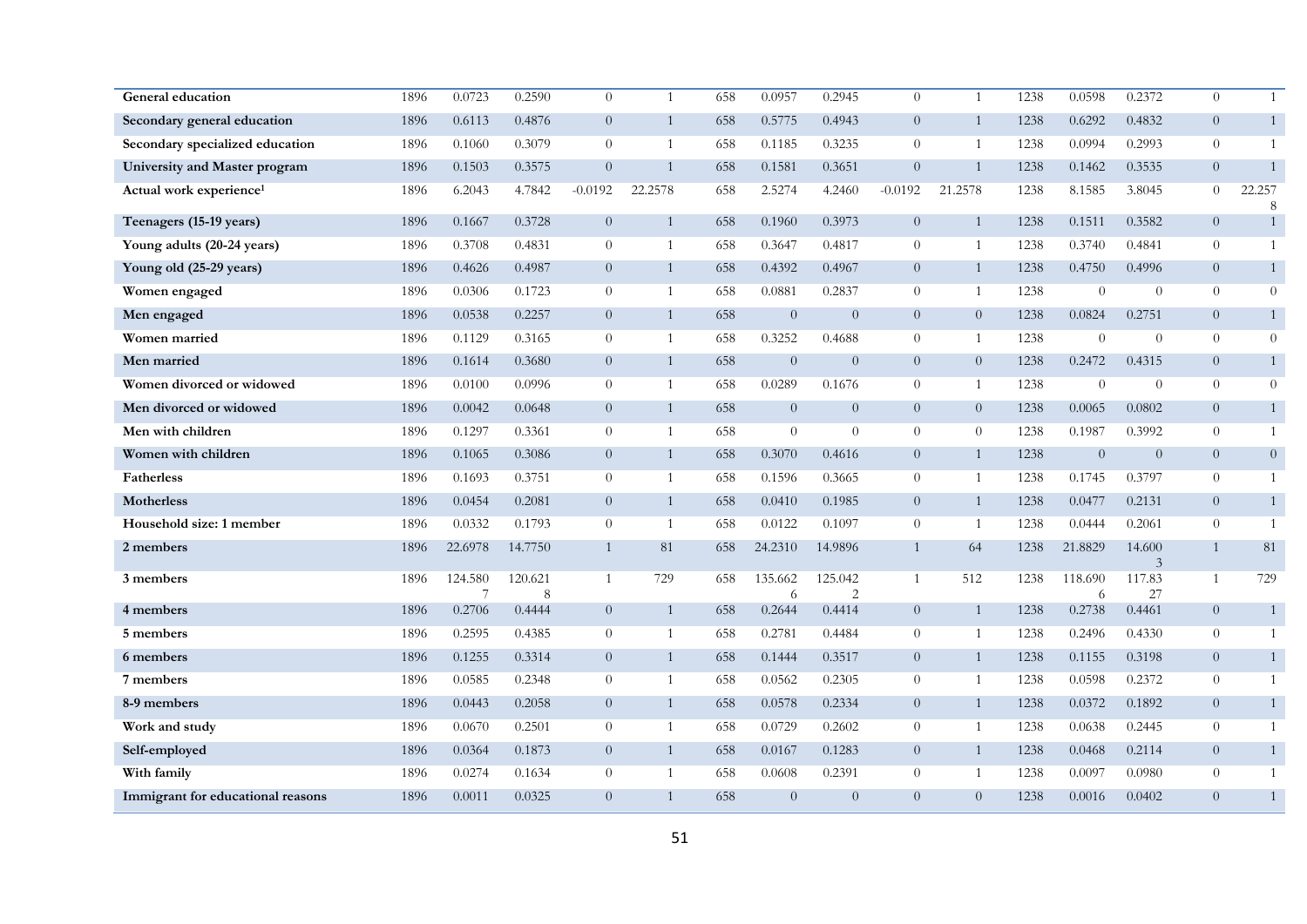| General education                   | 1896 | 0.0723       | 0.2590       | $\theta$       | 1              | 658 | 0.0957         | 0.2945                    | $\theta$       | 1              | 1238 | 0.0598       | 0.2372         | $\overline{0}$ | $\mathbf{1}$     |
|-------------------------------------|------|--------------|--------------|----------------|----------------|-----|----------------|---------------------------|----------------|----------------|------|--------------|----------------|----------------|------------------|
| Secondary general education         | 1896 | 0.6113       | 0.4876       | $\overline{0}$ | $\mathbf{1}$   | 658 | 0.5775         | 0.4943                    | $\overline{0}$ | $\mathbf{1}$   | 1238 | 0.6292       | 0.4832         | $\overline{0}$ | $\mathbf{1}$     |
| Secondary specialized education     | 1896 | 0.1060       | 0.3079       | $\theta$       | $\mathbf{1}$   | 658 | 0.1185         | 0.3235                    | $\theta$       | $\overline{1}$ | 1238 | 0.0994       | 0.2993         | $\overline{0}$ | $\mathbf{1}$     |
| University and Master program       | 1896 | 0.1503       | 0.3575       | $\overline{0}$ | $\mathbf{1}$   | 658 | 0.1581         | 0.3651                    | $\overline{0}$ | $\mathbf{1}$   | 1238 | 0.1462       | 0.3535         | $\overline{0}$ |                  |
| Actual work experience <sup>1</sup> | 1896 | 6.2043       | 4.7842       | $-0.0192$      | 22.2578        | 658 | 2.5274         | 4.2460                    | $-0.0192$      | 21.2578        | 1238 | 8.1585       | 3.8045         | $\overline{0}$ | 22.257<br>8      |
| Teenagers (15-19 years)             | 1896 | 0.1667       | 0.3728       | $\overline{0}$ | $\mathbf{1}$   | 658 | 0.1960         | 0.3973                    | $\overline{0}$ | $\mathbf{1}$   | 1238 | 0.1511       | 0.3582         | $\overline{0}$ | $\mathbf{1}$     |
| Young adults (20-24 years)          | 1896 | 0.3708       | 0.4831       | $\theta$       | $\mathbf{1}$   | 658 | 0.3647         | 0.4817                    | $\overline{0}$ | 1              | 1238 | 0.3740       | 0.4841         | $\overline{0}$ | $\mathbf{1}$     |
| Young old (25-29 years)             | 1896 | 0.4626       | 0.4987       | $\overline{0}$ | 1              | 658 | 0.4392         | 0.4967                    | $\overline{0}$ | $\mathbf{1}$   | 1238 | 0.4750       | 0.4996         | $\overline{0}$ | 1                |
| Women engaged                       | 1896 | 0.0306       | 0.1723       | $\theta$       | 1              | 658 | 0.0881         | 0.2837                    | $\Omega$       | $\mathbf{1}$   | 1238 | $\Omega$     | $\Omega$       | $\overline{0}$ | $\theta$         |
| Men engaged                         | 1896 | 0.0538       | 0.2257       | $\overline{0}$ | $\mathbf{1}$   | 658 | $\overline{0}$ | $\overline{0}$            | $\overline{0}$ | $\overline{0}$ | 1238 | 0.0824       | 0.2751         | $\overline{0}$ | $\mathbf{1}$     |
| Women married                       | 1896 | 0.1129       | 0.3165       | $\theta$       | $\mathbf{1}$   | 658 | 0.3252         | 0.4688                    | $\theta$       | 1              | 1238 | $\theta$     | $\overline{0}$ | $\theta$       | $\theta$         |
| Men married                         | 1896 | 0.1614       | 0.3680       | $\theta$       | $\mathbf{1}$   | 658 | $\overline{0}$ | $\theta$                  | $\overline{0}$ | $\overline{0}$ | 1238 | 0.2472       | 0.4315         | $\overline{0}$ | $\mathbf{1}$     |
| Women divorced or widowed           | 1896 | 0.0100       | 0.0996       | $\theta$       | 1              | 658 | 0.0289         | 0.1676                    | $\overline{0}$ | $\mathbf{1}$   | 1238 | $\theta$     | $\Omega$       | $\theta$       | $\boldsymbol{0}$ |
| Men divorced or widowed             | 1896 | 0.0042       | 0.0648       | $\overline{0}$ | 1              | 658 | $\overline{0}$ | $\Omega$                  | $\Omega$       | $\overline{0}$ | 1238 | 0.0065       | 0.0802         | $\overline{0}$ | $\mathbf{1}$     |
| Men with children                   | 1896 | 0.1297       | 0.3361       | $\theta$       | $\mathbf{1}$   | 658 | $\theta$       | $\theta$                  | $\theta$       | $\overline{0}$ | 1238 | 0.1987       | 0.3992         | $\theta$       | 1                |
| Women with children                 | 1896 | 0.1065       | 0.3086       | $\overline{0}$ | $\mathbf{1}$   | 658 | 0.3070         | 0.4616                    | $\overline{0}$ | $\mathbf{1}$   | 1238 | $\theta$     | $\overline{0}$ | $\overline{0}$ | $\boldsymbol{0}$ |
| <b>Fatherless</b>                   | 1896 | 0.1693       | 0.3751       | $\theta$       | $\overline{1}$ | 658 | 0.1596         | 0.3665                    | $\overline{0}$ | $\overline{1}$ | 1238 | 0.1745       | 0.3797         | $\overline{0}$ | 1                |
| <b>Motherless</b>                   | 1896 | 0.0454       | 0.2081       | $\overline{0}$ | 1              | 658 | 0.0410         | 0.1985                    | $\overline{0}$ | $\mathbf{1}$   | 1238 | 0.0477       | 0.2131         | $\overline{0}$ | $\mathbf{1}$     |
| Household size: 1 member            | 1896 | 0.0332       | 0.1793       | $\theta$       | 1              | 658 | 0.0122         | 0.1097                    | $\overline{0}$ | -1             | 1238 | 0.0444       | 0.2061         | $\overline{0}$ | $\mathbf{1}$     |
| 2 members                           | 1896 | 22.6978      | 14.7750      | $\mathbf{1}$   | 81             | 658 | 24.2310        | 14.9896                   | $\mathbf{1}$   | 64             | 1238 | 21.8829      | 14.600<br>3    | $\mathbf{1}$   | 81               |
| 3 members                           | 1896 | 124.580<br>7 | 120.621<br>8 | $\mathbf{1}$   | 729            | 658 | 135.662<br>6   | 125.042<br>$\overline{2}$ | $\mathbf{1}$   | 512            | 1238 | 118.690<br>6 | 117.83<br>27   | $\mathbf{1}$   | 729              |
| 4 members                           | 1896 | 0.2706       | 0.4444       | $\overline{0}$ | $\mathbf{1}$   | 658 | 0.2644         | 0.4414                    | $\overline{0}$ | $\mathbf{1}$   | 1238 | 0.2738       | 0.4461         | $\overline{0}$ | $\mathbf{1}$     |
| 5 members                           | 1896 | 0.2595       | 0.4385       | $\theta$       | $\mathbf{1}$   | 658 | 0.2781         | 0.4484                    | $\overline{0}$ | $\mathbf{1}$   | 1238 | 0.2496       | 0.4330         | $\overline{0}$ | $\mathbf{1}$     |
| 6 members                           | 1896 | 0.1255       | 0.3314       | $\theta$       | 1              | 658 | 0.1444         | 0.3517                    | $\overline{0}$ | 1              | 1238 | 0.1155       | 0.3198         | $\overline{0}$ | $\mathbf{1}$     |
| 7 members                           | 1896 | 0.0585       | 0.2348       | $\theta$       | 1              | 658 | 0.0562         | 0.2305                    | $\overline{0}$ | 1              | 1238 | 0.0598       | 0.2372         | $\overline{0}$ | $\mathbf{1}$     |
| 8-9 members                         | 1896 | 0.0443       | 0.2058       | $\theta$       | $\mathbf{1}$   | 658 | 0.0578         | 0.2334                    | $\overline{0}$ | $\mathbf{1}$   | 1238 | 0.0372       | 0.1892         | $\overline{0}$ | 1                |
| Work and study                      | 1896 | 0.0670       | 0.2501       | $\theta$       | $\mathbf{1}$   | 658 | 0.0729         | 0.2602                    | $\theta$       | 1              | 1238 | 0.0638       | 0.2445         | $\overline{0}$ | $\mathbf{1}$     |
| Self-employed                       | 1896 | 0.0364       | 0.1873       | $\overline{0}$ | $\mathbf{1}$   | 658 | 0.0167         | 0.1283                    | $\overline{0}$ | $\mathbf{1}$   | 1238 | 0.0468       | 0.2114         | $\overline{0}$ | $\mathbf{1}$     |
| With family                         | 1896 | 0.0274       | 0.1634       | $\theta$       | 1              | 658 | 0.0608         | 0.2391                    | $\overline{0}$ | 1              | 1238 | 0.0097       | 0.0980         | $\overline{0}$ | $\mathbf{1}$     |
| Immigrant for educational reasons   | 1896 | 0.0011       | 0.0325       | $\overline{0}$ | $\mathbf{1}$   | 658 | $\overline{0}$ | $\overline{0}$            | $\Omega$       | $\overline{0}$ | 1238 | 0.0016       | 0.0402         | $\overline{0}$ |                  |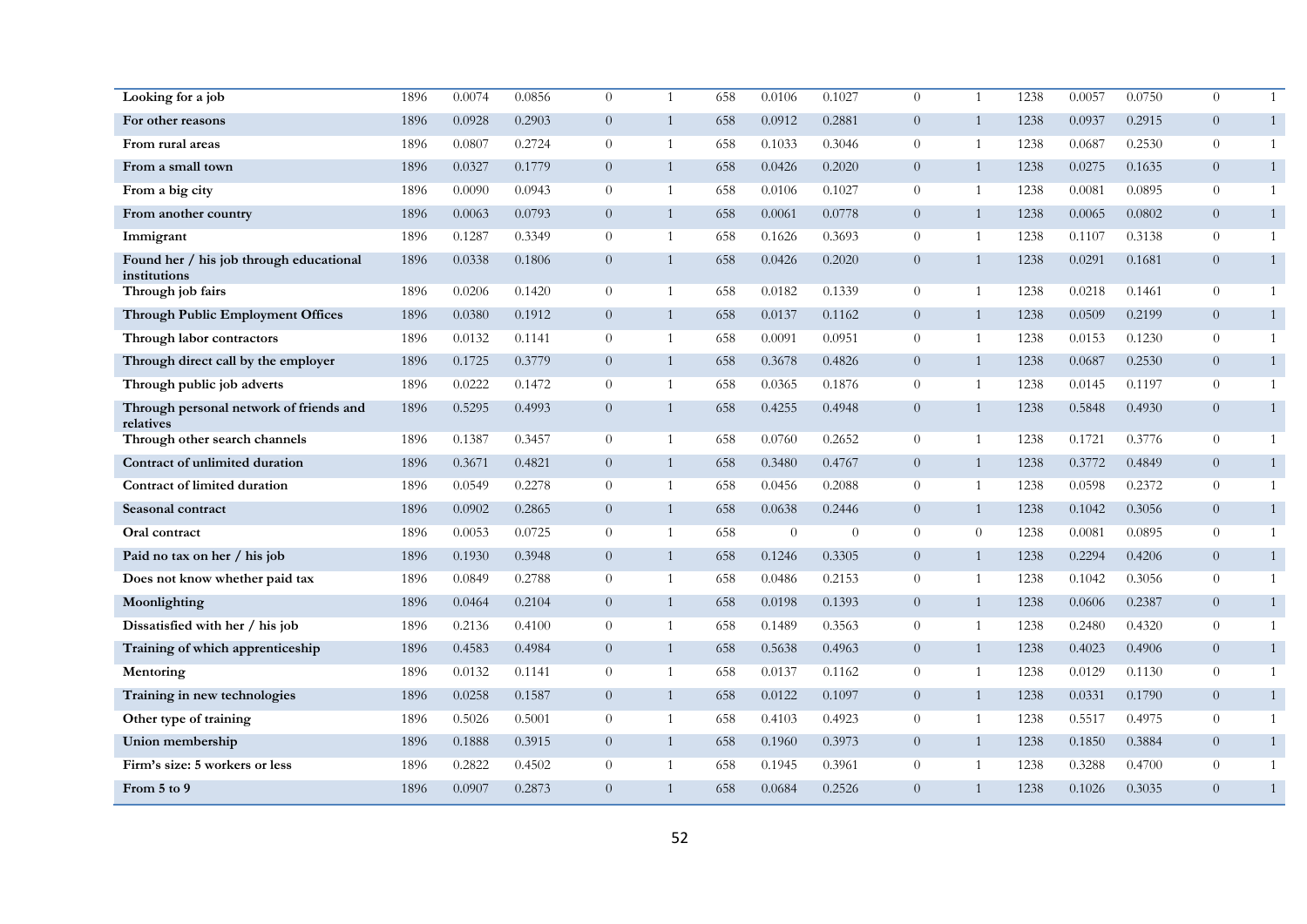| Looking for a job                                       | 1896 | 0.0074 | 0.0856 | $\theta$       | $\mathbf{1}$   | 658 | 0.0106   | 0.1027   | $\Omega$       | $\overline{1}$ | 1238 | 0.0057 | 0.0750 | $\Omega$       | $\mathbf{1}$ |
|---------------------------------------------------------|------|--------|--------|----------------|----------------|-----|----------|----------|----------------|----------------|------|--------|--------|----------------|--------------|
| For other reasons                                       | 1896 | 0.0928 | 0.2903 | $\overline{0}$ | $\mathbf{1}$   | 658 | 0.0912   | 0.2881   | $\overline{0}$ | 1              | 1238 | 0.0937 | 0.2915 | $\overline{0}$ | $\mathbf{1}$ |
| From rural areas                                        | 1896 | 0.0807 | 0.2724 | $\overline{0}$ | $\overline{1}$ | 658 | 0.1033   | 0.3046   | $\overline{0}$ | $\overline{1}$ | 1238 | 0.0687 | 0.2530 | $\overline{0}$ | $\mathbf{1}$ |
| From a small town                                       | 1896 | 0.0327 | 0.1779 | $\overline{0}$ | $\overline{1}$ | 658 | 0.0426   | 0.2020   | $\overline{0}$ | 1              | 1238 | 0.0275 | 0.1635 | $\overline{0}$ | 1            |
| From a big city                                         | 1896 | 0.0090 | 0.0943 | $\overline{0}$ | 1              | 658 | 0.0106   | 0.1027   | $\overline{0}$ | $\overline{1}$ | 1238 | 0.0081 | 0.0895 | $\overline{0}$ | 1            |
| From another country                                    | 1896 | 0.0063 | 0.0793 | $\overline{0}$ | 1              | 658 | 0.0061   | 0.0778   | $\overline{0}$ | $\mathbf{1}$   | 1238 | 0.0065 | 0.0802 | $\overline{0}$ | $\mathbf{1}$ |
| Immigrant                                               | 1896 | 0.1287 | 0.3349 | $\overline{0}$ | 1              | 658 | 0.1626   | 0.3693   | $\overline{0}$ | 1              | 1238 | 0.1107 | 0.3138 | $\overline{0}$ | 1            |
| Found her / his job through educational<br>institutions | 1896 | 0.0338 | 0.1806 | $\overline{0}$ | $\mathbf{1}$   | 658 | 0.0426   | 0.2020   | $\overline{0}$ | $\overline{1}$ | 1238 | 0.0291 | 0.1681 | $\overline{0}$ | $\mathbf{1}$ |
| Through job fairs                                       | 1896 | 0.0206 | 0.1420 | $\theta$       | $\mathbf{1}$   | 658 | 0.0182   | 0.1339   | $\overline{0}$ | $\overline{1}$ | 1238 | 0.0218 | 0.1461 | $\theta$       | $\mathbf{1}$ |
| <b>Through Public Employment Offices</b>                | 1896 | 0.0380 | 0.1912 | $\overline{0}$ | $\mathbf{1}$   | 658 | 0.0137   | 0.1162   | $\overline{0}$ | $\mathbf{1}$   | 1238 | 0.0509 | 0.2199 | $\overline{0}$ | $\mathbf{1}$ |
| Through labor contractors                               | 1896 | 0.0132 | 0.1141 | $\overline{0}$ | 1              | 658 | 0.0091   | 0.0951   | $\theta$       | 1              | 1238 | 0.0153 | 0.1230 | $\overline{0}$ | 1            |
| Through direct call by the employer                     | 1896 | 0.1725 | 0.3779 | $\overline{0}$ | 1              | 658 | 0.3678   | 0.4826   | $\overline{0}$ | 1              | 1238 | 0.0687 | 0.2530 | $\overline{0}$ | $\mathbf{1}$ |
| Through public job adverts                              | 1896 | 0.0222 | 0.1472 | $\overline{0}$ | $\overline{1}$ | 658 | 0.0365   | 0.1876   | $\overline{0}$ | 1              | 1238 | 0.0145 | 0.1197 | $\theta$       | $\mathbf{1}$ |
| Through personal network of friends and<br>relatives    | 1896 | 0.5295 | 0.4993 | $\overline{0}$ | $\mathbf{1}$   | 658 | 0.4255   | 0.4948   | $\overline{0}$ | 1              | 1238 | 0.5848 | 0.4930 | $\overline{0}$ | $\mathbf{1}$ |
| Through other search channels                           | 1896 | 0.1387 | 0.3457 | $\overline{0}$ | 1              | 658 | 0.0760   | 0.2652   | $\overline{0}$ | $\overline{1}$ | 1238 | 0.1721 | 0.3776 | $\overline{0}$ | $\mathbf{1}$ |
| Contract of unlimited duration                          | 1896 | 0.3671 | 0.4821 | $\overline{0}$ | 1              | 658 | 0.3480   | 0.4767   | $\overline{0}$ | 1              | 1238 | 0.3772 | 0.4849 | $\overline{0}$ | $\mathbf{1}$ |
| Contract of limited duration                            | 1896 | 0.0549 | 0.2278 | $\overline{0}$ | 1              | 658 | 0.0456   | 0.2088   | $\theta$       | 1              | 1238 | 0.0598 | 0.2372 | $\overline{0}$ | $\mathbf{1}$ |
| Seasonal contract                                       | 1896 | 0.0902 | 0.2865 | $\overline{0}$ | 1              | 658 | 0.0638   | 0.2446   | $\overline{0}$ | 1              | 1238 | 0.1042 | 0.3056 | $\overline{0}$ | $\mathbf{1}$ |
| Oral contract                                           | 1896 | 0.0053 | 0.0725 | $\overline{0}$ | $\mathbf{1}$   | 658 | $\theta$ | $\theta$ | $\theta$       | $\theta$       | 1238 | 0.0081 | 0.0895 | $\overline{0}$ | 1            |
| Paid no tax on her / his job                            | 1896 | 0.1930 | 0.3948 | $\overline{0}$ | 1              | 658 | 0.1246   | 0.3305   | $\overline{0}$ | 1              | 1238 | 0.2294 | 0.4206 | $\overline{0}$ | $\mathbf{1}$ |
| Does not know whether paid tax                          | 1896 | 0.0849 | 0.2788 | $\theta$       | 1              | 658 | 0.0486   | 0.2153   | $\theta$       | 1              | 1238 | 0.1042 | 0.3056 | $\theta$       | $\mathbf{1}$ |
| Moonlighting                                            | 1896 | 0.0464 | 0.2104 | $\overline{0}$ | 1              | 658 | 0.0198   | 0.1393   | $\overline{0}$ | 1              | 1238 | 0.0606 | 0.2387 | $\overline{0}$ | $\mathbf{1}$ |
| Dissatisfied with her / his job                         | 1896 | 0.2136 | 0.4100 | $\overline{0}$ | 1              | 658 | 0.1489   | 0.3563   | $\theta$       | $\mathbf{1}$   | 1238 | 0.2480 | 0.4320 | $\overline{0}$ | 1            |
| Training of which apprenticeship                        | 1896 | 0.4583 | 0.4984 | $\overline{0}$ | $\mathbf{1}$   | 658 | 0.5638   | 0.4963   | $\overline{0}$ | $\mathbf{1}$   | 1238 | 0.4023 | 0.4906 | $\overline{0}$ | $\mathbf{1}$ |
| Mentoring                                               | 1896 | 0.0132 | 0.1141 | $\overline{0}$ | $\overline{1}$ | 658 | 0.0137   | 0.1162   | $\overline{0}$ | $\overline{1}$ | 1238 | 0.0129 | 0.1130 | $\overline{0}$ | $\mathbf{1}$ |
| Training in new technologies                            | 1896 | 0.0258 | 0.1587 | $\overline{0}$ | 1              | 658 | 0.0122   | 0.1097   | $\overline{0}$ | $\mathbf{1}$   | 1238 | 0.0331 | 0.1790 | $\overline{0}$ | 1            |
| Other type of training                                  | 1896 | 0.5026 | 0.5001 | $\overline{0}$ | 1              | 658 | 0.4103   | 0.4923   | $\overline{0}$ | $\overline{1}$ | 1238 | 0.5517 | 0.4975 | $\overline{0}$ | 1            |
| Union membership                                        | 1896 | 0.1888 | 0.3915 | $\overline{0}$ | $\mathbf{1}$   | 658 | 0.1960   | 0.3973   | $\overline{0}$ | 1              | 1238 | 0.1850 | 0.3884 | $\overline{0}$ | $\mathbf{1}$ |
| Firm's size: 5 workers or less                          | 1896 | 0.2822 | 0.4502 | $\overline{0}$ | 1              | 658 | 0.1945   | 0.3961   | $\overline{0}$ | 1              | 1238 | 0.3288 | 0.4700 | $\overline{0}$ | 1            |
| From 5 to 9                                             | 1896 | 0.0907 | 0.2873 | $\overline{0}$ | $\mathbf{1}$   | 658 | 0.0684   | 0.2526   | $\overline{0}$ | $\mathbf{1}$   | 1238 | 0.1026 | 0.3035 | $\overline{0}$ | $\mathbf{1}$ |